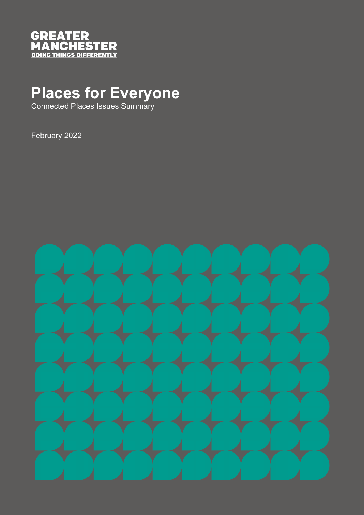

# **Places for Everyone**

Connected Places Issues Summary

February 2022

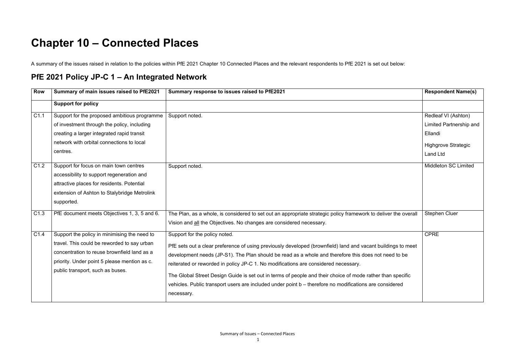## **Chapter 10 – Connected Places**

A summary of the issues raised in relation to the policies within PfE 2021 Chapter 10 Connected Places and the relevant respondents to PfE 2021 is set out below:

#### **PfE 2021 Policy JP-C 1 – An Integrated Network**

| Row  | Summary of main issues raised to PfE2021     | Summary response to issues raised to PfE2021                                                                    | <b>Respondent Name(s)</b>      |
|------|----------------------------------------------|-----------------------------------------------------------------------------------------------------------------|--------------------------------|
|      | <b>Support for policy</b>                    |                                                                                                                 |                                |
| C1.1 | Support for the proposed ambitious programme | Support noted.                                                                                                  | Redleaf VI (Ashton)            |
|      | of investment through the policy, including  |                                                                                                                 | <b>Limited Partnership and</b> |
|      | creating a larger integrated rapid transit   |                                                                                                                 | Ellandi                        |
|      | network with orbital connections to local    |                                                                                                                 | <b>Highgrove Strategic</b>     |
|      | centres.                                     |                                                                                                                 | <b>Land Ltd</b>                |
| C1.2 | Support for focus on main town centres       | Support noted.                                                                                                  | <b>Middleton SC Limited</b>    |
|      | accessibility to support regeneration and    |                                                                                                                 |                                |
|      | attractive places for residents. Potential   |                                                                                                                 |                                |
|      | extension of Ashton to Stalybridge Metrolink |                                                                                                                 |                                |
|      | supported.                                   |                                                                                                                 |                                |
| C1.3 | PfE document meets Objectives 1, 3, 5 and 6. | The Plan, as a whole, is considered to set out an appropriate strategic policy framework to deliver the overall | <b>Stephen Cluer</b>           |
|      |                                              | Vision and all the Objectives. No changes are considered necessary.                                             |                                |
| C1.4 | Support the policy in minimising the need to | Support for the policy noted.                                                                                   | <b>CPRE</b>                    |
|      | travel. This could be reworded to say urban  | PfE sets out a clear preference of using previously developed (brownfield) land and vacant buildings to meet    |                                |
|      | concentration to reuse brownfield land as a  | development needs (JP-S1). The Plan should be read as a whole and therefore this does not need to be            |                                |
|      | priority. Under point 5 please mention as c. | reiterated or reworded in policy JP-C 1. No modifications are considered necessary.                             |                                |
|      | public transport, such as buses.             | The Global Street Design Guide is set out in terms of people and their choice of mode rather than specific      |                                |
|      |                                              | vehicles. Public transport users are included under point b - therefore no modifications are considered         |                                |
|      |                                              | necessary.                                                                                                      |                                |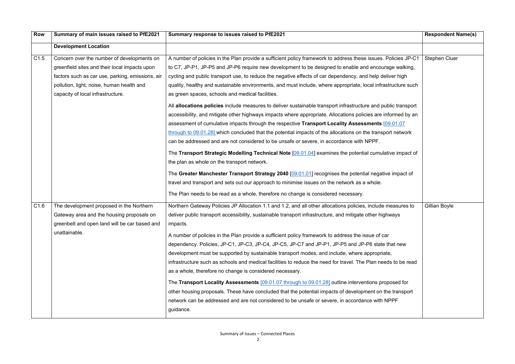| <b>Row</b> | Summary of main issues raised to PfE2021         | Summary response to issues raised to PfE2021                                                                   | <b>Respondent Name(s)</b> |
|------------|--------------------------------------------------|----------------------------------------------------------------------------------------------------------------|---------------------------|
|            | <b>Development Location</b>                      |                                                                                                                |                           |
| C1.5       | Concern over the number of developments on       | A number of policies in the Plan provide a sufficient policy framework to address these issues. Policies JP-C1 | <b>Stephen Cluer</b>      |
|            | greenfield sites and their local impacts upon    | to C7, JP-P1, JP-P5 and JP-P6 require new development to be designed to enable and encourage walking,          |                           |
|            | factors such as car use, parking, emissions, air | cycling and public transport use, to reduce the negative effects of car dependency, and help deliver high      |                           |
|            | pollution, light, noise, human health and        | quality, healthy and sustainable environments, and must include, where appropriate, local infrastructure such  |                           |
|            | capacity of local infrastructure.                | as green spaces, schools and medical facilities.                                                               |                           |
|            |                                                  | All allocations policies include measures to deliver sustainable transport infrastructure and public transport |                           |
|            |                                                  | accessibility, and mitigate other highways impacts where appropriate. Allocations policies are informed by an  |                           |
|            |                                                  | assessment of cumulative impacts through the respective Transport Locality Assessments [09.01.07               |                           |
|            |                                                  | through to 09.01.28] which concluded that the potential impacts of the allocations on the transport network    |                           |
|            |                                                  | can be addressed and are not considered to be unsafe or severe, in accordance with NPPF.                       |                           |
|            |                                                  | The Transport Strategic Modelling Technical Note [09.01.04] examines the potential cumulative impact of        |                           |
|            |                                                  | the plan as whole on the transport network.                                                                    |                           |
|            |                                                  | The Greater Manchester Transport Strategy 2040 [09.01.01] recognises the potential negative impact of          |                           |
|            |                                                  | travel and transport and sets out our approach to minimise issues on the network as a whole.                   |                           |
|            |                                                  | The Plan needs to be read as a whole, therefore no change is considered necessary.                             |                           |
| C1.6       | The development proposed in the Northern         | Northern Gateway Policies JP Allocation 1.1 and 1.2, and all other allocations policies, include measures to   | Gillian Boyle             |
|            | Gateway area and the housing proposals on        | deliver public transport accessibility, sustainable transport infrastructure, and mitigate other highways      |                           |
|            | greenbelt and open land will be car based and    | impacts.                                                                                                       |                           |
|            | unattainable.                                    | A number of policies in the Plan provide a sufficient policy framework to address the issue of car             |                           |
|            |                                                  | dependency. Policies, JP-C1, JP-C3, JP-C4, JP-C5, JP-C7 and JP-P1, JP-P5 and JP-P6 state that new              |                           |
|            |                                                  | development must be supported by sustainable transport modes, and include, where appropriate,                  |                           |
|            |                                                  | infrastructure such as schools and medical facilities to reduce the need for travel. The Plan needs to be read |                           |
|            |                                                  | as a whole, therefore no change is considered necessary.                                                       |                           |
|            |                                                  | The Transport Locality Assessments [09.01.07 through to 09.01.28] outline interventions proposed for           |                           |
|            |                                                  | other housing proposals. These have concluded that the potential impacts of development on the transport       |                           |
|            |                                                  | network can be addressed and are not considered to be unsafe or severe, in accordance with NPPF                |                           |
|            |                                                  | guidance.                                                                                                      |                           |
|            |                                                  |                                                                                                                |                           |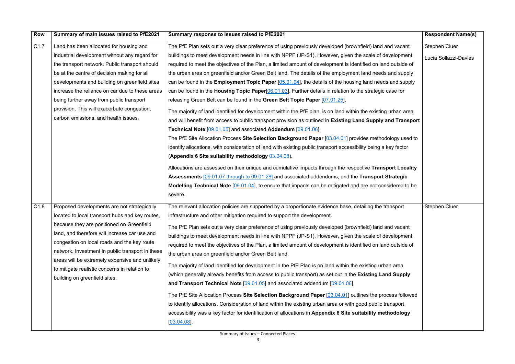| <b>Row</b>       | Summary of main issues raised to PfE2021         | Summary response to issues raised to PfE2021                                                                      | <b>Respondent Name(s)</b> |
|------------------|--------------------------------------------------|-------------------------------------------------------------------------------------------------------------------|---------------------------|
| C <sub>1.7</sub> | Land has been allocated for housing and          | The PfE Plan sets out a very clear preference of using previously developed (brownfield) land and vacant          | Stephen Cluer             |
|                  | industrial development without any regard for    | buildings to meet development needs in line with NPPF (JP-S1). However, given the scale of development            | Lucia Sollazzi-Davies     |
|                  | the transport network. Public transport should   | required to meet the objectives of the Plan, a limited amount of development is identified on land outside of     |                           |
|                  | be at the centre of decision making for all      | the urban area on greenfield and/or Green Belt land. The details of the employment land needs and supply          |                           |
|                  | developments and building on greenfield sites    | can be found in the <b>Employment Topic Paper</b> $[05.01.04]$ , the details of the housing land needs and supply |                           |
|                  | increase the reliance on car due to these areas  | can be found in the Housing Topic Paper[06.01.03]. Further details in relation to the strategic case for          |                           |
|                  | being further away from public transport         | releasing Green Belt can be found in the Green Belt Topic Paper [07.01.25].                                       |                           |
|                  | provision. This will exacerbate congestion,      | The majority of land identified for development within the PfE plan is on land within the existing urban area     |                           |
|                  | carbon emissions, and health issues.             | and will benefit from access to public transport provision as outlined in Existing Land Supply and Transport      |                           |
|                  |                                                  | Technical Note [09.01.05] and associated Addendum [09.01.06].                                                     |                           |
|                  |                                                  | The PfE Site Allocation Process Site Selection Background Paper [03.04.01] provides methodology used to           |                           |
|                  |                                                  | identify allocations, with consideration of land with existing public transport accessibility being a key factor  |                           |
|                  |                                                  | (Appendix 6 Site suitability methodology 03.04.08).                                                               |                           |
|                  |                                                  | Allocations are assessed on their unique and cumulative impacts through the respective Transport Locality         |                           |
|                  |                                                  | Assessments [09.01.07 through to 09.01.28] and associated addendums, and the Transport Strategic                  |                           |
|                  |                                                  | Modelling Technical Note [09.01.04], to ensure that impacts can be mitigated and are not considered to be         |                           |
|                  |                                                  | severe.                                                                                                           |                           |
| C1.8             | Proposed developments are not strategically      | The relevant allocation policies are supported by a proportionate evidence base, detailing the transport          | <b>Stephen Cluer</b>      |
|                  | located to local transport hubs and key routes,  | infrastructure and other mitigation required to support the development.                                          |                           |
|                  | because they are positioned on Greenfield        | The PfE Plan sets out a very clear preference of using previously developed (brownfield) land and vacant          |                           |
|                  | land, and therefore will increase car use and    | buildings to meet development needs in line with NPPF (JP-S1). However, given the scale of development            |                           |
|                  | congestion on local roads and the key route      | required to meet the objectives of the Plan, a limited amount of development is identified on land outside of     |                           |
|                  | network. Investment in public transport in these | the urban area on greenfield and/or Green Belt land.                                                              |                           |
|                  | areas will be extremely expensive and unlikely   | The majority of land identified for development in the PfE Plan is on land within the existing urban area         |                           |
|                  | to mitigate realistic concerns in relation to    | (which generally already benefits from access to public transport) as set out in the Existing Land Supply         |                           |
|                  | building on greenfield sites.                    | and Transport Technical Note [09.01.05] and associated addendum [09.01.06].                                       |                           |
|                  |                                                  |                                                                                                                   |                           |
|                  |                                                  | The PfE Site Allocation Process Site Selection Background Paper [03.04.01] outlines the process followed          |                           |
|                  |                                                  | to identify allocations. Consideration of land within the existing urban area or with good public transport       |                           |
|                  |                                                  | accessibility was a key factor for identification of allocations in Appendix 6 Site suitability methodology       |                           |
|                  |                                                  | [03.04.08]                                                                                                        |                           |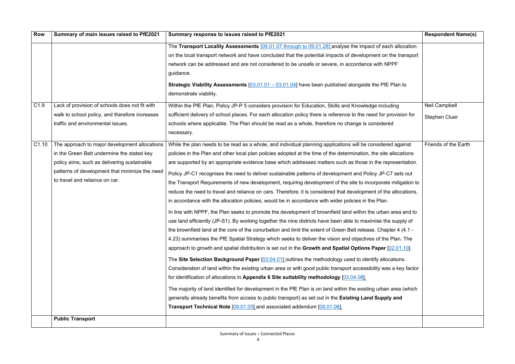| <b>Row</b>        | Summary of main issues raised to PfE2021                                                                                                                                                                                       | Summary response to issues raised to PfE2021                                                                                                                                                                                                                                                                                                                                                                                                                                                                                                                                                                                                                                                                                                                                                                                                                                                                                                                                                                                                                                                                                                                                                                                                                                                                                                                                                                                                                                                                                                                                                                                                                                                                                                                                                                                                                                                                                                                                                                                | <b>Respondent Name(s)</b>                    |
|-------------------|--------------------------------------------------------------------------------------------------------------------------------------------------------------------------------------------------------------------------------|-----------------------------------------------------------------------------------------------------------------------------------------------------------------------------------------------------------------------------------------------------------------------------------------------------------------------------------------------------------------------------------------------------------------------------------------------------------------------------------------------------------------------------------------------------------------------------------------------------------------------------------------------------------------------------------------------------------------------------------------------------------------------------------------------------------------------------------------------------------------------------------------------------------------------------------------------------------------------------------------------------------------------------------------------------------------------------------------------------------------------------------------------------------------------------------------------------------------------------------------------------------------------------------------------------------------------------------------------------------------------------------------------------------------------------------------------------------------------------------------------------------------------------------------------------------------------------------------------------------------------------------------------------------------------------------------------------------------------------------------------------------------------------------------------------------------------------------------------------------------------------------------------------------------------------------------------------------------------------------------------------------------------------|----------------------------------------------|
|                   |                                                                                                                                                                                                                                | The Transport Locality Assessments [09.01.07 through to 09.01.28] analyse the impact of each allocation<br>on the local transport network and have concluded that the potential impacts of development on the transport<br>network can be addressed and are not considered to be unsafe or severe, in accordance with NPPF<br>guidance.<br><b>Strategic Viability Assessments</b> $[03.01.01 - 03.01.04]$ have been published alongside the PfE Plan to<br>demonstrate viability.                                                                                                                                                                                                                                                                                                                                                                                                                                                                                                                                                                                                                                                                                                                                                                                                                                                                                                                                                                                                                                                                                                                                                                                                                                                                                                                                                                                                                                                                                                                                           |                                              |
| C <sub>1.9</sub>  | Lack of provision of schools does not fit with<br>walk to school policy, and therefore increases<br>traffic and environmental issues.                                                                                          | Within the PfE Plan, Policy JP-P 5 considers provision for Education, Skills and Knowledge including<br>sufficient delivery of school places. For each allocation policy there is reference to the need for provision for<br>schools where applicable. The Plan should be read as a whole, therefore no change is considered<br>necessary.                                                                                                                                                                                                                                                                                                                                                                                                                                                                                                                                                                                                                                                                                                                                                                                                                                                                                                                                                                                                                                                                                                                                                                                                                                                                                                                                                                                                                                                                                                                                                                                                                                                                                  | <b>Neil Campbell</b><br><b>Stephen Cluer</b> |
| C <sub>1.10</sub> | The approach to major development allocations<br>in the Green Belt undermine the stated key<br>policy aims, such as delivering sustainable<br>patterns of development that minimize the need<br>to travel and reliance on car. | While the plan needs to be read as a whole, and individual planning applications will be considered against<br>policies in the Plan and other local plan policies adopted at the time of the determination, the site allocations<br>are supported by an appropriate evidence base which addresses matters such as those in the representation.<br>Policy JP-C1 recognises the need to deliver sustainable patterns of development and Policy JP-C7 sets out<br>the Transport Requirements of new development, requiring development of the site to incorporate mitigation to<br>reduce the need to travel and reliance on cars. Therefore, it is considered that development of the allocations,<br>in accordance with the allocation policies, would be in accordance with wider policies in the Plan.<br>In line with NPPF, the Plan seeks to promote the development of brownfield land within the urban area and to<br>use land efficiently (JP-S1). By working together the nine districts have been able to maximise the supply of<br>the brownfield land at the core of the conurbation and limit the extent of Green Belt release. Chapter 4 (4.1 -<br>4.23) summarises the PfE Spatial Strategy which seeks to deliver the vision and objectives of the Plan. The<br>approach to growth and spatial distribution is set out in the Growth and Spatial Options Paper [02.01.10].<br>The Site Selection Background Paper [03.04.01] outlines the methodology used to identify allocations.<br>Consideration of land within the existing urban area or with good public transport accessibility was a key factor<br>for identification of allocations in Appendix 6 Site suitability methodology [03.04.08].<br>The majority of land identified for development in the PfE Plan is on land within the existing urban area (which<br>generally already benefits from access to public transport) as set out in the Existing Land Supply and<br>Transport Technical Note [09.01.05] and associated addendum [09.01.06]. | <b>Friends of the Earth</b>                  |
|                   | <b>Public Transport</b>                                                                                                                                                                                                        |                                                                                                                                                                                                                                                                                                                                                                                                                                                                                                                                                                                                                                                                                                                                                                                                                                                                                                                                                                                                                                                                                                                                                                                                                                                                                                                                                                                                                                                                                                                                                                                                                                                                                                                                                                                                                                                                                                                                                                                                                             |                                              |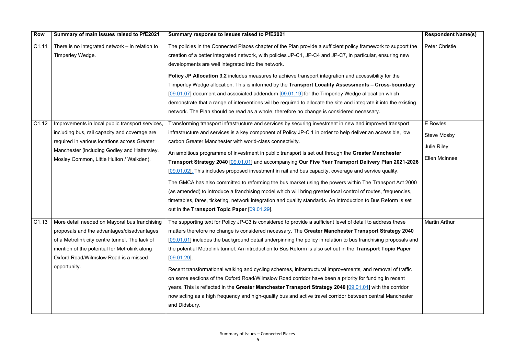| <b>Row</b> | Summary of main issues raised to PfE2021                                                                                                                                                                                                      | Summary response to issues raised to PfE2021                                                                                                                                                                                                                                                                                                                                                                                                                                                                                                                                                                                                                                                                                                                                                                                                                                                                                                                                                        | <b>Respondent Name(s)</b>                                             |
|------------|-----------------------------------------------------------------------------------------------------------------------------------------------------------------------------------------------------------------------------------------------|-----------------------------------------------------------------------------------------------------------------------------------------------------------------------------------------------------------------------------------------------------------------------------------------------------------------------------------------------------------------------------------------------------------------------------------------------------------------------------------------------------------------------------------------------------------------------------------------------------------------------------------------------------------------------------------------------------------------------------------------------------------------------------------------------------------------------------------------------------------------------------------------------------------------------------------------------------------------------------------------------------|-----------------------------------------------------------------------|
| C1.11      | There is no integrated network $-$ in relation to<br>Timperley Wedge.                                                                                                                                                                         | The policies in the Connected Places chapter of the Plan provide a sufficient policy framework to support the<br>creation of a better integrated network, with policies JP-C1, JP-C4 and JP-C7, in particular, ensuring new<br>developments are well integrated into the network.<br><b>Policy JP Allocation 3.2</b> includes measures to achieve transport integration and accessibility for the<br>Timperley Wedge allocation. This is informed by the Transport Locality Assessments - Cross-boundary<br>[09.01.07] document and associated addendum [09.01.19] for the Timperley Wedge allocation which<br>demonstrate that a range of interventions will be required to allocate the site and integrate it into the existing<br>network. The Plan should be read as a whole, therefore no change is considered necessary.                                                                                                                                                                      | <b>Peter Christie</b>                                                 |
| C1.12      | Improvements in local public transport services,<br>including bus, rail capacity and coverage are<br>required in various locations across Greater<br>Manchester (including Godley and Hattersley,<br>Mosley Common, Little Hulton / Walkden). | Transforming transport infrastructure and services by securing investment in new and improved transport<br>infrastructure and services is a key component of Policy JP-C 1 in order to help deliver an accessible, low<br>carbon Greater Manchester with world-class connectivity.<br>An ambitious programme of investment in public transport is set out through the Greater Manchester<br>Transport Strategy 2040 [09.01.01] and accompanying Our Five Year Transport Delivery Plan 2021-2026<br>[09.01.02]. This includes proposed investment in rail and bus capacity, coverage and service quality.<br>The GMCA has also committed to reforming the bus market using the powers within The Transport Act 2000<br>(as amended) to introduce a franchising model which will bring greater local control of routes, frequencies,<br>timetables, fares, ticketing, network integration and quality standards. An introduction to Bus Reform is set<br>out in the Transport Topic Paper [09.01.29]. | E Bowles<br><b>Steve Mosby</b><br><b>Julie Riley</b><br>Ellen McInnes |
|            | proposals and the advantages/disadvantages<br>of a Metrolink city centre tunnel. The lack of<br>mention of the potential for Metrolink along<br>Oxford Road/Wilmslow Road is a missed<br>opportunity.                                         | C1.13   More detail needed on Mayoral bus franchising   The supporting text for Policy JP-C3 is considered to provide a sufficient level of detail to address these<br>matters therefore no change is considered necessary. The Greater Manchester Transport Strategy 2040<br>[09.01.01] includes the background detail underpinning the policy in relation to bus franchising proposals and<br>the potential Metrolink tunnel. An introduction to Bus Reform is also set out in the Transport Topic Paper<br>[09.01.29]<br>Recent transformational walking and cycling schemes, infrastructural improvements, and removal of traffic<br>on some sections of the Oxford Road/Wilmslow Road corridor have been a priority for funding in recent<br>years. This is reflected in the Greater Manchester Transport Strategy 2040 [09.01.01] with the corridor<br>now acting as a high frequency and high-quality bus and active travel corridor between central Manchester<br>and Didsbury.             | Martin Arthur                                                         |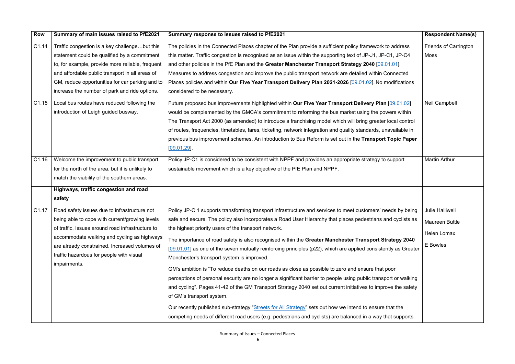| <b>Row</b>        | Summary of main issues raised to PfE2021                                                                                                                                                                                                                                                                       | Summary response to issues raised to PfE2021                                                                                                                                                                                                                                                                                                                                                                                                                                                                                                                                                                                                                                                                                                                                                                                                                                                                                                                                                                                                                                                                                                                      | <b>Respondent Name(s)</b>                                           |
|-------------------|----------------------------------------------------------------------------------------------------------------------------------------------------------------------------------------------------------------------------------------------------------------------------------------------------------------|-------------------------------------------------------------------------------------------------------------------------------------------------------------------------------------------------------------------------------------------------------------------------------------------------------------------------------------------------------------------------------------------------------------------------------------------------------------------------------------------------------------------------------------------------------------------------------------------------------------------------------------------------------------------------------------------------------------------------------------------------------------------------------------------------------------------------------------------------------------------------------------------------------------------------------------------------------------------------------------------------------------------------------------------------------------------------------------------------------------------------------------------------------------------|---------------------------------------------------------------------|
| C1.14             | Traffic congestion is a key challengebut this<br>statement could be qualified by a commitment<br>to, for example, provide more reliable, frequent<br>and affordable public transport in all areas of<br>GM, reduce opportunities for car parking and to<br>increase the number of park and ride options.       | The policies in the Connected Places chapter of the Plan provide a sufficient policy framework to address<br>this matter. Traffic congestion is recognised as an issue within the supporting text of JP-J1, JP-C1, JP-C4<br>and other policies in the PfE Plan and the Greater Manchester Transport Strategy 2040 [09.01.01].<br>Measures to address congestion and improve the public transport network are detailed within Connected<br>Places policies and within Our Five Year Transport Delivery Plan 2021-2026 [09.01.02]. No modifications<br>considered to be necessary.                                                                                                                                                                                                                                                                                                                                                                                                                                                                                                                                                                                  | <b>Friends of Carrington</b><br>Moss                                |
| C <sub>1.15</sub> | Local bus routes have reduced following the<br>introduction of Leigh guided busway.                                                                                                                                                                                                                            | Future proposed bus improvements highlighted within Our Five Year Transport Delivery Plan [09.01.02]<br>would be complemented by the GMCA's commitment to reforming the bus market using the powers within<br>The Transport Act 2000 (as amended) to introduce a franchising model which will bring greater local control<br>of routes, frequencies, timetables, fares, ticketing, network integration and quality standards, unavailable in<br>previous bus improvement schemes. An introduction to Bus Reform is set out in the Transport Topic Paper<br>$[09.01.29]$ .                                                                                                                                                                                                                                                                                                                                                                                                                                                                                                                                                                                         | <b>Neil Campbell</b>                                                |
| C1.16             | Welcome the improvement to public transport<br>for the north of the area, but it is unlikely to<br>match the viability of the southern areas.<br>Highways, traffic congestion and road<br>safety                                                                                                               | Policy JP-C1 is considered to be consistent with NPPF and provides an appropriate strategy to support<br>sustainable movement which is a key objective of the PfE Plan and NPPF.                                                                                                                                                                                                                                                                                                                                                                                                                                                                                                                                                                                                                                                                                                                                                                                                                                                                                                                                                                                  | <b>Martin Arthur</b>                                                |
| C1.17             | Road safety issues due to infrastructure not<br>being able to cope with current/growing levels<br>of traffic. Issues around road infrastructure to<br>accommodate walking and cycling as highways<br>are already constrained. Increased volumes of<br>traffic hazardous for people with visual<br>impairments. | Policy JP-C 1 supports transforming transport infrastructure and services to meet customers' needs by being<br>safe and secure. The policy also incorporates a Road User Hierarchy that places pedestrians and cyclists as<br>the highest priority users of the transport network.<br>The importance of road safety is also recognised within the Greater Manchester Transport Strategy 2040<br>$[09.01.01]$ as one of the seven mutually reinforcing principles (p22), which are applied consistently as Greater<br>Manchester's transport system is improved.<br>GM's ambition is "To reduce deaths on our roads as close as possible to zero and ensure that poor<br>perceptions of personal security are no longer a significant barrier to people using public transport or walking<br>and cycling". Pages 41-42 of the GM Transport Strategy 2040 set out current initiatives to improve the safety<br>of GM's transport system.<br>Our recently published sub-strategy "Streets for All Strategy" sets out how we intend to ensure that the<br>competing needs of different road users (e.g. pedestrians and cyclists) are balanced in a way that supports | <b>Julie Halliwell</b><br>Maureen Buttle<br>Helen Lomax<br>E Bowles |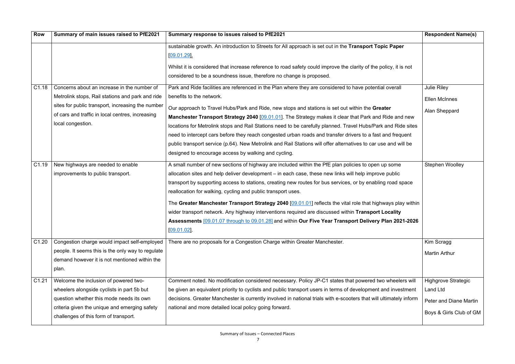| <b>Row</b>        | Summary of main issues raised to PfE2021                                                                                                                                                                                      | Summary response to issues raised to PfE2021                                                                                                                                                                                                                                                                                                                                                                                                                                                                                                                                                                                                                                                                                                              | <b>Respondent Name(s)</b>                                                                          |
|-------------------|-------------------------------------------------------------------------------------------------------------------------------------------------------------------------------------------------------------------------------|-----------------------------------------------------------------------------------------------------------------------------------------------------------------------------------------------------------------------------------------------------------------------------------------------------------------------------------------------------------------------------------------------------------------------------------------------------------------------------------------------------------------------------------------------------------------------------------------------------------------------------------------------------------------------------------------------------------------------------------------------------------|----------------------------------------------------------------------------------------------------|
|                   |                                                                                                                                                                                                                               | sustainable growth. An introduction to Streets for All approach is set out in the Transport Topic Paper<br>[09.01.29]<br>Whilst it is considered that increase reference to road safety could improve the clarity of the policy, it is not<br>considered to be a soundness issue, therefore no change is proposed.                                                                                                                                                                                                                                                                                                                                                                                                                                        |                                                                                                    |
| C <sub>1.18</sub> | Concerns about an increase in the number of<br>Metrolink stops, Rail stations and park and ride<br>sites for public transport, increasing the number<br>of cars and traffic in local centres, increasing<br>local congestion. | Park and Ride facilities are referenced in the Plan where they are considered to have potential overall<br>benefits to the network.<br>Our approach to Travel Hubs/Park and Ride, new stops and stations is set out within the Greater<br>Manchester Transport Strategy 2040 [09.01.01]. The Strategy makes it clear that Park and Ride and new<br>locations for Metrolink stops and Rail Stations need to be carefully planned. Travel Hubs/Park and Ride sites<br>need to intercept cars before they reach congested urban roads and transfer drivers to a fast and frequent<br>public transport service (p.64). New Metrolink and Rail Stations will offer alternatives to car use and will be<br>designed to encourage access by walking and cycling. | <b>Julie Riley</b><br><b>Ellen McInnes</b><br>Alan Sheppard                                        |
| C <sub>1.19</sub> | New highways are needed to enable<br>improvements to public transport.                                                                                                                                                        | A small number of new sections of highway are included within the PfE plan policies to open up some<br>allocation sites and help deliver development – in each case, these new links will help improve public<br>transport by supporting access to stations, creating new routes for bus services, or by enabling road space<br>reallocation for walking, cycling and public transport uses.<br>The Greater Manchester Transport Strategy 2040 [09.01.01] reflects the vital role that highways play within<br>wider transport network. Any highway interventions required are discussed within Transport Locality<br>Assessments [09.01.07 through to 09.01.28] and within Our Five Year Transport Delivery Plan 2021-2026<br>[09.01.02]                 | Stephen Woolley                                                                                    |
| C1.20             | Congestion charge would impact self-employed<br>people. It seems this is the only way to regulate<br>demand however it is not mentioned within the<br>plan.                                                                   | There are no proposals for a Congestion Charge within Greater Manchester.                                                                                                                                                                                                                                                                                                                                                                                                                                                                                                                                                                                                                                                                                 | Kim Scragg<br><b>Martin Arthur</b>                                                                 |
| C1.21             | Welcome the inclusion of powered two-<br>wheelers alongside cyclists in part 5b but<br>question whether this mode needs its own<br>criteria given the unique and emerging safety<br>challenges of this form of transport.     | Comment noted. No modification considered necessary. Policy JP-C1 states that powered two wheelers will<br>be given an equivalent priority to cyclists and public transport users in terms of development and investment<br>decisions. Greater Manchester is currently involved in national trials with e-scooters that will ultimately inform<br>national and more detailed local policy going forward.                                                                                                                                                                                                                                                                                                                                                  | <b>Highgrove Strategic</b><br>Land Ltd<br><b>Peter and Diane Martin</b><br>Boys & Girls Club of GM |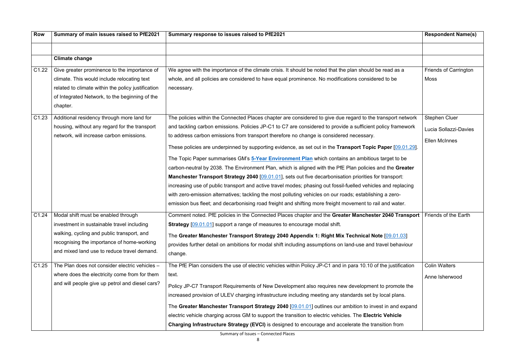| <b>Row</b>        | Summary of main issues raised to PfE2021                                                                                                                                                                                     | Summary response to issues raised to PfE2021                                                                                                                                                                                                                                                                                                                                                                                                                                                                                                                                                                                                                                                                                                                                                                                                                                                                                                                                                                                                                                                            | <b>Respondent Name(s)</b>                                             |
|-------------------|------------------------------------------------------------------------------------------------------------------------------------------------------------------------------------------------------------------------------|---------------------------------------------------------------------------------------------------------------------------------------------------------------------------------------------------------------------------------------------------------------------------------------------------------------------------------------------------------------------------------------------------------------------------------------------------------------------------------------------------------------------------------------------------------------------------------------------------------------------------------------------------------------------------------------------------------------------------------------------------------------------------------------------------------------------------------------------------------------------------------------------------------------------------------------------------------------------------------------------------------------------------------------------------------------------------------------------------------|-----------------------------------------------------------------------|
|                   | <b>Climate change</b>                                                                                                                                                                                                        |                                                                                                                                                                                                                                                                                                                                                                                                                                                                                                                                                                                                                                                                                                                                                                                                                                                                                                                                                                                                                                                                                                         |                                                                       |
| C <sub>1.22</sub> | Give greater prominence to the importance of<br>climate. This would include relocating text<br>related to climate within the policy justification<br>of Integrated Network, to the beginning of the<br>chapter.              | We agree with the importance of the climate crisis. It should be noted that the plan should be read as a<br>whole, and all policies are considered to have equal prominence. No modifications considered to be<br>necessary.                                                                                                                                                                                                                                                                                                                                                                                                                                                                                                                                                                                                                                                                                                                                                                                                                                                                            | <b>Friends of Carrington</b><br><b>Moss</b>                           |
| C1.23             | Additional residency through more land for<br>housing, without any regard for the transport<br>network, will increase carbon emissions.                                                                                      | The policies within the Connected Places chapter are considered to give due regard to the transport network<br>and tackling carbon emissions. Policies JP-C1 to C7 are considered to provide a sufficient policy framework<br>to address carbon emissions from transport therefore no change is considered necessary.<br>These policies are underpinned by supporting evidence, as set out in the Transport Topic Paper [09.01.29].<br>The Topic Paper summarises GM's 5-Year Environment Plan which contains an ambitious target to be<br>carbon-neutral by 2038. The Environment Plan, which is aligned with the PfE Plan policies and the Greater<br>Manchester Transport Strategy 2040 [09.01.01], sets out five decarbonisation priorities for transport:<br>increasing use of public transport and active travel modes; phasing out fossil-fuelled vehicles and replacing<br>with zero-emission alternatives; tackling the most polluting vehicles on our roads; establishing a zero-<br>emission bus fleet; and decarbonising road freight and shifting more freight movement to rail and water. | <b>Stephen Cluer</b><br>Lucia Sollazzi-Davies<br><b>Ellen McInnes</b> |
| C <sub>1.24</sub> | Modal shift must be enabled through<br>investment in sustainable travel including<br>walking, cycling and public transport, and<br>recognising the importance of home-working<br>and mixed land use to reduce travel demand. | Comment noted. PfE policies in the Connected Places chapter and the Greater Manchester 2040 Transport<br><b>Strategy</b> [09.01.01] support a range of measures to encourage modal shift.<br>The Greater Manchester Transport Strategy 2040 Appendix 1: Right Mix Technical Note [09.01.03]<br>provides further detail on ambitions for modal shift including assumptions on land-use and travel behaviour<br>change.                                                                                                                                                                                                                                                                                                                                                                                                                                                                                                                                                                                                                                                                                   | <b>Friends of the Earth</b>                                           |
| C1.25             | The Plan does not consider electric vehicles -<br>where does the electricity come from for them<br>and will people give up petrol and diesel cars?                                                                           | The PfE Plan considers the use of electric vehicles within Policy JP-C1 and in para 10.10 of the justification<br>text.<br>Policy JP-C7 Transport Requirements of New Development also requires new development to promote the<br>increased provision of ULEV charging infrastructure including meeting any standards set by local plans.<br>The Greater Manchester Transport Strategy 2040 [09.01.01] outlines our ambition to invest in and expand<br>electric vehicle charging across GM to support the transition to electric vehicles. The Electric Vehicle<br>Charging Infrastructure Strategy (EVCI) is designed to encourage and accelerate the transition from                                                                                                                                                                                                                                                                                                                                                                                                                                 | <b>Colin Walters</b><br>Anne Isherwood                                |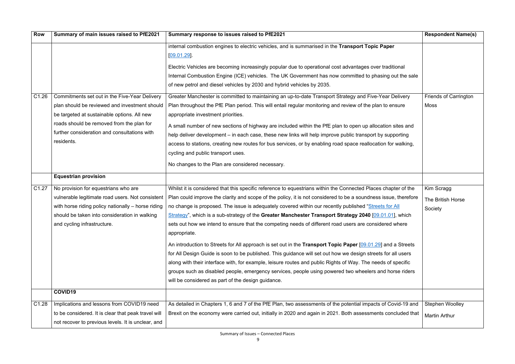| <b>Row</b>        | Summary of main issues raised to PfE2021            | Summary response to issues raised to PfE2021                                                                    | <b>Respondent Name(s)</b>    |
|-------------------|-----------------------------------------------------|-----------------------------------------------------------------------------------------------------------------|------------------------------|
|                   |                                                     | internal combustion engines to electric vehicles, and is summarised in the Transport Topic Paper                |                              |
|                   |                                                     | [09.01.29]                                                                                                      |                              |
|                   |                                                     | Electric Vehicles are becoming increasingly popular due to operational cost advantages over traditional         |                              |
|                   |                                                     | Internal Combustion Engine (ICE) vehicles. The UK Government has now committed to phasing out the sale          |                              |
|                   |                                                     | of new petrol and diesel vehicles by 2030 and hybrid vehicles by 2035.                                          |                              |
| C1.26             | Commitments set out in the Five-Year Delivery       | Greater Manchester is committed to maintaining an up-to-date Transport Strategy and Five-Year Delivery          | <b>Friends of Carrington</b> |
|                   | plan should be reviewed and investment should       | Plan throughout the PfE Plan period. This will entail regular monitoring and review of the plan to ensure       | <b>Moss</b>                  |
|                   | be targeted at sustainable options. All new         | appropriate investment priorities.                                                                              |                              |
|                   | roads should be removed from the plan for           | A small number of new sections of highway are included within the PfE plan to open up allocation sites and      |                              |
|                   | further consideration and consultations with        | help deliver development – in each case, these new links will help improve public transport by supporting       |                              |
|                   | residents.                                          | access to stations, creating new routes for bus services, or by enabling road space reallocation for walking,   |                              |
|                   |                                                     | cycling and public transport uses.                                                                              |                              |
|                   |                                                     | No changes to the Plan are considered necessary.                                                                |                              |
|                   | <b>Equestrian provision</b>                         |                                                                                                                 |                              |
| C1.27             | No provision for equestrians who are                | Whilst it is considered that this specific reference to equestrians within the Connected Places chapter of the  | Kim Scragg                   |
|                   | vulnerable legitimate road users. Not consistent    | Plan could improve the clarity and scope of the policy, it is not considered to be a soundness issue, therefore | The British Horse            |
|                   | with horse riding policy nationally - horse riding  | no change is proposed. The issue is adequately covered within our recently published "Streets for All           | Society                      |
|                   | should be taken into consideration in walking       | $Strategy$ , which is a sub-strategy of the Greater Manchester Transport Strategy 2040 $[09.01.01]$ , which     |                              |
|                   | and cycling infrastructure.                         | sets out how we intend to ensure that the competing needs of different road users are considered where          |                              |
|                   |                                                     | appropriate.                                                                                                    |                              |
|                   |                                                     | An introduction to Streets for All approach is set out in the Transport Topic Paper [09.01.29] and a Streets    |                              |
|                   |                                                     | for All Design Guide is soon to be published. This guidance will set out how we design streets for all users    |                              |
|                   |                                                     | along with their interface with, for example, leisure routes and public Rights of Way. The needs of specific    |                              |
|                   |                                                     | groups such as disabled people, emergency services, people using powered two wheelers and horse riders          |                              |
|                   |                                                     | will be considered as part of the design guidance.                                                              |                              |
|                   | COVID19                                             |                                                                                                                 |                              |
| C <sub>1.28</sub> | Implications and lessons from COVID19 need          | As detailed in Chapters 1, 6 and 7 of the PfE Plan, two assessments of the potential impacts of Covid-19 and    | <b>Stephen Woolley</b>       |
|                   | to be considered. It is clear that peak travel will | Brexit on the economy were carried out, initially in 2020 and again in 2021. Both assessments concluded that    | <b>Martin Arthur</b>         |
|                   | not recover to previous levels. It is unclear, and  |                                                                                                                 |                              |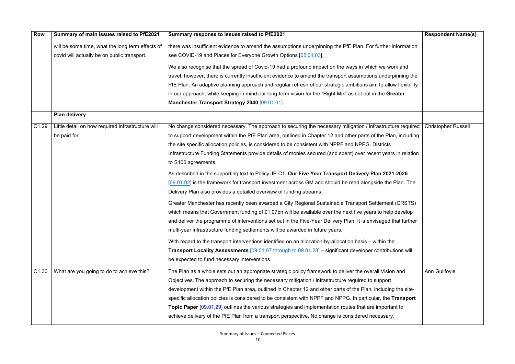| <b>Row</b>        | Summary of main issues raised to PfE2021          | Summary response to issues raised to PfE2021                                                                    | <b>Respondent Name(s)</b>  |
|-------------------|---------------------------------------------------|-----------------------------------------------------------------------------------------------------------------|----------------------------|
|                   | will be some time, what the long term effects of  | there was insufficient evidence to amend the assumptions underpinning the PfE Plan. For further information     |                            |
|                   | covid will actually be on public transport.       | see COVID-19 and Places for Everyone Growth Options [05.01.03].                                                 |                            |
|                   |                                                   | We also recognise that the spread of Covid-19 had a profound impact on the ways in which we work and            |                            |
|                   |                                                   | travel, however, there is currently insufficient evidence to amend the transport assumptions underpinning the   |                            |
|                   |                                                   | PfE Plan. An adaptive planning approach and regular refresh of our strategic ambitions aim to allow flexibility |                            |
|                   |                                                   | in our approach, while keeping in mind our long-term vision for the "Right Mix" as set out in the Greater       |                            |
|                   |                                                   | Manchester Transport Strategy 2040 [09.01.01].                                                                  |                            |
|                   | <b>Plan delivery</b>                              |                                                                                                                 |                            |
| C <sub>1.29</sub> | Little detail on how required infrastructure will | No change considered necessary. The approach to securing the necessary mitigation / infrastructure required     | <b>Christopher Russell</b> |
|                   | be paid for                                       | to support development within the PfE Plan area, outlined in Chapter 12 and other parts of the Plan, including  |                            |
|                   |                                                   | the site specific allocation policies, is considered to be consistent with NPPF and NPPG. Districts             |                            |
|                   |                                                   | Infrastructure Funding Statements provide details of monies secured (and spent) over recent years in relation   |                            |
|                   |                                                   | to S106 agreements.                                                                                             |                            |
|                   |                                                   | As described in the supporting text to Policy JP-C1, Our Five Year Transport Delivery Plan 2021-2026            |                            |
|                   |                                                   | [09.01.02] is the framework for transport investment across GM and should be read alongside the Plan. The       |                            |
|                   |                                                   | Delivery Plan also provides a detailed overview of funding streams.                                             |                            |
|                   |                                                   | Greater Manchester has recently been awarded a City Regional Sustainable Transport Settlement (CRSTS)           |                            |
|                   |                                                   | which means that Government funding of £1.07bn will be available over the next five years to help develop       |                            |
|                   |                                                   | and deliver the programme of interventions set out in the Five-Year Delivery Plan. It is envisaged that further |                            |
|                   |                                                   | multi-year infrastructure funding settlements will be awarded in future years.                                  |                            |
|                   |                                                   | With regard to the transport interventions identified on an allocation-by-allocation basis – within the         |                            |
|                   |                                                   | <b>Transport Locality Assessments</b> [09.01.07 through to 09.01.28] – significant developer contributions will |                            |
|                   |                                                   | be expected to fund necessary interventions.                                                                    |                            |
| C <sub>1.30</sub> | What are you going to do to achieve this?         | The Plan as a whole sets out an appropriate strategic policy framework to deliver the overall Vision and        | Ann Guilfoyle              |
|                   |                                                   | Objectives. The approach to securing the necessary mitigation / infrastructure required to support              |                            |
|                   |                                                   | development within the PfE Plan area, outlined in Chapter 12 and other parts of the Plan, including the site-   |                            |
|                   |                                                   | specific allocation policies is considered to be consistent with NPPF and NPPG. In particular, the Transport    |                            |
|                   |                                                   | Topic Paper [09.01.29] outlines the various strategies and implementation routes that are important to          |                            |
|                   |                                                   | achieve delivery of the PfE Plan from a transport perspective. No change is considered necessary.               |                            |
|                   |                                                   |                                                                                                                 |                            |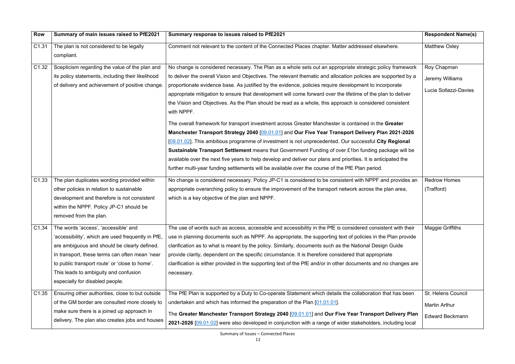| <b>Row</b>        | Summary of main issues raised to PfE2021                                                                                                                                                                                                                                                                                   | Summary response to issues raised to PfE2021                                                                                                                                                                                                                                                                                                                                                                                                                                                                                                                                                                                                                                                                                                                                                                                                                                                                                                                                                                                                                                                                                                                                                                                       | <b>Respondent Name(s)</b>                                            |
|-------------------|----------------------------------------------------------------------------------------------------------------------------------------------------------------------------------------------------------------------------------------------------------------------------------------------------------------------------|------------------------------------------------------------------------------------------------------------------------------------------------------------------------------------------------------------------------------------------------------------------------------------------------------------------------------------------------------------------------------------------------------------------------------------------------------------------------------------------------------------------------------------------------------------------------------------------------------------------------------------------------------------------------------------------------------------------------------------------------------------------------------------------------------------------------------------------------------------------------------------------------------------------------------------------------------------------------------------------------------------------------------------------------------------------------------------------------------------------------------------------------------------------------------------------------------------------------------------|----------------------------------------------------------------------|
| C1.31             | The plan is not considered to be legally<br>compliant.                                                                                                                                                                                                                                                                     | Comment not relevant to the content of the Connected Places chapter. Matter addressed elsewhere.                                                                                                                                                                                                                                                                                                                                                                                                                                                                                                                                                                                                                                                                                                                                                                                                                                                                                                                                                                                                                                                                                                                                   | <b>Matthew Oxley</b>                                                 |
| C <sub>1.32</sub> | Scepticism regarding the value of the plan and<br>its policy statements, including their likelihood<br>of delivery and achievement of positive change.                                                                                                                                                                     | No change is considered necessary. The Plan as a whole sets out an appropriate strategic policy framework<br>to deliver the overall Vision and Objectives. The relevant thematic and allocation policies are supported by a<br>proportionate evidence base. As justified by the evidence, policies require development to incorporate<br>appropriate mitigation to ensure that development will come forward over the lifetime of the plan to deliver<br>the Vision and Objectives. As the Plan should be read as a whole, this approach is considered consistent<br>with NPPF.<br>The overall framework for transport investment across Greater Manchester is contained in the Greater<br>Manchester Transport Strategy 2040 [09.01.01] and Our Five Year Transport Delivery Plan 2021-2026<br>[09.01.02]. This ambitious programme of investment is not unprecedented. Our successful City Regional<br>Sustainable Transport Settlement means that Government Funding of over £1bn funding package will be<br>available over the next five years to help develop and deliver our plans and priorities. It is anticipated the<br>further multi-year funding settlements will be available over the course of the PfE Plan period. | Roy Chapman<br>Jeremy Williams<br>Lucia Sollazzi-Davies              |
| C <sub>1.33</sub> | The plan duplicates wording provided within<br>other policies in relation to sustainable<br>development and therefore is not consistent<br>within the NPPF. Policy JP-C1 should be<br>removed from the plan.                                                                                                               | No change is considered necessary. Policy JP-C1 is considered to be consistent with NPPF and provides an<br>appropriate overarching policy to ensure the improvement of the transport network across the plan area,<br>which is a key objective of the plan and NPPF.                                                                                                                                                                                                                                                                                                                                                                                                                                                                                                                                                                                                                                                                                                                                                                                                                                                                                                                                                              | <b>Redrow Homes</b><br>(Trafford)                                    |
| C1.34             | The words 'access', 'accessible' and<br>'accessibility', which are used frequently in PfE,<br>are ambiguous and should be clearly defined.<br>In transport, these terms can often mean 'near<br>to public transport route' or 'close to home'.<br>This leads to ambiguity and confusion<br>especially for disabled people. | The use of words such as access, accessible and accessibility in the PfE is considered consistent with their<br>use in planning documents such as NPPF. As appropriate, the supporting text of policies in the Plan provide<br>clarification as to what is meant by the policy. Similarly, documents such as the National Design Guide<br>provide clarity, dependent on the specific circumstance. It is therefore considered that appropriate<br>clarification is either provided in the supporting text of the PfE and/or in other documents and no changes are<br>necessary.                                                                                                                                                                                                                                                                                                                                                                                                                                                                                                                                                                                                                                                    | <b>Maggie Griffiths</b>                                              |
| C <sub>1.35</sub> | Ensuring other authorities, close to but outside<br>of the GM border are consulted more closely to<br>make sure there is a joined up approach in<br>delivery. The plan also creates jobs and houses                                                                                                                        | The PfE Plan is supported by a Duty to Co-operate Statement which details the collaboration that has been<br>undertaken and which has informed the preparation of the Plan [01.01.01].<br>The Greater Manchester Transport Strategy 2040 [09.01.01] and Our Five Year Transport Delivery Plan<br>2021-2026 [09.01.02] were also developed in conjunction with a range of wider stakeholders, including local                                                                                                                                                                                                                                                                                                                                                                                                                                                                                                                                                                                                                                                                                                                                                                                                                       | St. Helens Council<br><b>Martin Arthur</b><br><b>Edward Beckmann</b> |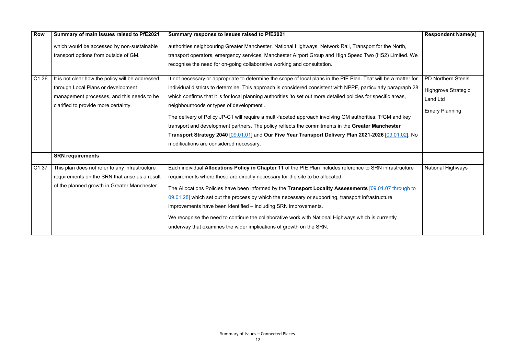| <b>Row</b>        | Summary of main issues raised to PfE2021         | Summary response to issues raised to PfE2021                                                                     | <b>Respondent Name(s)</b>  |
|-------------------|--------------------------------------------------|------------------------------------------------------------------------------------------------------------------|----------------------------|
|                   | which would be accessed by non-sustainable       | authorities neighbouring Greater Manchester, National Highways, Network Rail, Transport for the North,           |                            |
|                   | transport options from outside of GM.            | transport operators, emergency services, Manchester Airport Group and High Speed Two (HS2) Limited. We           |                            |
|                   |                                                  | recognise the need for on-going collaborative working and consultation.                                          |                            |
| C <sub>1.36</sub> | It is not clear how the policy will be addressed | It not necessary or appropriate to determine the scope of local plans in the PfE Plan. That will be a matter for | <b>PD Northern Steels</b>  |
|                   | through Local Plans or development               | individual districts to determine. This approach is considered consistent with NPPF, particularly paragraph 28   | <b>Highgrove Strategic</b> |
|                   | management processes, and this needs to be       | which confirms that it is for local planning authorities 'to set out more detailed policies for specific areas,  | <b>Land Ltd</b>            |
|                   | clarified to provide more certainty.             | neighbourhoods or types of development'.                                                                         |                            |
|                   |                                                  | The delivery of Policy JP-C1 will require a multi-faceted approach involving GM authorities, TfGM and key        | <b>Emery Planning</b>      |
|                   |                                                  | transport and development partners. The policy reflects the commitments in the Greater Manchester                |                            |
|                   |                                                  | Transport Strategy 2040 [09.01.01] and Our Five Year Transport Delivery Plan 2021-2026 [09.01.02]. No            |                            |
|                   |                                                  | modifications are considered necessary.                                                                          |                            |
|                   | <b>SRN requirements</b>                          |                                                                                                                  |                            |
| C <sub>1.37</sub> | This plan does not refer to any infrastructure   | Each individual Allocations Policy in Chapter 11 of the PfE Plan includes reference to SRN infrastructure        | <b>National Highways</b>   |
|                   | requirements on the SRN that arise as a result   | requirements where these are directly necessary for the site to be allocated.                                    |                            |
|                   | of the planned growth in Greater Manchester.     | The Allocations Policies have been informed by the Transport Locality Assessments [09.01.07 through to           |                            |
|                   |                                                  | 09.01.28] which set out the process by which the necessary or supporting, transport infrastructure               |                            |
|                   |                                                  | improvements have been identified - including SRN improvements.                                                  |                            |
|                   |                                                  | We recognise the need to continue the collaborative work with National Highways which is currently               |                            |
|                   |                                                  | underway that examines the wider implications of growth on the SRN.                                              |                            |
|                   |                                                  |                                                                                                                  |                            |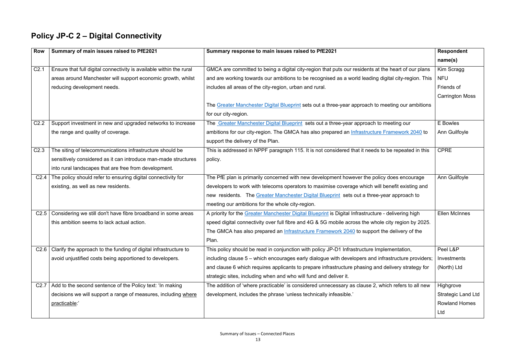#### **Policy JP-C 2 – Digital Connectivity**

| <b>Row</b>       | Summary of main issues raised to PfE2021                                | Summary response to main issues raised to PfE2021                                                   | <b>Respondent</b>         |
|------------------|-------------------------------------------------------------------------|-----------------------------------------------------------------------------------------------------|---------------------------|
|                  |                                                                         |                                                                                                     | name(s)                   |
| C2.1             | Ensure that full digital connectivity is available within the rural     | GMCA are committed to being a digital city-region that puts our residents at the heart of our plans | Kim Scragg                |
|                  | areas around Manchester will support economic growth, whilst            | and are working towards our ambitions to be recognised as a world leading digital city-region. This | <b>NFU</b>                |
|                  | reducing development needs.                                             | includes all areas of the city-region, urban and rural.                                             | Friends of                |
|                  |                                                                         |                                                                                                     | <b>Carrington Moss</b>    |
|                  |                                                                         | The Greater Manchester Digital Blueprint sets out a three-year approach to meeting our ambitions    |                           |
|                  |                                                                         | for our city-region.                                                                                |                           |
| C <sub>2.2</sub> | Support investment in new and upgraded networks to increase             | The Greater Manchester Digital Blueprint sets out a three-year approach to meeting our              | E Bowles                  |
|                  | the range and quality of coverage.                                      | ambitions for our city-region. The GMCA has also prepared an Infrastructure Framework 2040 to       | Ann Guilfoyle             |
|                  |                                                                         | support the delivery of the Plan.                                                                   |                           |
| C <sub>2.3</sub> | The siting of telecommunications infrastructure should be               | This is addressed in NPPF paragraph 115. It is not considered that it needs to be repeated in this  | <b>CPRE</b>               |
|                  | sensitively considered as it can introduce man-made structures          | policy.                                                                                             |                           |
|                  | into rural landscapes that are free from development.                   |                                                                                                     |                           |
| C2.4             | The policy should refer to ensuring digital connectivity for            | The PfE plan is primarily concerned with new development however the policy does encourage          | Ann Guilfoyle             |
|                  | existing, as well as new residents.                                     | developers to work with telecoms operators to maximise coverage which will benefit existing and     |                           |
|                  |                                                                         | new residents. The Greater Manchester Digital Blueprint sets out a three-year approach to           |                           |
|                  |                                                                         | meeting our ambitions for the whole city-region.                                                    |                           |
| C <sub>2.5</sub> | Considering we still don't have fibre broadband in some areas           | A priority for the Greater Manchester Digital Blueprint is Digital Infrastructure - delivering high | <b>Ellen McInnes</b>      |
|                  | this ambition seems to lack actual action.                              | speed digital connectivity over full fibre and 4G & 5G mobile across the whole city region by 2025. |                           |
|                  |                                                                         | The GMCA has also prepared an Infrastructure Framework 2040 to support the delivery of the          |                           |
|                  |                                                                         | Plan.                                                                                               |                           |
|                  | $C2.6$ Clarify the approach to the funding of digital infrastructure to | This policy should be read in conjunction with policy JP-D1 Infrastructure Implementation,          | Peel L&P                  |
|                  | avoid unjustified costs being apportioned to developers.                | including clause 5 – which encourages early dialogue with developers and infrastructure providers;  | Investments               |
|                  |                                                                         | and clause 6 which requires applicants to prepare infrastructure phasing and delivery strategy for  | (North) Ltd               |
|                  |                                                                         | strategic sites, including when and who will fund and deliver it.                                   |                           |
| C2.7             | Add to the second sentence of the Policy text: 'In making               | The addition of 'where practicable' is considered unnecessary as clause 2, which refers to all new  | Highgrove                 |
|                  | decisions we will support a range of measures, including where          | development, includes the phrase 'unless technically infeasible.'                                   | <b>Strategic Land Ltd</b> |
|                  | practicable:'                                                           |                                                                                                     | <b>Rowland Homes</b>      |
|                  |                                                                         |                                                                                                     | Ltd                       |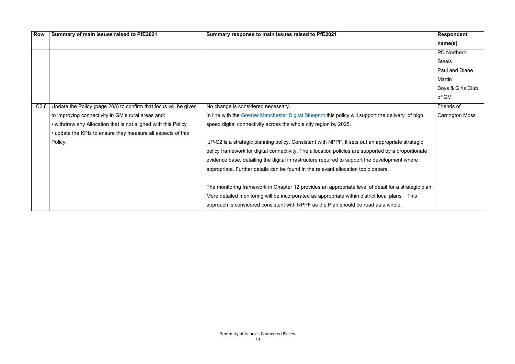| <b>Row</b> | Summary of main issues raised to PfE2021                                | Summary response to main issues raised to PfE2021                                                    | Respondent             |
|------------|-------------------------------------------------------------------------|------------------------------------------------------------------------------------------------------|------------------------|
|            |                                                                         |                                                                                                      | name(s)                |
|            |                                                                         |                                                                                                      | PD Northern            |
|            |                                                                         |                                                                                                      | <b>Steels</b>          |
|            |                                                                         |                                                                                                      | <b>Paul and Diane</b>  |
|            |                                                                         |                                                                                                      | Martin                 |
|            |                                                                         |                                                                                                      | Boys & Girls Club      |
|            |                                                                         |                                                                                                      | of GM                  |
|            | $C2.8$ Update the Policy (page 203) to confirm that focus will be given | No change is considered necessary.                                                                   | Friends of             |
|            | to improving connectivity in GM's rural areas and:                      | In line with the Greater Manchester Digital Blueprint this policy will support the delivery of high  | <b>Carrington Moss</b> |
|            | • withdraw any Allocation that is not aligned with this Policy          | speed digital connectivity across the whole city region by 2025.                                     |                        |
|            | • update the KPIs to ensure they measure all aspects of this            |                                                                                                      |                        |
|            | Policy.                                                                 | JP-C2 is a strategic planning policy. Consistent with NPPF, it sets out an appropriate strategic     |                        |
|            |                                                                         | policy framework for digital connectivity. The allocation policies are supported by a proportionate  |                        |
|            |                                                                         | evidence base, detailing the digital infrastructure required to support the development where        |                        |
|            |                                                                         | appropriate. Further details can be found in the relevant allocation topic papers.                   |                        |
|            |                                                                         |                                                                                                      |                        |
|            |                                                                         | The monitoring framework in Chapter 12 provides an appropriate level of detail for a strategic plan. |                        |
|            |                                                                         | More detailed monitoring will be incorporated as appropriate within district local plans. This       |                        |
|            |                                                                         | approach is considered consistent with NPPF as the Plan should be read as a whole.                   |                        |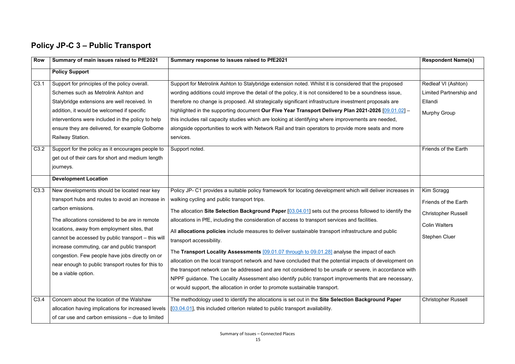#### **Policy JP-C 3 – Public Transport**

| <b>Row</b>   | Summary of main issues raised to PfE2021                                                                                                                                                                                                                                                                                                                                                                                                                     | Summary response to issues raised to PfE2021                                                                                                                                                                                                                                                                                                                                                                                                                                                                                                                                                                                                                                                                                                                                                                                                                                                                                                                                                                                   | <b>Respondent Name(s)</b>                                                                                               |
|--------------|--------------------------------------------------------------------------------------------------------------------------------------------------------------------------------------------------------------------------------------------------------------------------------------------------------------------------------------------------------------------------------------------------------------------------------------------------------------|--------------------------------------------------------------------------------------------------------------------------------------------------------------------------------------------------------------------------------------------------------------------------------------------------------------------------------------------------------------------------------------------------------------------------------------------------------------------------------------------------------------------------------------------------------------------------------------------------------------------------------------------------------------------------------------------------------------------------------------------------------------------------------------------------------------------------------------------------------------------------------------------------------------------------------------------------------------------------------------------------------------------------------|-------------------------------------------------------------------------------------------------------------------------|
|              | <b>Policy Support</b>                                                                                                                                                                                                                                                                                                                                                                                                                                        |                                                                                                                                                                                                                                                                                                                                                                                                                                                                                                                                                                                                                                                                                                                                                                                                                                                                                                                                                                                                                                |                                                                                                                         |
| C3.1<br>C3.2 | Support for principles of the policy overall.<br>Schemes such as Metrolink Ashton and<br>Stalybridge extensions are well received. In<br>addition, it would be welcomed if specific<br>interventions were included in the policy to help<br>ensure they are delivered, for example Golborne<br>Railway Station.<br>Support for the policy as it encourages people to<br>get out of their cars for short and medium length<br>journeys.                       | Support for Metrolink Ashton to Stalybridge extension noted. Whilst it is considered that the proposed<br>wording additions could improve the detail of the policy, it is not considered to be a soundness issue,<br>therefore no change is proposed. All strategically significant infrastructure investment proposals are<br>highlighted in the supporting document Our Five Year Transport Delivery Plan 2021-2026 [09.01.02] -<br>this includes rail capacity studies which are looking at identifying where improvements are needed,<br>alongside opportunities to work with Network Rail and train operators to provide more seats and more<br>services.<br>Support noted.                                                                                                                                                                                                                                                                                                                                               | Redleaf VI (Ashton)<br>Limited Partnership and<br>Ellandi<br><b>Murphy Group</b><br><b>Friends of the Earth</b>         |
|              | <b>Development Location</b>                                                                                                                                                                                                                                                                                                                                                                                                                                  |                                                                                                                                                                                                                                                                                                                                                                                                                                                                                                                                                                                                                                                                                                                                                                                                                                                                                                                                                                                                                                |                                                                                                                         |
| C3.3         | New developments should be located near key<br>transport hubs and routes to avoid an increase in<br>carbon emissions.<br>The allocations considered to be are in remote<br>locations, away from employment sites, that<br>cannot be accessed by public transport - this will<br>increase commuting, car and public transport<br>congestion. Few people have jobs directly on or<br>near enough to public transport routes for this to<br>be a viable option. | Policy JP- C1 provides a suitable policy framework for locating development which will deliver increases in<br>walking cycling and public transport trips.<br>The allocation Site Selection Background Paper [03.04.01] sets out the process followed to identify the<br>allocations in PfE, including the consideration of access to transport services and facilities.<br>All allocations policies include measures to deliver sustainable transport infrastructure and public<br>transport accessibility.<br>The Transport Locality Assessments [09.01.07 through to 09.01.28] analyse the impact of each<br>allocation on the local transport network and have concluded that the potential impacts of development on<br>the transport network can be addressed and are not considered to be unsafe or severe, in accordance with<br>NPPF guidance. The Locality Assessment also identify public transport improvements that are necessary,<br>or would support, the allocation in order to promote sustainable transport. | Kim Scragg<br><b>Friends of the Earth</b><br><b>Christopher Russell</b><br><b>Colin Walters</b><br><b>Stephen Cluer</b> |
| C3.4         | Concern about the location of the Walshaw<br>allocation having implications for increased levels<br>of car use and carbon emissions – due to limited                                                                                                                                                                                                                                                                                                         | The methodology used to identify the allocations is set out in the Site Selection Background Paper<br>[03.04.01], this included criterion related to public transport availability.                                                                                                                                                                                                                                                                                                                                                                                                                                                                                                                                                                                                                                                                                                                                                                                                                                            | <b>Christopher Russell</b>                                                                                              |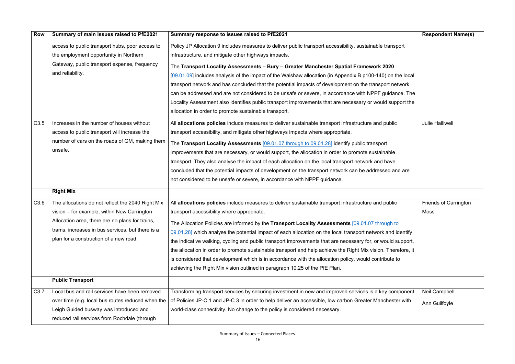| <b>Row</b> | Summary of main issues raised to PfE2021          | Summary response to issues raised to PfE2021                                                                    | <b>Respondent Name(s)</b>    |
|------------|---------------------------------------------------|-----------------------------------------------------------------------------------------------------------------|------------------------------|
|            | access to public transport hubs, poor access to   | Policy JP Allocation 9 includes measures to deliver public transport accessibility, sustainable transport       |                              |
|            | the employment opportunity in Northern            | infrastructure, and mitigate other highways impacts.                                                            |                              |
|            | Gateway, public transport expense, frequency      | The Transport Locality Assessments - Bury - Greater Manchester Spatial Framework 2020                           |                              |
|            | and reliability.                                  | $[09.01.09]$ includes analysis of the impact of the Walshaw allocation (in Appendix B $p100-140$ ) on the local |                              |
|            |                                                   | transport network and has concluded that the potential impacts of development on the transport network          |                              |
|            |                                                   | can be addressed and are not considered to be unsafe or severe, in accordance with NPPF guidance. The           |                              |
|            |                                                   | Locality Assessment also identifies public transport improvements that are necessary or would support the       |                              |
|            |                                                   | allocation in order to promote sustainable transport.                                                           |                              |
| C3.5       | Increases in the number of houses without         | All allocations policies include measures to deliver sustainable transport infrastructure and public            | <b>Julie Halliwell</b>       |
|            | access to public transport will increase the      | transport accessibility, and mitigate other highways impacts where appropriate.                                 |                              |
|            | number of cars on the roads of GM, making them    | The Transport Locality Assessments [09.01.07 through to 09.01.28] identify public transport                     |                              |
|            | unsafe.                                           | improvements that are necessary, or would support, the allocation in order to promote sustainable               |                              |
|            |                                                   | transport. They also analyse the impact of each allocation on the local transport network and have              |                              |
|            |                                                   | concluded that the potential impacts of development on the transport network can be addressed and are           |                              |
|            |                                                   | not considered to be unsafe or severe, in accordance with NPPF guidance.                                        |                              |
|            | <b>Right Mix</b>                                  |                                                                                                                 |                              |
| C3.6       | The allocations do not reflect the 2040 Right Mix | All allocations policies include measures to deliver sustainable transport infrastructure and public            | <b>Friends of Carrington</b> |
|            | vision - for example, within New Carrington       | transport accessibility where appropriate.                                                                      | Moss                         |
|            | Allocation area, there are no plans for trains,   | The Allocation Policies are informed by the Transport Locality Assessments [09.01.07 through to                 |                              |
|            | trams, increases in bus services, but there is a  | 09.01.28] which analyse the potential impact of each allocation on the local transport network and identify     |                              |
|            | plan for a construction of a new road.            | the indicative walking, cycling and public transport improvements that are necessary for, or would support,     |                              |
|            |                                                   | the allocation in order to promote sustainable transport and help achieve the Right Mix vision. Therefore, it   |                              |
|            |                                                   | is considered that development which is in accordance with the allocation policy, would contribute to           |                              |
|            |                                                   | achieving the Right Mix vision outlined in paragraph 10.25 of the PfE Plan.                                     |                              |
|            | <b>Public Transport</b>                           |                                                                                                                 |                              |
| C3.7       | Local bus and rail services have been removed     | Transforming transport services by securing investment in new and improved services is a key component          | Neil Campbell                |
|            | over time (e.g. local bus routes reduced when the | of Policies JP-C 1 and JP-C 3 in order to help deliver an accessible, low carbon Greater Manchester with        | Ann Guilfoyle                |
|            | Leigh Guided busway was introduced and            | world-class connectivity. No change to the policy is considered necessary.                                      |                              |
|            | reduced rail services from Rochdale (through      |                                                                                                                 |                              |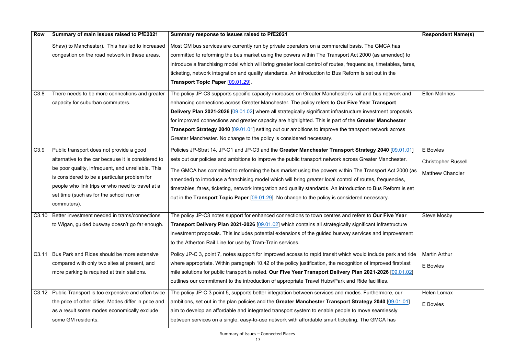| <b>Row</b> | Summary of main issues raised to PfE2021                                                                                                                                                                                                                                                                          | Summary response to issues raised to PfE2021                                                                                                                                                                                                                                                                                                                                                                                                                                                                                                                                                                                                         | <b>Respondent Name(s)</b>                                         |
|------------|-------------------------------------------------------------------------------------------------------------------------------------------------------------------------------------------------------------------------------------------------------------------------------------------------------------------|------------------------------------------------------------------------------------------------------------------------------------------------------------------------------------------------------------------------------------------------------------------------------------------------------------------------------------------------------------------------------------------------------------------------------------------------------------------------------------------------------------------------------------------------------------------------------------------------------------------------------------------------------|-------------------------------------------------------------------|
|            | Shaw) to Manchester). This has led to increased<br>congestion on the road network in these areas.                                                                                                                                                                                                                 | Most GM bus services are currently run by private operators on a commercial basis. The GMCA has<br>committed to reforming the bus market using the powers within The Transport Act 2000 (as amended) to<br>introduce a franchising model which will bring greater local control of routes, frequencies, timetables, fares,<br>ticketing, network integration and quality standards. An introduction to Bus Reform is set out in the<br>Transport Topic Paper [09.01.29].                                                                                                                                                                             |                                                                   |
| C3.8       | There needs to be more connections and greater<br>capacity for suburban commuters.                                                                                                                                                                                                                                | The policy JP-C3 supports specific capacity increases on Greater Manchester's rail and bus network and<br>enhancing connections across Greater Manchester. The policy refers to Our Five Year Transport<br>Delivery Plan 2021-2026 [09.01.02] where all strategically significant infrastructure investment proposals<br>for improved connections and greater capacity are highlighted. This is part of the Greater Manchester<br><b>Transport Strategy 2040</b> [09.01.01] setting out our ambitions to improve the transport network across<br>Greater Manchester. No change to the policy is considered necessary.                                | <b>Ellen McInnes</b>                                              |
| C3.9       | Public transport does not provide a good<br>alternative to the car because it is considered to<br>be poor quality, infrequent, and unreliable. This<br>is considered to be a particular problem for<br>people who link trips or who need to travel at a<br>set time (such as for the school run or<br>commuters). | Policies JP-Strat 14, JP-C1 and JP-C3 and the Greater Manchester Transport Strategy 2040 [09.01.01]<br>sets out our policies and ambitions to improve the public transport network across Greater Manchester.<br>The GMCA has committed to reforming the bus market using the powers within The Transport Act 2000 (as<br>amended) to introduce a franchising model which will bring greater local control of routes, frequencies,<br>timetables, fares, ticketing, network integration and quality standards. An introduction to Bus Reform is set<br>out in the Transport Topic Paper [09.01.29]. No change to the policy is considered necessary. | E Bowles<br><b>Christopher Russell</b><br><b>Matthew Chandler</b> |
| C3.10      | Better investment needed in trams/connections<br>to Wigan, guided busway doesn't go far enough.                                                                                                                                                                                                                   | The policy JP-C3 notes support for enhanced connections to town centres and refers to Our Five Year<br>Transport Delivery Plan 2021-2026 [09.01.02] which contains all strategically significant infrastructure<br>investment proposals. This includes potential extensions of the guided busway services and improvement<br>to the Atherton Rail Line for use by Tram-Train services.                                                                                                                                                                                                                                                               | <b>Steve Mosby</b>                                                |
| C3.11      | Bus Park and Rides should be more extensive<br>compared with only two sites at present, and<br>more parking is required at train stations.                                                                                                                                                                        | Policy JP-C 3, point 7, notes support for improved access to rapid transit which would include park and ride<br>where appropriate. Within paragraph 10.42 of the policy justification, the recognition of improved first/last<br>mile solutions for public transport is noted. Our Five Year Transport Delivery Plan 2021-2026 [09.01.02]<br>outlines our commitment to the introduction of appropriate Travel Hubs/Park and Ride facilities.                                                                                                                                                                                                        | <b>Martin Arthur</b><br>E Bowles                                  |
| C3.12      | Public Transport is too expensive and often twice<br>the price of other cities. Modes differ in price and<br>as a result some modes economically exclude<br>some GM residents.                                                                                                                                    | The policy JP-C 3 point 5, supports better integration between services and modes. Furthermore, our<br>ambitions, set out in the plan policies and the Greater Manchester Transport Strategy 2040 [09.01.01]<br>aim to develop an affordable and integrated transport system to enable people to move seamlessly<br>between services on a single, easy-to-use network with affordable smart ticketing. The GMCA has                                                                                                                                                                                                                                  | <b>Helen Lomax</b><br>E Bowles                                    |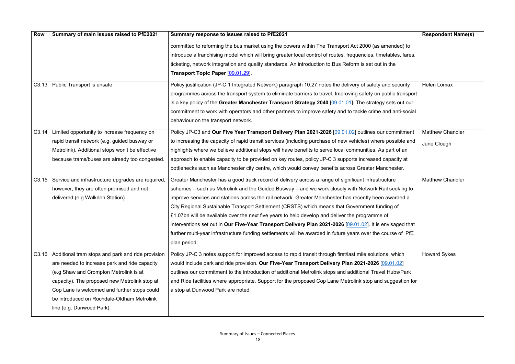| <b>Row</b>        | Summary of main issues raised to PfE2021                 | Summary response to issues raised to PfE2021                                                                    | <b>Respondent Name(s)</b> |
|-------------------|----------------------------------------------------------|-----------------------------------------------------------------------------------------------------------------|---------------------------|
|                   |                                                          | committed to reforming the bus market using the powers within The Transport Act 2000 (as amended) to            |                           |
|                   |                                                          | introduce a franchising model which will bring greater local control of routes, frequencies, timetables, fares, |                           |
|                   |                                                          | ticketing, network integration and quality standards. An introduction to Bus Reform is set out in the           |                           |
|                   |                                                          | Transport Topic Paper [09.01.29].                                                                               |                           |
|                   | C3.13   Public Transport is unsafe.                      | Policy justification (JP-C 1 Integrated Network) paragraph 10.27 notes the delivery of safety and security      | Helen Lomax               |
|                   |                                                          | programmes across the transport system to eliminate barriers to travel. Improving safety on public transport    |                           |
|                   |                                                          | is a key policy of the Greater Manchester Transport Strategy 2040 [09.01.01]. The strategy sets out our         |                           |
|                   |                                                          | commitment to work with operators and other partners to improve safety and to tackle crime and anti-social      |                           |
|                   |                                                          | behaviour on the transport network.                                                                             |                           |
| C <sub>3.14</sub> | Limited opportunity to increase frequency on             | Policy JP-C3 and Our Five Year Transport Delivery Plan 2021-2026 [09.01.02] outlines our commitment             | <b>Matthew Chandler</b>   |
|                   | rapid transit network (e.g. guided busway or             | to increasing the capacity of rapid transit services (including purchase of new vehicles) where possible and    | June Clough               |
|                   | Metrolink). Additional stops won't be effective          | highlights where we believe additional stops will have benefits to serve local communities. As part of an       |                           |
|                   | because trams/buses are already too congested.           | approach to enable capacity to be provided on key routes, policy JP-C 3 supports increased capacity at          |                           |
|                   |                                                          | bottlenecks such as Manchester city centre, which would convey benefits across Greater Manchester.              |                           |
|                   | C3.15   Service and infrastructure upgrades are required | Greater Manchester has a good track record of delivery across a range of significant infrastructure             | <b>Matthew Chandler</b>   |
|                   | however, they are often promised and not                 | schemes - such as Metrolink and the Guided Busway - and we work closely with Network Rail seeking to            |                           |
|                   | delivered (e.g Walkden Station).                         | improve services and stations across the rail network. Greater Manchester has recently been awarded a           |                           |
|                   |                                                          | City Regional Sustainable Transport Settlement (CRSTS) which means that Government funding of                   |                           |
|                   |                                                          | £1.07bn will be available over the next five years to help develop and deliver the programme of                 |                           |
|                   |                                                          | interventions set out in Our Five-Year Transport Delivery Plan 2021-2026 [09.01.02]. It is envisaged that       |                           |
|                   |                                                          | further multi-year infrastructure funding settlements will be awarded in future years over the course of PfE    |                           |
|                   |                                                          | plan period.                                                                                                    |                           |
| C3.16             | Additional tram stops and park and ride provision        | Policy JP-C 3 notes support for improved access to rapid transit through first/last mile solutions, which       | <b>Howard Sykes</b>       |
|                   | are needed to increase park and ride capacity            | would include park and ride provision. Our Five-Year Transport Delivery Plan 2021-2026 [09.01.02]               |                           |
|                   | (e.g Shaw and Crompton Metrolink is at                   | outlines our commitment to the introduction of additional Metrolink stops and additional Travel Hubs/Park       |                           |
|                   | capacity). The proposed new Metrolink stop at            | and Ride facilities where appropriate. Support for the proposed Cop Lane Metrolink stop and suggestion for      |                           |
|                   | Cop Lane is welcomed and further stops could             | a stop at Dunwood Park are noted.                                                                               |                           |
|                   | be introduced on Rochdale-Oldham Metrolink               |                                                                                                                 |                           |
|                   | line (e.g. Dunwood Park).                                |                                                                                                                 |                           |
|                   |                                                          |                                                                                                                 |                           |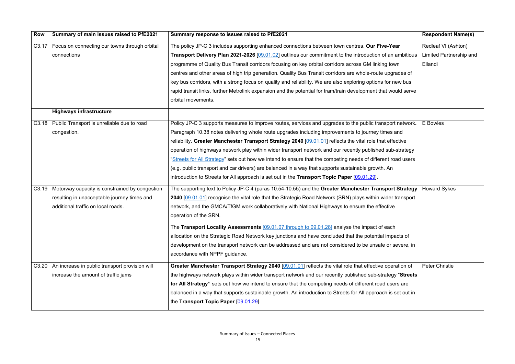| <b>Row</b> | Summary of main issues raised to PfE2021                 | Summary response to issues raised to PfE2021                                                                   | <b>Respondent Name(s)</b> |
|------------|----------------------------------------------------------|----------------------------------------------------------------------------------------------------------------|---------------------------|
|            | C3.17   Focus on connecting our towns through orbital    | The policy JP-C 3 includes supporting enhanced connections between town centres. Our Five-Year                 | Redleaf VI (Ashton)       |
|            | connections                                              | Transport Delivery Plan 2021-2026 [09.01.02] outlines our commitment to the introduction of an ambitious       | Limited Partnership and   |
|            |                                                          | programme of Quality Bus Transit corridors focusing on key orbital corridors across GM linking town            | Ellandi                   |
|            |                                                          | centres and other areas of high trip generation. Quality Bus Transit corridors are whole-route upgrades of     |                           |
|            |                                                          | key bus corridors, with a strong focus on quality and reliability. We are also exploring options for new bus   |                           |
|            |                                                          | rapid transit links, further Metrolink expansion and the potential for tram/train development that would serve |                           |
|            |                                                          | orbital movements.                                                                                             |                           |
|            | <b>Highways infrastructure</b>                           |                                                                                                                |                           |
|            | C3.18   Public Transport is unreliable due to road       | Policy JP-C 3 supports measures to improve routes, services and upgrades to the public transport network.      | E Bowles                  |
|            | congestion.                                              | Paragraph 10.38 notes delivering whole route upgrades including improvements to journey times and              |                           |
|            |                                                          | reliability. Greater Manchester Transport Strategy 2040 [09.01.01] reflects the vital role that effective      |                           |
|            |                                                          | operation of highways network play within wider transport network and our recently published sub-strategy      |                           |
|            |                                                          | "Streets for All Strategy" sets out how we intend to ensure that the competing needs of different road users   |                           |
|            |                                                          | (e.g. public transport and car drivers) are balanced in a way that supports sustainable growth. An             |                           |
|            |                                                          | introduction to Streets for All approach is set out in the Transport Topic Paper $[09.01.29]$ .                |                           |
|            | C3.19   Motorway capacity is constrained by congestion   | The supporting text to Policy JP-C 4 (paras 10.54-10.55) and the Greater Manchester Transport Strategy         | <b>Howard Sykes</b>       |
|            | resulting in unacceptable journey times and              | 2040 [09.01.01] recognise the vital role that the Strategic Road Network (SRN) plays within wider transport    |                           |
|            | additional traffic on local roads.                       | network, and the GMCA/TfGM work collaboratively with National Highways to ensure the effective                 |                           |
|            |                                                          | operation of the SRN.                                                                                          |                           |
|            |                                                          | The Transport Locality Assessments [09.01.07 through to 09.01.28] analyse the impact of each                   |                           |
|            |                                                          | allocation on the Strategic Road Network key junctions and have concluded that the potential impacts of        |                           |
|            |                                                          | development on the transport network can be addressed and are not considered to be unsafe or severe, in        |                           |
|            |                                                          | accordance with NPPF guidance.                                                                                 |                           |
|            | $C3.20$   An increase in public transport provision will | Greater Manchester Transport Strategy 2040 [09.01.01] reflects the vital role that effective operation of      | <b>Peter Christie</b>     |
|            | increase the amount of traffic jams                      | the highways network plays within wider transport network and our recently published sub-strategy "Streets     |                           |
|            |                                                          | for All Strategy" sets out how we intend to ensure that the competing needs of different road users are        |                           |
|            |                                                          | balanced in a way that supports sustainable growth. An introduction to Streets for All approach is set out in  |                           |
|            |                                                          | the Transport Topic Paper [09.01.29].                                                                          |                           |
|            |                                                          |                                                                                                                |                           |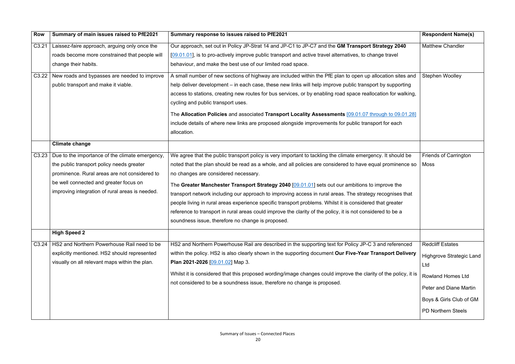| <b>Row</b>        | Summary of main issues raised to PfE2021        | Summary response to issues raised to PfE2021                                                                    | <b>Respondent Name(s)</b>    |
|-------------------|-------------------------------------------------|-----------------------------------------------------------------------------------------------------------------|------------------------------|
| C3.21             | Laissez-faire approach, arguing only once the   | Our approach, set out in Policy JP-Strat 14 and JP-C1 to JP-C7 and the GM Transport Strategy 2040               | <b>Matthew Chandler</b>      |
|                   | roads become more constrained that people will  | [09.01.01], is to pro-actively improve public transport and active travel alternatives, to change travel        |                              |
|                   | change their habits.                            | behaviour, and make the best use of our limited road space.                                                     |                              |
| C3.22             | New roads and bypasses are needed to improve    | A small number of new sections of highway are included within the PfE plan to open up allocation sites and      | <b>Stephen Woolley</b>       |
|                   | public transport and make it viable.            | help deliver development – in each case, these new links will help improve public transport by supporting       |                              |
|                   |                                                 | access to stations, creating new routes for bus services, or by enabling road space reallocation for walking,   |                              |
|                   |                                                 | cycling and public transport uses.                                                                              |                              |
|                   |                                                 | The Allocation Policies and associated Transport Locality Assessments [09.01.07 through to 09.01.28]            |                              |
|                   |                                                 | include details of where new links are proposed alongside improvements for public transport for each            |                              |
|                   |                                                 | allocation.                                                                                                     |                              |
|                   | <b>Climate change</b>                           |                                                                                                                 |                              |
| C <sub>3.23</sub> | Due to the importance of the climate emergency, | We agree that the public transport policy is very important to tackling the climate emergency. It should be     | <b>Friends of Carrington</b> |
|                   | the public transport policy needs greater       | noted that the plan should be read as a whole, and all policies are considered to have equal prominence so      | Moss                         |
|                   | prominence. Rural areas are not considered to   | no changes are considered necessary.                                                                            |                              |
|                   | be well connected and greater focus on          | The Greater Manchester Transport Strategy 2040 [09.01.01] sets out our ambitions to improve the                 |                              |
|                   | improving integration of rural areas is needed. | transport network including our approach to improving access in rural areas. The strategy recognises that       |                              |
|                   |                                                 | people living in rural areas experience specific transport problems. Whilst it is considered that greater       |                              |
|                   |                                                 | reference to transport in rural areas could improve the clarity of the policy, it is not considered to be a     |                              |
|                   |                                                 | soundness issue, therefore no change is proposed.                                                               |                              |
|                   | <b>High Speed 2</b>                             |                                                                                                                 |                              |
| C <sub>3.24</sub> | HS2 and Northern Powerhouse Rail need to be     | HS2 and Northern Powerhouse Rail are described in the supporting text for Policy JP-C 3 and referenced          | <b>Redcliff Estates</b>      |
|                   | explicitly mentioned. HS2 should represented    | within the policy. HS2 is also clearly shown in the supporting document Our Five-Year Transport Delivery        | Highgrove Strategic Land     |
|                   | visually on all relevant maps within the plan.  | Plan 2021-2026 [09.01.02] Map 3.                                                                                | Ltd                          |
|                   |                                                 | Whilst it is considered that this proposed wording/image changes could improve the clarity of the policy, it is | <b>Rowland Homes Ltd</b>     |
|                   |                                                 | not considered to be a soundness issue, therefore no change is proposed.                                        | Peter and Diane Martin       |
|                   |                                                 |                                                                                                                 |                              |
|                   |                                                 |                                                                                                                 | Boys & Girls Club of GM      |
|                   |                                                 |                                                                                                                 | PD Northern Steels           |
|                   |                                                 |                                                                                                                 |                              |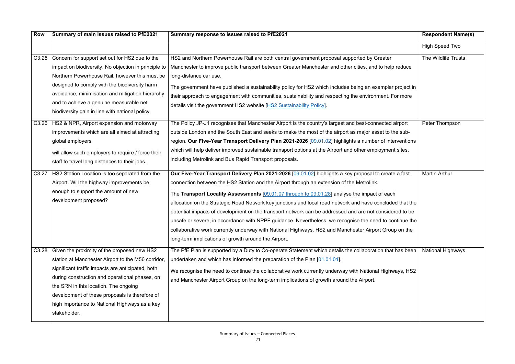| <b>Row</b>        | Summary of main issues raised to PfE2021                                                                                                                                                                                                                                                                                                                             | Summary response to issues raised to PfE2021                                                                                                                                                                                                                                                                                                                                                                                                                                                                                                                                                                                                                                                                                                                                                           | <b>Respondent Name(s)</b> |
|-------------------|----------------------------------------------------------------------------------------------------------------------------------------------------------------------------------------------------------------------------------------------------------------------------------------------------------------------------------------------------------------------|--------------------------------------------------------------------------------------------------------------------------------------------------------------------------------------------------------------------------------------------------------------------------------------------------------------------------------------------------------------------------------------------------------------------------------------------------------------------------------------------------------------------------------------------------------------------------------------------------------------------------------------------------------------------------------------------------------------------------------------------------------------------------------------------------------|---------------------------|
|                   |                                                                                                                                                                                                                                                                                                                                                                      |                                                                                                                                                                                                                                                                                                                                                                                                                                                                                                                                                                                                                                                                                                                                                                                                        | <b>High Speed Two</b>     |
| C3.25             | Concern for support set out for HS2 due to the<br>impact on biodiversity. No objection in principle to<br>Northern Powerhouse Rail, however this must be<br>designed to comply with the biodiversity harm                                                                                                                                                            | HS2 and Northern Powerhouse Rail are both central government proposal supported by Greater<br>Manchester to improve public transport between Greater Manchester and other cities, and to help reduce<br>long-distance car use.<br>The government have published a sustainability policy for HS2 which includes being an exemplar project in                                                                                                                                                                                                                                                                                                                                                                                                                                                            | The Wildlife Trusts       |
|                   | avoidance, minimisation and mitigation hierarchy,<br>and to achieve a genuine measurable net<br>biodiversity gain in line with national policy.                                                                                                                                                                                                                      | their approach to engagement with communities, sustainability and respecting the environment. For more<br>details visit the government HS2 website [HS2 Sustainability Policy].                                                                                                                                                                                                                                                                                                                                                                                                                                                                                                                                                                                                                        |                           |
| C3.26             | HS2 & NPR, Airport expansion and motorway<br>improvements which are all aimed at attracting<br>global employers<br>will allow such employers to require / force their<br>staff to travel long distances to their jobs.                                                                                                                                               | The Policy JP-J1 recognises that Manchester Airport is the country's largest and best-connected airport<br>outside London and the South East and seeks to make the most of the airport as major asset to the sub-<br>region. Our Five-Year Transport Delivery Plan 2021-2026 [09.01.02] highlights a number of interventions<br>which will help deliver improved sustainable transport options at the Airport and other employment sites,<br>including Metrolink and Bus Rapid Transport proposals.                                                                                                                                                                                                                                                                                                    | Peter Thompson            |
| C3.27             | HS2 Station Location is too separated from the<br>Airport. Will the highway improvements be<br>enough to support the amount of new<br>development proposed?                                                                                                                                                                                                          | Our Five-Year Transport Delivery Plan 2021-2026 [09.01.02] highlights a key proposal to create a fast<br>connection between the HS2 Station and the Airport through an extension of the Metrolink.<br>The Transport Locality Assessments [09.01.07 through to 09.01.28] analyse the impact of each<br>allocation on the Strategic Road Network key junctions and local road network and have concluded that the<br>potential impacts of development on the transport network can be addressed and are not considered to be<br>unsafe or severe, in accordance with NPPF guidance. Nevertheless, we recognise the need to continue the<br>collaborative work currently underway with National Highways, HS2 and Manchester Airport Group on the<br>long-term implications of growth around the Airport. | <b>Martin Arthur</b>      |
| C <sub>3.28</sub> | Given the proximity of the proposed new HS2<br>station at Manchester Airport to the M56 corridor,<br>significant traffic impacts are anticipated, both<br>during construction and operational phases, on<br>the SRN in this location. The ongoing<br>development of these proposals is therefore of<br>high importance to National Highways as a key<br>stakeholder. | The PfE Plan is supported by a Duty to Co-operate Statement which details the collaboration that has been<br>undertaken and which has informed the preparation of the Plan $[01.01.01]$ .<br>We recognise the need to continue the collaborative work currently underway with National Highways, HS2<br>and Manchester Airport Group on the long-term implications of growth around the Airport.                                                                                                                                                                                                                                                                                                                                                                                                       | <b>National Highways</b>  |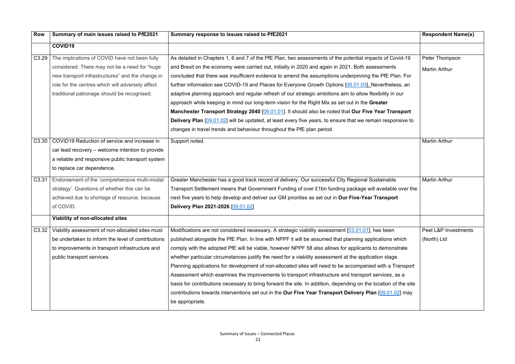| <b>Row</b>        | Summary of main issues raised to PfE2021           | Summary response to issues raised to PfE2021                                                                       | <b>Respondent Name(s)</b> |
|-------------------|----------------------------------------------------|--------------------------------------------------------------------------------------------------------------------|---------------------------|
|                   | <b>COVID19</b>                                     |                                                                                                                    |                           |
| C <sub>3.29</sub> | The implications of COVID have not been fully      | As detailed in Chapters 1, 6 and 7 of the PfE Plan, two assessments of the potential impacts of Covid-19           | Peter Thompson            |
|                   | considered. There may not be a need for "huge      | and Brexit on the economy were carried out, initially in 2020 and again in 2021. Both assessments                  | <b>Martin Arthur</b>      |
|                   | new transport infrastructures" and the change in   | concluded that there was insufficient evidence to amend the assumptions underpinning the PfE Plan. For             |                           |
|                   | role for the centres which will adversely affect   | further information see COVID-19 and Places for Everyone Growth Options [05.01.03]. Nevertheless, an               |                           |
|                   | traditional patronage should be recognised.        | adaptive planning approach and regular refresh of our strategic ambitions aim to allow flexibility in our          |                           |
|                   |                                                    | approach while keeping in mind our long-term vision for the Right Mix as set out in the Greater                    |                           |
|                   |                                                    | Manchester Transport Strategy 2040 [09.01.01]. It should also be noted that Our Five Year Transport                |                           |
|                   |                                                    | <b>Delivery Plan</b> [09.01.02] will be updated, at least every five years, to ensure that we remain responsive to |                           |
|                   |                                                    | changes in travel trends and behaviour throughout the PfE plan period.                                             |                           |
| C <sub>3.30</sub> | COVID19 Reduction of service and increase in       | Support noted.                                                                                                     | <b>Martin Arthur</b>      |
|                   | car lead recovery – welcome intention to provide   |                                                                                                                    |                           |
|                   | a reliable and responsive public transport system  |                                                                                                                    |                           |
|                   | to replace car dependence.                         |                                                                                                                    |                           |
| C <sub>3.31</sub> | Endorsement of the 'comprehensive multi-modal      | Greater Manchester has a good track record of delivery. Our successful City Regional Sustainable                   | <b>Martin Arthur</b>      |
|                   | strategy'. Questions of whether this can be        | Transport Settlement means that Government Funding of over £1bn funding package will available over the            |                           |
|                   | achieved due to shortage of resource, because      | next five years to help develop and deliver our GM priorities as set out in Our Five-Year Transport                |                           |
|                   | of COVID.                                          | Delivery Plan 2021-2026 [09.01.02]                                                                                 |                           |
|                   | Viability of non-allocated sites                   |                                                                                                                    |                           |
| C <sub>3.32</sub> | Viability assessment of non-allocated sites must   | Modifications are not considered necessary. A strategic viability assessment [03.01.01], has been                  | Peel L&P Investments      |
|                   | be undertaken to inform the level of contributions | published alongside the PfE Plan. In line with NPPF it will be assumed that planning applications which            | (North) Ltd               |
|                   | to improvements in transport infrastructure and    | comply with the adopted PfE will be viable, however NPPF 58 also allows for applicants to demonstrate              |                           |
|                   | public transport services.                         | whether particular circumstances justify the need for a viability assessment at the application stage.             |                           |
|                   |                                                    | Planning applications for development of non-allocated sites will need to be accompanied with a Transport          |                           |
|                   |                                                    | Assessment which examines the improvements to transport infrastructure and transport services, as a                |                           |
|                   |                                                    | basis for contributions necessary to bring forward the site. In addition, depending on the location of the site    |                           |
|                   |                                                    | contributions towards interventions set out in the Our Five Year Transport Delivery Plan [09.01.02] may            |                           |
|                   |                                                    | be appropriate.                                                                                                    |                           |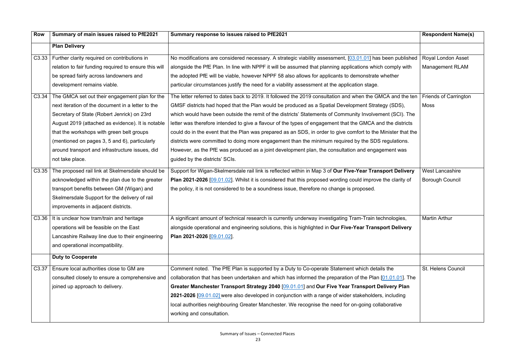| <b>Row</b>        | Summary of main issues raised to PfE2021              | Summary response to issues raised to PfE2021                                                                      | <b>Respondent Name(s)</b>    |
|-------------------|-------------------------------------------------------|-------------------------------------------------------------------------------------------------------------------|------------------------------|
|                   | <b>Plan Delivery</b>                                  |                                                                                                                   |                              |
|                   | C3.33   Further clarity required on contributions in  | No modifications are considered necessary. A strategic viability assessment, [03.01.01] has been published        | <b>Royal London Asset</b>    |
|                   | relation to fair funding required to ensure this will | alongside the PfE Plan. In line with NPPF it will be assumed that planning applications which comply with         | <b>Management RLAM</b>       |
|                   | be spread fairly across landowners and                | the adopted PfE will be viable, however NPPF 58 also allows for applicants to demonstrate whether                 |                              |
|                   | development remains viable.                           | particular circumstances justify the need for a viability assessment at the application stage.                    |                              |
| C <sub>3.34</sub> | The GMCA set out their engagement plan for the        | The letter referred to dates back to 2019. It followed the 2019 consultation and when the GMCA and the ten        | <b>Friends of Carrington</b> |
|                   | next iteration of the document in a letter to the     | GMSF districts had hoped that the Plan would be produced as a Spatial Development Strategy (SDS),                 | Moss                         |
|                   | Secretary of State (Robert Jenrick) on 23rd           | which would have been outside the remit of the districts' Statements of Community Involvement (SCI). The          |                              |
|                   | August 2019 (attached as evidence). It is notable     | letter was therefore intended to give a flavour of the types of engagement that the GMCA and the districts        |                              |
|                   | that the workshops with green belt groups             | could do in the event that the Plan was prepared as an SDS, in order to give comfort to the Minister that the     |                              |
|                   | (mentioned on pages 3, 5 and 6), particularly         | districts were committed to doing more engagement than the minimum required by the SDS regulations.               |                              |
|                   | around transport and infrastructure issues, did       | However, as the PfE was produced as a joint development plan, the consultation and engagement was                 |                              |
|                   | not take place.                                       | guided by the districts' SCIs.                                                                                    |                              |
| C <sub>3.35</sub> | The proposed rail link at Skelmersdale should be      | Support for Wigan-Skelmersdale rail link is reflected within in Map 3 of Our Five-Year Transport Delivery         | <b>West Lancashire</b>       |
|                   | acknowledged within the plan due to the greater       | <b>Plan 2021-2026</b> [09.01.02]. Whilst it is considered that this proposed wording could improve the clarity of | <b>Borough Council</b>       |
|                   | transport benefits between GM (Wigan) and             | the policy, it is not considered to be a soundness issue, therefore no change is proposed.                        |                              |
|                   | Skelmersdale Support for the delivery of rail         |                                                                                                                   |                              |
|                   | improvements in adjacent districts.                   |                                                                                                                   |                              |
| C3.36             | It is unclear how tram/train and heritage             | A significant amount of technical research is currently underway investigating Tram-Train technologies,           | <b>Martin Arthur</b>         |
|                   | operations will be feasible on the East               | alongside operational and engineering solutions, this is highlighted in Our Five-Year Transport Delivery          |                              |
|                   | Lancashire Railway line due to their engineering      | Plan 2021-2026 [09.01.02].                                                                                        |                              |
|                   | and operational incompatibility.                      |                                                                                                                   |                              |
|                   | <b>Duty to Cooperate</b>                              |                                                                                                                   |                              |
| C <sub>3.37</sub> | Ensure local authorities close to GM are              | Comment noted. The PfE Plan is supported by a Duty to Co-operate Statement which details the                      | St. Helens Council           |
|                   | consulted closely to ensure a comprehensive and       | collaboration that has been undertaken and which has informed the preparation of the Plan $[01.01.01]$ . The      |                              |
|                   | joined up approach to delivery.                       | Greater Manchester Transport Strategy 2040 [09.01.01] and Our Five Year Transport Delivery Plan                   |                              |
|                   |                                                       | 2021-2026 [09.01.02] were also developed in conjunction with a range of wider stakeholders, including             |                              |
|                   |                                                       | local authorities neighbouring Greater Manchester. We recognise the need for on-going collaborative               |                              |
|                   |                                                       | working and consultation.                                                                                         |                              |
|                   |                                                       |                                                                                                                   |                              |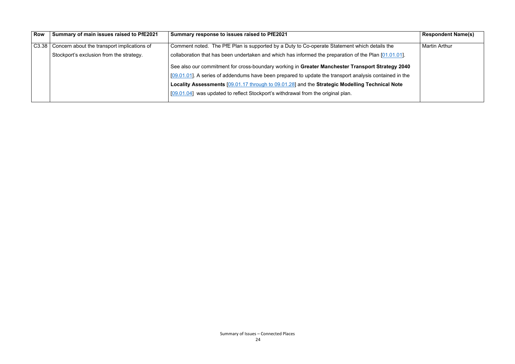| <b>Row</b> | Summary of main issues raised to PfE2021            | Summary response to issues raised to PfE2021                                                              | <b>Respondent Name(s)</b> |
|------------|-----------------------------------------------------|-----------------------------------------------------------------------------------------------------------|---------------------------|
|            | C3.38   Concern about the transport implications of | Comment noted. The PfE Plan is supported by a Duty to Co-operate Statement which details the              | <b>Martin Arthur</b>      |
|            | Stockport's exclusion from the strategy.            | collaboration that has been undertaken and which has informed the preparation of the Plan [01.01.01].     |                           |
|            |                                                     | See also our commitment for cross-boundary working in Greater Manchester Transport Strategy 2040          |                           |
|            |                                                     | $[09.01.01]$ . A series of addendums have been prepared to update the transport analysis contained in the |                           |
|            |                                                     | Locality Assessments [09.01.17 through to 09.01.28] and the Strategic Modelling Technical Note            |                           |
|            |                                                     | [09.01.04] was updated to reflect Stockport's withdrawal from the original plan.                          |                           |
|            |                                                     |                                                                                                           |                           |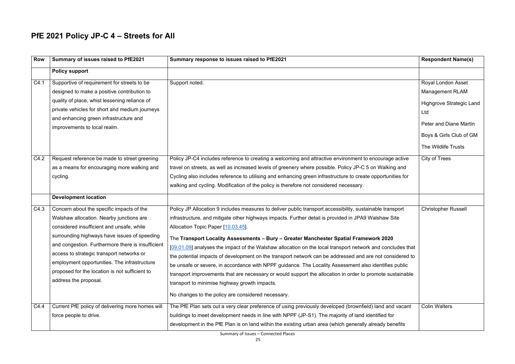#### **PfE 2021 Policy JP-C 4 – Streets for All**

| <b>Row</b> | Summary of issues raised to PfE2021                                                                                                                                                                                                                                                                                                                                                                             | Summary response to issues raised to PfE2021                                                                                                                                                                                                                                                                                                                                                                                                                                                                                                                                                                                                                                                                                                                                                                                                                                                            | <b>Respondent Name(s)</b>                                                                                                                                                 |
|------------|-----------------------------------------------------------------------------------------------------------------------------------------------------------------------------------------------------------------------------------------------------------------------------------------------------------------------------------------------------------------------------------------------------------------|---------------------------------------------------------------------------------------------------------------------------------------------------------------------------------------------------------------------------------------------------------------------------------------------------------------------------------------------------------------------------------------------------------------------------------------------------------------------------------------------------------------------------------------------------------------------------------------------------------------------------------------------------------------------------------------------------------------------------------------------------------------------------------------------------------------------------------------------------------------------------------------------------------|---------------------------------------------------------------------------------------------------------------------------------------------------------------------------|
|            | <b>Policy support</b>                                                                                                                                                                                                                                                                                                                                                                                           |                                                                                                                                                                                                                                                                                                                                                                                                                                                                                                                                                                                                                                                                                                                                                                                                                                                                                                         |                                                                                                                                                                           |
| C4.1       | Supportive of requirement for streets to be<br>designed to make a positive contribution to<br>quality of place, whist lessening reliance of<br>private vehicles for short and medium journeys<br>and enhancing green infrastructure and<br>improvements to local realm.                                                                                                                                         | Support noted.                                                                                                                                                                                                                                                                                                                                                                                                                                                                                                                                                                                                                                                                                                                                                                                                                                                                                          | Royal London Asset<br><b>Management RLAM</b><br><b>Highgrove Strategic Land</b><br>Ltd<br><b>Peter and Diane Martin</b><br>Boys & Girls Club of GM<br>The Wildlife Trusts |
| C4.2       | Request reference be made to street greening<br>as a means for encouraging more walking and<br>cycling.                                                                                                                                                                                                                                                                                                         | Policy JP-C4 includes reference to creating a welcoming and attractive environment to encourage active<br>travel on streets, as well as increased levels of greenery where possible. Policy JP-C 5 on Walking and<br>Cycling also includes reference to utilising and enhancing green infrastructure to create opportunities for<br>walking and cycling. Modification of the policy is therefore not considered necessary.                                                                                                                                                                                                                                                                                                                                                                                                                                                                              | City of Trees                                                                                                                                                             |
|            | <b>Development location</b>                                                                                                                                                                                                                                                                                                                                                                                     |                                                                                                                                                                                                                                                                                                                                                                                                                                                                                                                                                                                                                                                                                                                                                                                                                                                                                                         |                                                                                                                                                                           |
| C4.3       | Concern about the specific impacts of the<br>Walshaw allocation. Nearby junctions are<br>considered insufficient and unsafe, while<br>surrounding highways have issues of speeding<br>and congestion. Furthermore there is insufficient<br>access to strategic transport networks or<br>employment opportunities. The infrastructure<br>proposed for the location is not sufficient to<br>address the proposal. | Policy JP Allocation 9 includes measures to deliver public transport accessibility, sustainable transport<br>infrastructure, and mitigate other highways impacts. Further detail is provided in JPA9 Walshaw Site<br>Allocation Topic Paper [10.03.45].<br>The Transport Locality Assessments - Bury - Greater Manchester Spatial Framework 2020<br>[09.01.09] analyses the impact of the Walshaw allocation on the local transport network and concludes that<br>the potential impacts of development on the transport network can be addressed and are not considered to<br>be unsafe or severe, in accordance with NPPF guidance. The Locality Assessment also identifies public<br>transport improvements that are necessary or would support the allocation in order to promote sustainable<br>transport to minimise highway growth impacts.<br>No changes to the policy are considered necessary. | <b>Christopher Russell</b>                                                                                                                                                |
| C4.4       | Current PfE policy of delivering more homes will<br>force people to drive.                                                                                                                                                                                                                                                                                                                                      | The PfE Plan sets out a very clear preference of using previously developed (brownfield) land and vacant<br>buildings to meet development needs in line with NPPF (JP-S1). The majority of land identified for<br>development in the PfE Plan is on land within the existing urban area (which generally already benefits                                                                                                                                                                                                                                                                                                                                                                                                                                                                                                                                                                               | <b>Colin Walters</b>                                                                                                                                                      |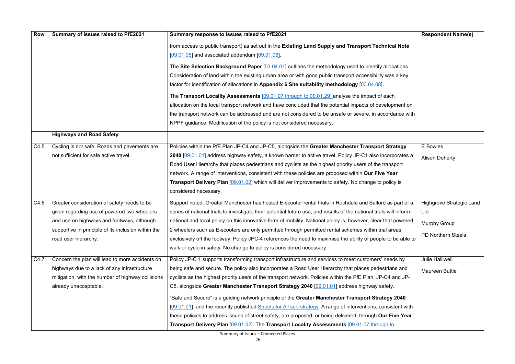| <b>Row</b> | Summary of issues raised to PfE2021                 | Summary response to issues raised to PfE2021                                                                        | <b>Respondent Name(s)</b>       |
|------------|-----------------------------------------------------|---------------------------------------------------------------------------------------------------------------------|---------------------------------|
|            |                                                     | from access to public transport) as set out in the Existing Land Supply and Transport Technical Note                |                                 |
|            |                                                     | $[09.01.05]$ and associated addendum $[09.01.06]$ .                                                                 |                                 |
|            |                                                     | The Site Selection Background Paper [03.04.01] outlines the methodology used to identify allocations.               |                                 |
|            |                                                     | Consideration of land within the existing urban area or with good public transport accessibility was a key          |                                 |
|            |                                                     | factor for identification of allocations in Appendix 6 Site suitability methodology [03.04.08].                     |                                 |
|            |                                                     | The Transport Locality Assessments [09.01.07 through to 09.01.29] analyse the impact of each                        |                                 |
|            |                                                     | allocation on the local transport network and have concluded that the potential impacts of development on           |                                 |
|            |                                                     | the transport network can be addressed and are not considered to be unsafe or severe, in accordance with            |                                 |
|            |                                                     | NPPF guidance. Modification of the policy is not considered necessary.                                              |                                 |
|            | <b>Highways and Road Safety</b>                     |                                                                                                                     |                                 |
| C4.5       | Cycling is not safe. Roads and pavements are        | Policies within the PfE Plan JP-C4 and JP-C5, alongside the Greater Manchester Transport Strategy                   | E Bowles                        |
|            | not sufficient for safe active travel.              | 2040 [09.01.01] address highway safety, a known barrier to active travel. Policy JP-C1 also incorporates a          | <b>Alison Doherty</b>           |
|            |                                                     | Road User Hierarchy that places pedestrians and cyclists as the highest priority users of the transport             |                                 |
|            |                                                     | network. A range of interventions, consistent with these policies are proposed within Our Five Year                 |                                 |
|            |                                                     | <b>Transport Delivery Plan [09.01.02]</b> which will deliver improvements to safety. No change to policy is         |                                 |
|            |                                                     | considered necessary.                                                                                               |                                 |
| C4.6       | Greater consideration of safety needs to be         | Support noted. Greater Manchester has hosted E-scooter rental trials in Rochdale and Salford as part of a           | <b>Highgrove Strategic Land</b> |
|            | given regarding use of powered two-wheelers         | series of national trials to investigate their potential future use, and results of the national trials will inform | Ltd                             |
|            | and use on highways and footways, although          | national and local policy on this innovative form of mobility. National policy is, however, clear that powered      | <b>Murphy Group</b>             |
|            | supportive in principle of its inclusion within the | 2 wheelers such as E-scooters are only permitted through permitted rental schemes within trial areas,               |                                 |
|            | road user hierarchy.                                | exclusively off the footway. Policy JPC-4 references the need to maximise the ability of people to be able to       | PD Northern Steels              |
|            |                                                     | walk or cycle in safety. No change to policy is considered necessary.                                               |                                 |
| C4.7       | Concern the plan will lead to more accidents on     | Policy JP-C 1 supports transforming transport infrastructure and services to meet customers' needs by               | <b>Julie Halliwell</b>          |
|            | highways due to a lack of any infrastructure        | being safe and secure. The policy also incorporates a Road User Hierarchy that places pedestrians and               | <b>Maureen Buttle</b>           |
|            | mitigation, with the number of highway collisions   | cyclists as the highest priority users of the transport network. Policies within the PfE Plan, JP-C4 and JP-        |                                 |
|            | already unacceptable.                               | C5, alongside Greater Manchester Transport Strategy 2040 [09.01.01] address highway safety.                         |                                 |
|            |                                                     | "Safe and Secure" is a guiding network principle of the Greater Manchester Transport Strategy 2040                  |                                 |
|            |                                                     | [09.01.01], and the recently published Streets for All sub-strategy. A range of interventions, consistent with      |                                 |
|            |                                                     | these policies to address issues of street safety, are proposed, or being delivered, through Our Five Year          |                                 |
|            |                                                     | Transport Delivery Plan [09.01.02]. The Transport Locality Assessments [09.01.07 through to                         |                                 |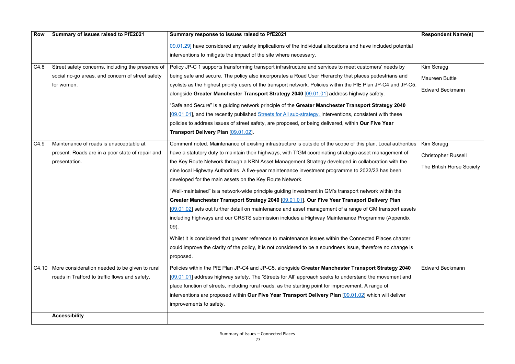| Summary of issues raised to PfE2021               | Summary response to issues raised to PfE2021                                                                   | <b>Respondent Name(s)</b>  |
|---------------------------------------------------|----------------------------------------------------------------------------------------------------------------|----------------------------|
|                                                   | 09.01.29] have considered any safety implications of the individual allocations and have included potential    |                            |
|                                                   | interventions to mitigate the impact of the site where necessary.                                              |                            |
| Street safety concerns, including the presence of | Policy JP-C 1 supports transforming transport infrastructure and services to meet customers' needs by          | Kim Scragg                 |
| social no-go areas, and concern of street safety  | being safe and secure. The policy also incorporates a Road User Hierarchy that places pedestrians and          | <b>Maureen Buttle</b>      |
| for women.                                        | cyclists as the highest priority users of the transport network. Policies within the PfE Plan JP-C4 and JP-C5, |                            |
|                                                   | alongside Greater Manchester Transport Strategy 2040 [09.01.01] address highway safety.                        | <b>Edward Beckmann</b>     |
|                                                   | "Safe and Secure" is a guiding network principle of the Greater Manchester Transport Strategy 2040             |                            |
|                                                   | [09.01.01], and the recently published Streets for All sub-strategy. Interventions, consistent with these      |                            |
|                                                   | policies to address issues of street safety, are proposed, or being delivered, within Our Five Year            |                            |
|                                                   | Transport Delivery Plan [09.01.02].                                                                            |                            |
| Maintenance of roads is unacceptable at           | Comment noted. Maintenance of existing infrastructure is outside of the scope of this plan. Local authorities  | Kim Scragg                 |
| present. Roads are in a poor state of repair and  | have a statutory duty to maintain their highways, with TfGM coordinating strategic asset management of         | <b>Christopher Russell</b> |
| presentation.                                     | the Key Route Network through a KRN Asset Management Strategy developed in collaboration with the              |                            |
|                                                   | nine local Highway Authorities. A five-year maintenance investment programme to 2022/23 has been               | The British Horse Society  |
|                                                   | developed for the main assets on the Key Route Network.                                                        |                            |
|                                                   | "Well-maintained" is a network-wide principle guiding investment in GM's transport network within the          |                            |
|                                                   | Greater Manchester Transport Strategy 2040 [09.01.01]. Our Five Year Transport Delivery Plan                   |                            |
|                                                   | [09.01.02] sets out further detail on maintenance and asset management of a range of GM transport assets       |                            |
|                                                   | including highways and our CRSTS submission includes a Highway Maintenance Programme (Appendix                 |                            |
|                                                   | $09)$ .                                                                                                        |                            |
|                                                   | Whilst it is considered that greater reference to maintenance issues within the Connected Places chapter       |                            |
|                                                   | could improve the clarity of the policy, it is not considered to be a soundness issue, therefore no change is  |                            |
|                                                   | proposed.                                                                                                      |                            |
|                                                   | Policies within the PfE Plan JP-C4 and JP-C5, alongside Greater Manchester Transport Strategy 2040             | <b>Edward Beckmann</b>     |
| roads in Trafford to traffic flows and safety.    | [09.01.01] address highway safety. The 'Streets for All' approach seeks to understand the movement and         |                            |
|                                                   | place function of streets, including rural roads, as the starting point for improvement. A range of            |                            |
|                                                   | interventions are proposed within Our Five Year Transport Delivery Plan [09.01.02] which will deliver          |                            |
|                                                   | improvements to safety.                                                                                        |                            |
| <b>Accessibility</b>                              |                                                                                                                |                            |
|                                                   | C4.10   More consideration needed to be given to rural                                                         |                            |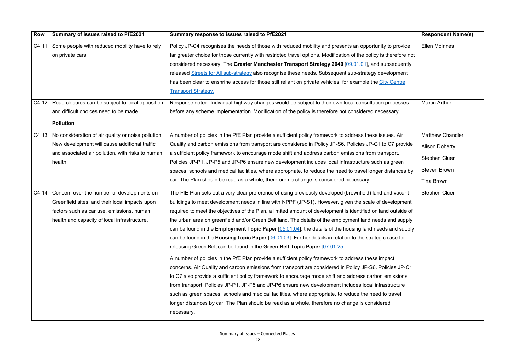| <b>Row</b> | Summary of issues raised to PfE2021                         | Summary response to issues raised to PfE2021                                                                       | <b>Respondent Name(s)</b> |
|------------|-------------------------------------------------------------|--------------------------------------------------------------------------------------------------------------------|---------------------------|
| C4.11      | Some people with reduced mobility have to rely              | Policy JP-C4 recognises the needs of those with reduced mobility and presents an opportunity to provide            | <b>Ellen McInnes</b>      |
|            | on private cars.                                            | far greater choice for those currently with restricted travel options. Modification of the policy is therefore not |                           |
|            |                                                             | considered necessary. The Greater Manchester Transport Strategy 2040 [09.01.01], and subsequently                  |                           |
|            |                                                             | released Streets for All sub-strategy also recognise these needs. Subsequent sub-strategy development              |                           |
|            |                                                             | has been clear to enshrine access for those still reliant on private vehicles, for example the City Centre         |                           |
|            |                                                             | <b>Transport Strategy.</b>                                                                                         |                           |
| C4.12      | Road closures can be subject to local opposition            | Response noted. Individual highway changes would be subject to their own local consultation processes              | <b>Martin Arthur</b>      |
|            | and difficult choices need to be made.                      | before any scheme implementation. Modification of the policy is therefore not considered necessary.                |                           |
|            | <b>Pollution</b>                                            |                                                                                                                    |                           |
|            | C4.13   No consideration of air quality or noise pollution. | A number of policies in the PfE Plan provide a sufficient policy framework to address these issues. Air            | <b>Matthew Chandler</b>   |
|            | New development will cause additional traffic               | Quality and carbon emissions from transport are considered in Policy JP-S6. Policies JP-C1 to C7 provide           | <b>Alison Doherty</b>     |
|            | and associated air pollution, with risks to human           | a sufficient policy framework to encourage mode shift and address carbon emissions from transport.                 |                           |
|            | health.                                                     | Policies JP-P1, JP-P5 and JP-P6 ensure new development includes local infrastructure such as green                 | <b>Stephen Cluer</b>      |
|            |                                                             | spaces, schools and medical facilities, where appropriate, to reduce the need to travel longer distances by        | <b>Steven Brown</b>       |
|            |                                                             | car. The Plan should be read as a whole, therefore no change is considered necessary.                              | <b>Tina Brown</b>         |
|            | $C4.14$ Concern over the number of developments on          | The PfE Plan sets out a very clear preference of using previously developed (brownfield) land and vacant           | Stephen Cluer             |
|            | Greenfield sites, and their local impacts upon              | buildings to meet development needs in line with NPPF (JP-S1). However, given the scale of development             |                           |
|            | factors such as car use, emissions, human                   | required to meet the objectives of the Plan, a limited amount of development is identified on land outside of      |                           |
|            | health and capacity of local infrastructure.                | the urban area on greenfield and/or Green Belt land. The details of the employment land needs and supply           |                           |
|            |                                                             | can be found in the <b>Employment Topic Paper</b> $[05.01.04]$ , the details of the housing land needs and supply  |                           |
|            |                                                             | can be found in the Housing Topic Paper [06.01.03]. Further details in relation to the strategic case for          |                           |
|            |                                                             | releasing Green Belt can be found in the Green Belt Topic Paper [07.01.25].                                        |                           |
|            |                                                             | A number of policies in the PfE Plan provide a sufficient policy framework to address these impact                 |                           |
|            |                                                             | concerns. Air Quality and carbon emissions from transport are considered in Policy JP-S6. Policies JP-C1           |                           |
|            |                                                             | to C7 also provide a sufficient policy framework to encourage mode shift and address carbon emissions              |                           |
|            |                                                             | from transport. Policies JP-P1, JP-P5 and JP-P6 ensure new development includes local infrastructure               |                           |
|            |                                                             | such as green spaces, schools and medical facilities, where appropriate, to reduce the need to travel              |                           |
|            |                                                             | longer distances by car. The Plan should be read as a whole, therefore no change is considered                     |                           |
|            |                                                             | necessary.                                                                                                         |                           |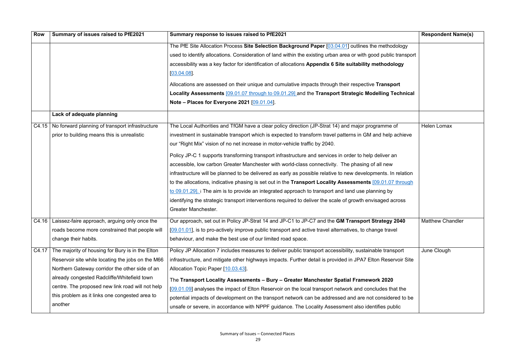| The PfE Site Allocation Process Site Selection Background Paper [03.04.01] outlines the methodology<br>used to identify allocations. Consideration of land within the existing urban area or with good public transport<br>accessibility was a key factor for identification of allocations Appendix 6 Site suitability methodology<br>[03.04.08]<br>Allocations are assessed on their unique and cumulative impacts through their respective Transport<br>Locality Assessments [09.01.07 through to 09.01.29] and the Transport Strategic Modelling Technical<br>Note – Places for Everyone 2021 $[09.01.04]$ .<br>Lack of adequate planning<br>C4.15   No forward planning of transport infrastructure<br>The Local Authorities and TfGM have a clear policy direction (JP-Strat 14) and major programme of<br><b>Helen Lomax</b><br>prior to building means this is unrealistic<br>investment in sustainable transport which is expected to transform travel patterns in GM and help achieve<br>our "Right Mix" vision of no net increase in motor-vehicle traffic by 2040.<br>Policy JP-C 1 supports transforming transport infrastructure and services in order to help deliver an<br>accessible, low carbon Greater Manchester with world-class connectivity. The phasing of all new<br>infrastructure will be planned to be delivered as early as possible relative to new developments. In relation<br>to the allocations, indicative phasing is set out in the Transport Locality Assessments [09.01.07 through<br>to 09.01.29]. i The aim is to provide an integrated approach to transport and land use planning by<br>identifying the strategic transport interventions required to deliver the scale of growth envisaged across<br><b>Greater Manchester.</b><br>C4.16   Laissez-faire approach, arguing only once the<br>Our approach, set out in Policy JP-Strat 14 and JP-C1 to JP-C7 and the GM Transport Strategy 2040<br><b>Matthew Chandler</b><br>$[09.01.01]$ , is to pro-actively improve public transport and active travel alternatives, to change travel<br>roads become more constrained that people will<br>change their habits.<br>behaviour, and make the best use of our limited road space.<br>The majority of housing for Bury is in the Elton<br>Policy JP Allocation 7 includes measures to deliver public transport accessibility, sustainable transport<br>June Clough<br>C4.17<br>infrastructure, and mitigate other highways impacts. Further detail is provided in JPA7 Elton Reservoir Site<br>Reservoir site while locating the jobs on the M66<br>Northern Gateway corridor the other side of an<br>Allocation Topic Paper [10.03.43].<br>already congested Radcliffe/Whitefield town<br>The Transport Locality Assessments - Bury - Greater Manchester Spatial Framework 2020<br>centre. The proposed new link road will not help<br>[09.01.09] analyses the impact of Elton Reservoir on the local transport network and concludes that the<br>this problem as it links one congested area to<br>potential impacts of development on the transport network can be addressed and are not considered to be<br>another | <b>Row</b> | Summary of issues raised to PfE2021 | Summary response to issues raised to PfE2021                                                       | <b>Respondent Name(s)</b> |
|------------------------------------------------------------------------------------------------------------------------------------------------------------------------------------------------------------------------------------------------------------------------------------------------------------------------------------------------------------------------------------------------------------------------------------------------------------------------------------------------------------------------------------------------------------------------------------------------------------------------------------------------------------------------------------------------------------------------------------------------------------------------------------------------------------------------------------------------------------------------------------------------------------------------------------------------------------------------------------------------------------------------------------------------------------------------------------------------------------------------------------------------------------------------------------------------------------------------------------------------------------------------------------------------------------------------------------------------------------------------------------------------------------------------------------------------------------------------------------------------------------------------------------------------------------------------------------------------------------------------------------------------------------------------------------------------------------------------------------------------------------------------------------------------------------------------------------------------------------------------------------------------------------------------------------------------------------------------------------------------------------------------------------------------------------------------------------------------------------------------------------------------------------------------------------------------------------------------------------------------------------------------------------------------------------------------------------------------------------------------------------------------------------------------------------------------------------------------------------------------------------------------------------------------------------------------------------------------------------------------------------------------------------------------------------------------------------------------------------------------------------------------------------------------------------------------------------------------------------------------------------------------------------------------------------------------------------------------------------------------------------------------------------------------------------------------------------------------------------------------------------------------------------------|------------|-------------------------------------|----------------------------------------------------------------------------------------------------|---------------------------|
|                                                                                                                                                                                                                                                                                                                                                                                                                                                                                                                                                                                                                                                                                                                                                                                                                                                                                                                                                                                                                                                                                                                                                                                                                                                                                                                                                                                                                                                                                                                                                                                                                                                                                                                                                                                                                                                                                                                                                                                                                                                                                                                                                                                                                                                                                                                                                                                                                                                                                                                                                                                                                                                                                                                                                                                                                                                                                                                                                                                                                                                                                                                                                                  |            |                                     |                                                                                                    |                           |
|                                                                                                                                                                                                                                                                                                                                                                                                                                                                                                                                                                                                                                                                                                                                                                                                                                                                                                                                                                                                                                                                                                                                                                                                                                                                                                                                                                                                                                                                                                                                                                                                                                                                                                                                                                                                                                                                                                                                                                                                                                                                                                                                                                                                                                                                                                                                                                                                                                                                                                                                                                                                                                                                                                                                                                                                                                                                                                                                                                                                                                                                                                                                                                  |            |                                     |                                                                                                    |                           |
|                                                                                                                                                                                                                                                                                                                                                                                                                                                                                                                                                                                                                                                                                                                                                                                                                                                                                                                                                                                                                                                                                                                                                                                                                                                                                                                                                                                                                                                                                                                                                                                                                                                                                                                                                                                                                                                                                                                                                                                                                                                                                                                                                                                                                                                                                                                                                                                                                                                                                                                                                                                                                                                                                                                                                                                                                                                                                                                                                                                                                                                                                                                                                                  |            |                                     |                                                                                                    |                           |
|                                                                                                                                                                                                                                                                                                                                                                                                                                                                                                                                                                                                                                                                                                                                                                                                                                                                                                                                                                                                                                                                                                                                                                                                                                                                                                                                                                                                                                                                                                                                                                                                                                                                                                                                                                                                                                                                                                                                                                                                                                                                                                                                                                                                                                                                                                                                                                                                                                                                                                                                                                                                                                                                                                                                                                                                                                                                                                                                                                                                                                                                                                                                                                  |            |                                     |                                                                                                    |                           |
|                                                                                                                                                                                                                                                                                                                                                                                                                                                                                                                                                                                                                                                                                                                                                                                                                                                                                                                                                                                                                                                                                                                                                                                                                                                                                                                                                                                                                                                                                                                                                                                                                                                                                                                                                                                                                                                                                                                                                                                                                                                                                                                                                                                                                                                                                                                                                                                                                                                                                                                                                                                                                                                                                                                                                                                                                                                                                                                                                                                                                                                                                                                                                                  |            |                                     |                                                                                                    |                           |
|                                                                                                                                                                                                                                                                                                                                                                                                                                                                                                                                                                                                                                                                                                                                                                                                                                                                                                                                                                                                                                                                                                                                                                                                                                                                                                                                                                                                                                                                                                                                                                                                                                                                                                                                                                                                                                                                                                                                                                                                                                                                                                                                                                                                                                                                                                                                                                                                                                                                                                                                                                                                                                                                                                                                                                                                                                                                                                                                                                                                                                                                                                                                                                  |            |                                     |                                                                                                    |                           |
|                                                                                                                                                                                                                                                                                                                                                                                                                                                                                                                                                                                                                                                                                                                                                                                                                                                                                                                                                                                                                                                                                                                                                                                                                                                                                                                                                                                                                                                                                                                                                                                                                                                                                                                                                                                                                                                                                                                                                                                                                                                                                                                                                                                                                                                                                                                                                                                                                                                                                                                                                                                                                                                                                                                                                                                                                                                                                                                                                                                                                                                                                                                                                                  |            |                                     |                                                                                                    |                           |
|                                                                                                                                                                                                                                                                                                                                                                                                                                                                                                                                                                                                                                                                                                                                                                                                                                                                                                                                                                                                                                                                                                                                                                                                                                                                                                                                                                                                                                                                                                                                                                                                                                                                                                                                                                                                                                                                                                                                                                                                                                                                                                                                                                                                                                                                                                                                                                                                                                                                                                                                                                                                                                                                                                                                                                                                                                                                                                                                                                                                                                                                                                                                                                  |            |                                     |                                                                                                    |                           |
|                                                                                                                                                                                                                                                                                                                                                                                                                                                                                                                                                                                                                                                                                                                                                                                                                                                                                                                                                                                                                                                                                                                                                                                                                                                                                                                                                                                                                                                                                                                                                                                                                                                                                                                                                                                                                                                                                                                                                                                                                                                                                                                                                                                                                                                                                                                                                                                                                                                                                                                                                                                                                                                                                                                                                                                                                                                                                                                                                                                                                                                                                                                                                                  |            |                                     |                                                                                                    |                           |
|                                                                                                                                                                                                                                                                                                                                                                                                                                                                                                                                                                                                                                                                                                                                                                                                                                                                                                                                                                                                                                                                                                                                                                                                                                                                                                                                                                                                                                                                                                                                                                                                                                                                                                                                                                                                                                                                                                                                                                                                                                                                                                                                                                                                                                                                                                                                                                                                                                                                                                                                                                                                                                                                                                                                                                                                                                                                                                                                                                                                                                                                                                                                                                  |            |                                     |                                                                                                    |                           |
|                                                                                                                                                                                                                                                                                                                                                                                                                                                                                                                                                                                                                                                                                                                                                                                                                                                                                                                                                                                                                                                                                                                                                                                                                                                                                                                                                                                                                                                                                                                                                                                                                                                                                                                                                                                                                                                                                                                                                                                                                                                                                                                                                                                                                                                                                                                                                                                                                                                                                                                                                                                                                                                                                                                                                                                                                                                                                                                                                                                                                                                                                                                                                                  |            |                                     |                                                                                                    |                           |
|                                                                                                                                                                                                                                                                                                                                                                                                                                                                                                                                                                                                                                                                                                                                                                                                                                                                                                                                                                                                                                                                                                                                                                                                                                                                                                                                                                                                                                                                                                                                                                                                                                                                                                                                                                                                                                                                                                                                                                                                                                                                                                                                                                                                                                                                                                                                                                                                                                                                                                                                                                                                                                                                                                                                                                                                                                                                                                                                                                                                                                                                                                                                                                  |            |                                     |                                                                                                    |                           |
|                                                                                                                                                                                                                                                                                                                                                                                                                                                                                                                                                                                                                                                                                                                                                                                                                                                                                                                                                                                                                                                                                                                                                                                                                                                                                                                                                                                                                                                                                                                                                                                                                                                                                                                                                                                                                                                                                                                                                                                                                                                                                                                                                                                                                                                                                                                                                                                                                                                                                                                                                                                                                                                                                                                                                                                                                                                                                                                                                                                                                                                                                                                                                                  |            |                                     |                                                                                                    |                           |
|                                                                                                                                                                                                                                                                                                                                                                                                                                                                                                                                                                                                                                                                                                                                                                                                                                                                                                                                                                                                                                                                                                                                                                                                                                                                                                                                                                                                                                                                                                                                                                                                                                                                                                                                                                                                                                                                                                                                                                                                                                                                                                                                                                                                                                                                                                                                                                                                                                                                                                                                                                                                                                                                                                                                                                                                                                                                                                                                                                                                                                                                                                                                                                  |            |                                     |                                                                                                    |                           |
|                                                                                                                                                                                                                                                                                                                                                                                                                                                                                                                                                                                                                                                                                                                                                                                                                                                                                                                                                                                                                                                                                                                                                                                                                                                                                                                                                                                                                                                                                                                                                                                                                                                                                                                                                                                                                                                                                                                                                                                                                                                                                                                                                                                                                                                                                                                                                                                                                                                                                                                                                                                                                                                                                                                                                                                                                                                                                                                                                                                                                                                                                                                                                                  |            |                                     |                                                                                                    |                           |
|                                                                                                                                                                                                                                                                                                                                                                                                                                                                                                                                                                                                                                                                                                                                                                                                                                                                                                                                                                                                                                                                                                                                                                                                                                                                                                                                                                                                                                                                                                                                                                                                                                                                                                                                                                                                                                                                                                                                                                                                                                                                                                                                                                                                                                                                                                                                                                                                                                                                                                                                                                                                                                                                                                                                                                                                                                                                                                                                                                                                                                                                                                                                                                  |            |                                     |                                                                                                    |                           |
|                                                                                                                                                                                                                                                                                                                                                                                                                                                                                                                                                                                                                                                                                                                                                                                                                                                                                                                                                                                                                                                                                                                                                                                                                                                                                                                                                                                                                                                                                                                                                                                                                                                                                                                                                                                                                                                                                                                                                                                                                                                                                                                                                                                                                                                                                                                                                                                                                                                                                                                                                                                                                                                                                                                                                                                                                                                                                                                                                                                                                                                                                                                                                                  |            |                                     |                                                                                                    |                           |
|                                                                                                                                                                                                                                                                                                                                                                                                                                                                                                                                                                                                                                                                                                                                                                                                                                                                                                                                                                                                                                                                                                                                                                                                                                                                                                                                                                                                                                                                                                                                                                                                                                                                                                                                                                                                                                                                                                                                                                                                                                                                                                                                                                                                                                                                                                                                                                                                                                                                                                                                                                                                                                                                                                                                                                                                                                                                                                                                                                                                                                                                                                                                                                  |            |                                     |                                                                                                    |                           |
|                                                                                                                                                                                                                                                                                                                                                                                                                                                                                                                                                                                                                                                                                                                                                                                                                                                                                                                                                                                                                                                                                                                                                                                                                                                                                                                                                                                                                                                                                                                                                                                                                                                                                                                                                                                                                                                                                                                                                                                                                                                                                                                                                                                                                                                                                                                                                                                                                                                                                                                                                                                                                                                                                                                                                                                                                                                                                                                                                                                                                                                                                                                                                                  |            |                                     |                                                                                                    |                           |
|                                                                                                                                                                                                                                                                                                                                                                                                                                                                                                                                                                                                                                                                                                                                                                                                                                                                                                                                                                                                                                                                                                                                                                                                                                                                                                                                                                                                                                                                                                                                                                                                                                                                                                                                                                                                                                                                                                                                                                                                                                                                                                                                                                                                                                                                                                                                                                                                                                                                                                                                                                                                                                                                                                                                                                                                                                                                                                                                                                                                                                                                                                                                                                  |            |                                     |                                                                                                    |                           |
|                                                                                                                                                                                                                                                                                                                                                                                                                                                                                                                                                                                                                                                                                                                                                                                                                                                                                                                                                                                                                                                                                                                                                                                                                                                                                                                                                                                                                                                                                                                                                                                                                                                                                                                                                                                                                                                                                                                                                                                                                                                                                                                                                                                                                                                                                                                                                                                                                                                                                                                                                                                                                                                                                                                                                                                                                                                                                                                                                                                                                                                                                                                                                                  |            |                                     |                                                                                                    |                           |
|                                                                                                                                                                                                                                                                                                                                                                                                                                                                                                                                                                                                                                                                                                                                                                                                                                                                                                                                                                                                                                                                                                                                                                                                                                                                                                                                                                                                                                                                                                                                                                                                                                                                                                                                                                                                                                                                                                                                                                                                                                                                                                                                                                                                                                                                                                                                                                                                                                                                                                                                                                                                                                                                                                                                                                                                                                                                                                                                                                                                                                                                                                                                                                  |            |                                     |                                                                                                    |                           |
|                                                                                                                                                                                                                                                                                                                                                                                                                                                                                                                                                                                                                                                                                                                                                                                                                                                                                                                                                                                                                                                                                                                                                                                                                                                                                                                                                                                                                                                                                                                                                                                                                                                                                                                                                                                                                                                                                                                                                                                                                                                                                                                                                                                                                                                                                                                                                                                                                                                                                                                                                                                                                                                                                                                                                                                                                                                                                                                                                                                                                                                                                                                                                                  |            |                                     |                                                                                                    |                           |
|                                                                                                                                                                                                                                                                                                                                                                                                                                                                                                                                                                                                                                                                                                                                                                                                                                                                                                                                                                                                                                                                                                                                                                                                                                                                                                                                                                                                                                                                                                                                                                                                                                                                                                                                                                                                                                                                                                                                                                                                                                                                                                                                                                                                                                                                                                                                                                                                                                                                                                                                                                                                                                                                                                                                                                                                                                                                                                                                                                                                                                                                                                                                                                  |            |                                     |                                                                                                    |                           |
|                                                                                                                                                                                                                                                                                                                                                                                                                                                                                                                                                                                                                                                                                                                                                                                                                                                                                                                                                                                                                                                                                                                                                                                                                                                                                                                                                                                                                                                                                                                                                                                                                                                                                                                                                                                                                                                                                                                                                                                                                                                                                                                                                                                                                                                                                                                                                                                                                                                                                                                                                                                                                                                                                                                                                                                                                                                                                                                                                                                                                                                                                                                                                                  |            |                                     |                                                                                                    |                           |
|                                                                                                                                                                                                                                                                                                                                                                                                                                                                                                                                                                                                                                                                                                                                                                                                                                                                                                                                                                                                                                                                                                                                                                                                                                                                                                                                                                                                                                                                                                                                                                                                                                                                                                                                                                                                                                                                                                                                                                                                                                                                                                                                                                                                                                                                                                                                                                                                                                                                                                                                                                                                                                                                                                                                                                                                                                                                                                                                                                                                                                                                                                                                                                  |            |                                     |                                                                                                    |                           |
|                                                                                                                                                                                                                                                                                                                                                                                                                                                                                                                                                                                                                                                                                                                                                                                                                                                                                                                                                                                                                                                                                                                                                                                                                                                                                                                                                                                                                                                                                                                                                                                                                                                                                                                                                                                                                                                                                                                                                                                                                                                                                                                                                                                                                                                                                                                                                                                                                                                                                                                                                                                                                                                                                                                                                                                                                                                                                                                                                                                                                                                                                                                                                                  |            |                                     |                                                                                                    |                           |
|                                                                                                                                                                                                                                                                                                                                                                                                                                                                                                                                                                                                                                                                                                                                                                                                                                                                                                                                                                                                                                                                                                                                                                                                                                                                                                                                                                                                                                                                                                                                                                                                                                                                                                                                                                                                                                                                                                                                                                                                                                                                                                                                                                                                                                                                                                                                                                                                                                                                                                                                                                                                                                                                                                                                                                                                                                                                                                                                                                                                                                                                                                                                                                  |            |                                     | unsafe or severe, in accordance with NPPF guidance. The Locality Assessment also identifies public |                           |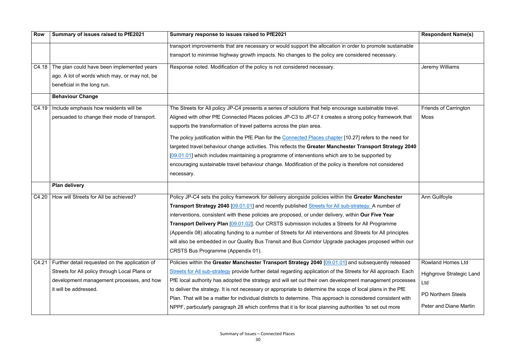| <b>Row</b> | Summary of issues raised to PfE2021            | Summary response to issues raised to PfE2021                                                                    | <b>Respondent Name(s)</b>       |
|------------|------------------------------------------------|-----------------------------------------------------------------------------------------------------------------|---------------------------------|
|            |                                                | transport improvements that are necessary or would support the allocation in order to promote sustainable       |                                 |
|            |                                                | transport to minimise highway growth impacts. No changes to the policy are considered necessary.                |                                 |
| C4.18      | The plan could have been implemented years     | Response noted. Modification of the policy is not considered necessary.                                         | Jeremy Williams                 |
|            | ago. A lot of words which may, or may not, be  |                                                                                                                 |                                 |
|            | beneficial in the long run.                    |                                                                                                                 |                                 |
|            | <b>Behaviour Change</b>                        |                                                                                                                 |                                 |
| C4.19      | Include emphasis how residents will be         | The Streets for All policy JP-C4 presents a series of solutions that help encourage sustainable travel.         | <b>Friends of Carrington</b>    |
|            | persuaded to change their mode of transport.   | Aligned with other PfE Connected Places policies JP-C3 to JP-C7 it creates a strong policy framework that       | Moss                            |
|            |                                                | supports the transformation of travel patterns across the plan area.                                            |                                 |
|            |                                                | The policy justification within the PfE Plan for the Connected Places chapter [10.27] refers to the need for    |                                 |
|            |                                                | targeted travel behaviour change activities. This reflects the Greater Manchester Transport Strategy 2040       |                                 |
|            |                                                | [09.01.01] which includes maintaining a programme of interventions which are to be supported by                 |                                 |
|            |                                                | encouraging sustainable travel behaviour change. Modification of the policy is therefore not considered         |                                 |
|            |                                                | necessary.                                                                                                      |                                 |
|            | <b>Plan delivery</b>                           |                                                                                                                 |                                 |
|            | C4.20   How will Streets for All be achieved?  | Policy JP-C4 sets the policy framework for delivery alongside policies within the Greater Manchester            | Ann Guilfoyle                   |
|            |                                                | <b>Transport Strategy 2040</b> [09.01.01] and recently published Streets for All sub-strategy. A number of      |                                 |
|            |                                                | interventions, consistent with these policies are proposed, or under delivery, within Our Five Year             |                                 |
|            |                                                | <b>Transport Delivery Plan [09.01.02].</b> Our CRSTS submission includes a Streets for All Programme            |                                 |
|            |                                                | (Appendix 08) allocating funding to a number of Streets for All interventions and Streets for All principles    |                                 |
|            |                                                | will also be embedded in our Quality Bus Transit and Bus Corridor Upgrade packages proposed within our          |                                 |
|            |                                                | CRSTS Bus Programme (Appendix 01).                                                                              |                                 |
| C4.21      | Further detail requested on the application of | Policies within the Greater Manchester Transport Strategy 2040 [09.01.01] and subsequently released             | <b>Rowland Homes Ltd</b>        |
|            | Streets for All policy through Local Plans or  | Streets for All sub-strategy provide further detail regarding application of the Streets for All approach. Each | <b>Highgrove Strategic Land</b> |
|            | development management processes, and how      | PfE local authority has adopted the strategy and will set out their own development management processes        | Ltd                             |
|            | it will be addressed.                          | to deliver the strategy. It is not necessary or appropriate to determine the scope of local plans in the PfE    |                                 |
|            |                                                | Plan. That will be a matter for individual districts to determine. This approach is considered consistent with  | <b>PD Northern Steels</b>       |
|            |                                                | NPPF, particularly paragraph 28 which confirms that it is for local planning authorities 'to set out more       | <b>Peter and Diane Martin</b>   |
|            |                                                |                                                                                                                 |                                 |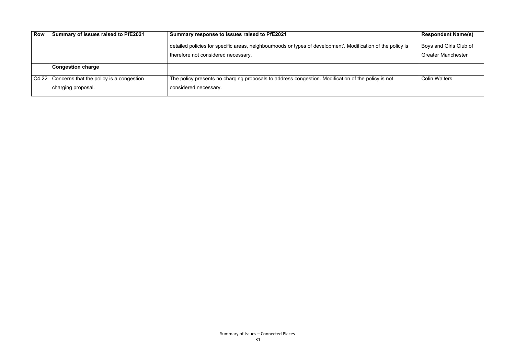| <b>Row</b> | Summary of issues raised to PfE2021              | Summary response to issues raised to PfE2021                                                                 | <b>Respondent Name(s)</b> |
|------------|--------------------------------------------------|--------------------------------------------------------------------------------------------------------------|---------------------------|
|            |                                                  | detailed policies for specific areas, neighbourhoods or types of development'. Modification of the policy is | Boys and Girls Club of    |
|            |                                                  | therefore not considered necessary.                                                                          | <b>Greater Manchester</b> |
|            | <b>Congestion charge</b>                         |                                                                                                              |                           |
|            | C4.22   Concerns that the policy is a congestion | The policy presents no charging proposals to address congestion. Modification of the policy is not           | <b>Colin Walters</b>      |
|            | charging proposal.                               | considered necessary.                                                                                        |                           |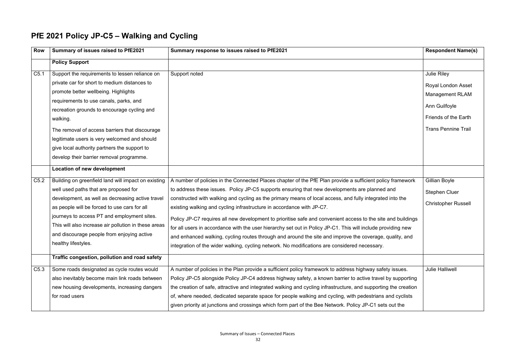#### **PfE 2021 Policy JP-C5 – Walking and Cycling**

| <b>Row</b>       | Summary of issues raised to PfE2021                  | Summary response to issues raised to PfE2021                                                                    | <b>Respondent Name(s)</b>  |
|------------------|------------------------------------------------------|-----------------------------------------------------------------------------------------------------------------|----------------------------|
|                  | <b>Policy Support</b>                                |                                                                                                                 |                            |
| C <sub>5.1</sub> | Support the requirements to lessen reliance on       | Support noted                                                                                                   | Julie Riley                |
|                  | private car for short to medium distances to         |                                                                                                                 | <b>Royal London Asset</b>  |
|                  | promote better wellbeing. Highlights                 |                                                                                                                 | <b>Management RLAM</b>     |
|                  | requirements to use canals, parks, and               |                                                                                                                 |                            |
|                  | recreation grounds to encourage cycling and          |                                                                                                                 | Ann Guilfoyle              |
|                  | walking.                                             |                                                                                                                 | Friends of the Earth       |
|                  | The removal of access barriers that discourage       |                                                                                                                 | <b>Trans Pennine Trail</b> |
|                  | legitimate users is very welcomed and should         |                                                                                                                 |                            |
|                  | give local authority partners the support to         |                                                                                                                 |                            |
|                  | develop their barrier removal programme.             |                                                                                                                 |                            |
|                  | Location of new development                          |                                                                                                                 |                            |
| C5.2             | Building on greenfield land will impact on existing  | A number of policies in the Connected Places chapter of the PfE Plan provide a sufficient policy framework      | Gillian Boyle              |
|                  | well used paths that are proposed for                | to address these issues. Policy JP-C5 supports ensuring that new developments are planned and                   | <b>Stephen Cluer</b>       |
|                  | development, as well as decreasing active travel     | constructed with walking and cycling as the primary means of local access, and fully integrated into the        |                            |
|                  | as people will be forced to use cars for all         | existing walking and cycling infrastructure in accordance with JP-C7.                                           | <b>Christopher Russell</b> |
|                  | journeys to access PT and employment sites.          | Policy JP-C7 requires all new development to prioritise safe and convenient access to the site and buildings    |                            |
|                  | This will also increase air pollution in these areas | for all users in accordance with the user hierarchy set out in Policy JP-C1. This will include providing new    |                            |
|                  | and discourage people from enjoying active           | and enhanced walking, cycling routes through and around the site and improve the coverage, quality, and         |                            |
|                  | healthy lifestyles.                                  | integration of the wider walking, cycling network. No modifications are considered necessary.                   |                            |
|                  | Traffic congestion, pollution and road safety        |                                                                                                                 |                            |
| C5.3             | Some roads designated as cycle routes would          | A number of policies in the Plan provide a sufficient policy framework to address highway safety issues.        | <b>Julie Halliwell</b>     |
|                  | also inevitably become main link roads between       | Policy JP-C5 alongside Policy JP-C4 address highway safety, a known barrier to active travel by supporting      |                            |
|                  | new housing developments, increasing dangers         | the creation of safe, attractive and integrated walking and cycling infrastructure, and supporting the creation |                            |
|                  | for road users                                       | of, where needed, dedicated separate space for people walking and cycling, with pedestrians and cyclists        |                            |
|                  |                                                      | given priority at junctions and crossings which form part of the Bee Network. Policy JP-C1 sets out the         |                            |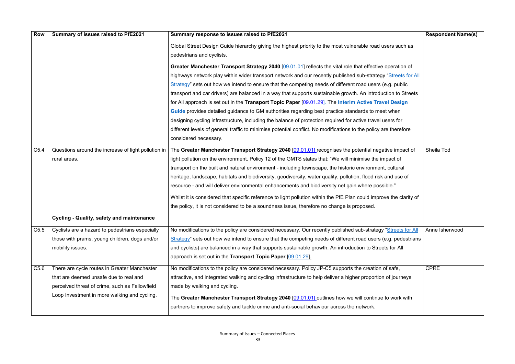| <b>Row</b> | Summary of issues raised to PfE2021                 | Summary response to issues raised to PfE2021                                                                        | <b>Respondent Name(s)</b> |
|------------|-----------------------------------------------------|---------------------------------------------------------------------------------------------------------------------|---------------------------|
|            |                                                     | Global Street Design Guide hierarchy giving the highest priority to the most vulnerable road users such as          |                           |
|            |                                                     | pedestrians and cyclists.                                                                                           |                           |
|            |                                                     | Greater Manchester Transport Strategy 2040 [09.01.01] reflects the vital role that effective operation of           |                           |
|            |                                                     | highways network play within wider transport network and our recently published sub-strategy "Streets for All       |                           |
|            |                                                     | Strategy" sets out how we intend to ensure that the competing needs of different road users (e.g. public            |                           |
|            |                                                     | transport and car drivers) are balanced in a way that supports sustainable growth. An introduction to Streets       |                           |
|            |                                                     | for All approach is set out in the Transport Topic Paper [09.01.29]. The Interim Active Travel Design               |                           |
|            |                                                     | <b>Guide</b> provides detailed guidance to GM authorities regarding best practice standards to meet when            |                           |
|            |                                                     | designing cycling infrastructure, including the balance of protection required for active travel users for          |                           |
|            |                                                     | different levels of general traffic to minimise potential conflict. No modifications to the policy are therefore    |                           |
|            |                                                     | considered necessary.                                                                                               |                           |
| C5.4       | Questions around the increase of light pollution in | The Greater Manchester Transport Strategy 2040 [09.01.01] recognises the potential negative impact of               | Sheila Tod                |
|            | rural areas.                                        | light pollution on the environment. Policy 12 of the GMTS states that: "We will minimise the impact of              |                           |
|            |                                                     | transport on the built and natural environment - including townscape, the historic environment, cultural            |                           |
|            |                                                     | heritage, landscape, habitats and biodiversity, geodiversity, water quality, pollution, flood risk and use of       |                           |
|            |                                                     | resource - and will deliver environmental enhancements and biodiversity net gain where possible."                   |                           |
|            |                                                     | Whilst it is considered that specific reference to light pollution within the PfE Plan could improve the clarity of |                           |
|            |                                                     | the policy, it is not considered to be a soundness issue, therefore no change is proposed.                          |                           |
|            | <b>Cycling - Quality, safety and maintenance</b>    |                                                                                                                     |                           |
| C5.5       | Cyclists are a hazard to pedestrians especially     | No modifications to the policy are considered necessary. Our recently published sub-strategy "Streets for All       | Anne Isherwood            |
|            | those with prams, young children, dogs and/or       | Strategy" sets out how we intend to ensure that the competing needs of different road users (e.g. pedestrians       |                           |
|            | mobility issues.                                    | and cyclists) are balanced in a way that supports sustainable growth. An introduction to Streets for All            |                           |
|            |                                                     | approach is set out in the Transport Topic Paper [09.01.29].                                                        |                           |
| C5.6       | There are cycle routes in Greater Manchester        | No modifications to the policy are considered necessary. Policy JP-C5 supports the creation of safe,                | <b>CPRE</b>               |
|            | that are deemed unsafe due to real and              | attractive, and integrated walking and cycling infrastructure to help deliver a higher proportion of journeys       |                           |
|            | perceived threat of crime, such as Fallowfield      | made by walking and cycling.                                                                                        |                           |
|            | Loop Investment in more walking and cycling.        | The Greater Manchester Transport Strategy 2040 [09.01.01] outlines how we will continue to work with                |                           |
|            |                                                     | partners to improve safety and tackle crime and anti-social behaviour across the network.                           |                           |
|            |                                                     |                                                                                                                     |                           |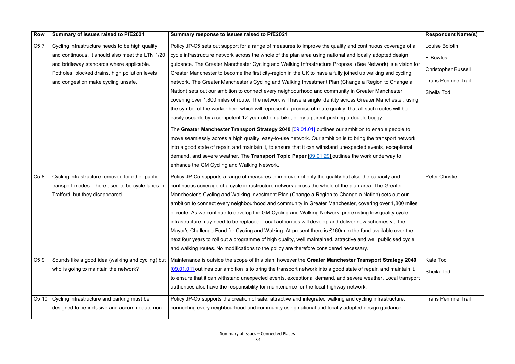| Row              | Summary of issues raised to PfE2021               | Summary response to issues raised to PfE2021                                                                     | <b>Respondent Name(s)</b>  |
|------------------|---------------------------------------------------|------------------------------------------------------------------------------------------------------------------|----------------------------|
| C <sub>5.7</sub> | Cycling infrastructure needs to be high quality   | Policy JP-C5 sets out support for a range of measures to improve the quality and continuous coverage of a        | Louise Bolotin             |
|                  | and continuous. It should also meet the LTN 1/20  | cycle infrastructure network across the whole of the plan area using national and locally adopted design         | E Bowles                   |
|                  | and bridleway standards where applicable.         | guidance. The Greater Manchester Cycling and Walking Infrastructure Proposal (Bee Network) is a vision for       |                            |
|                  | Potholes, blocked drains, high pollution levels   | Greater Manchester to become the first city-region in the UK to have a fully joined up walking and cycling       | <b>Christopher Russell</b> |
|                  | and congestion make cycling unsafe.               | network. The Greater Manchester's Cycling and Walking Investment Plan (Change a Region to Change a               | <b>Trans Pennine Trail</b> |
|                  |                                                   | Nation) sets out our ambition to connect every neighbourhood and community in Greater Manchester,                | Sheila Tod                 |
|                  |                                                   | covering over 1,800 miles of route. The network will have a single identity across Greater Manchester, using     |                            |
|                  |                                                   | the symbol of the worker bee, which will represent a promise of route quality: that all such routes will be      |                            |
|                  |                                                   | easily useable by a competent 12-year-old on a bike, or by a parent pushing a double buggy.                      |                            |
|                  |                                                   | The Greater Manchester Transport Strategy 2040 [09.01.01] outlines our ambition to enable people to              |                            |
|                  |                                                   | move seamlessly across a high quality, easy-to-use network. Our ambition is to bring the transport network       |                            |
|                  |                                                   | into a good state of repair, and maintain it, to ensure that it can withstand unexpected events, exceptional     |                            |
|                  |                                                   | demand, and severe weather. The Transport Topic Paper $[09.01.29]$ outlines the work underway to                 |                            |
|                  |                                                   | enhance the GM Cycling and Walking Network.                                                                      |                            |
| C <sub>5.8</sub> | Cycling infrastructure removed for other public   | Policy JP-C5 supports a range of measures to improve not only the quality but also the capacity and              | Peter Christie             |
|                  | transport modes. There used to be cycle lanes in  | continuous coverage of a cycle infrastructure network across the whole of the plan area. The Greater             |                            |
|                  | Trafford, but they disappeared.                   | Manchester's Cycling and Walking Investment Plan (Change a Region to Change a Nation) sets out our               |                            |
|                  |                                                   | ambition to connect every neighbourhood and community in Greater Manchester, covering over 1,800 miles           |                            |
|                  |                                                   | of route. As we continue to develop the GM Cycling and Walking Network, pre-existing low quality cycle           |                            |
|                  |                                                   | infrastructure may need to be replaced. Local authorities will develop and deliver new schemes via the           |                            |
|                  |                                                   | Mayor's Challenge Fund for Cycling and Walking. At present there is £160m in the fund available over the         |                            |
|                  |                                                   | next four years to roll out a programme of high quality, well maintained, attractive and well publicised cycle   |                            |
|                  |                                                   | and walking routes. No modifications to the policy are therefore considered necessary.                           |                            |
| C5.9             | Sounds like a good idea (walking and cycling) but | Maintenance is outside the scope of this plan, however the Greater Manchester Transport Strategy 2040            | <b>Kate Tod</b>            |
|                  | who is going to maintain the network?             | [09.01.01] outlines our ambition is to bring the transport network into a good state of repair, and maintain it, | Sheila Tod                 |
|                  |                                                   | to ensure that it can withstand unexpected events, exceptional demand, and severe weather. Local transport       |                            |
|                  |                                                   | authorities also have the responsibility for maintenance for the local highway network.                          |                            |
| C5.10            | Cycling infrastructure and parking must be        | Policy JP-C5 supports the creation of safe, attractive and integrated walking and cycling infrastructure,        | <b>Trans Pennine Trail</b> |
|                  | designed to be inclusive and accommodate non-     | connecting every neighbourhood and community using national and locally adopted design guidance.                 |                            |
|                  |                                                   |                                                                                                                  |                            |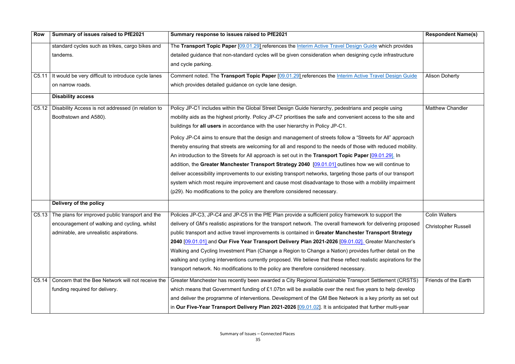| <b>Row</b> | Summary of issues raised to PfE2021                         | Summary response to issues raised to PfE2021                                                                      | <b>Respondent Name(s)</b>  |
|------------|-------------------------------------------------------------|-------------------------------------------------------------------------------------------------------------------|----------------------------|
|            | standard cycles such as trikes, cargo bikes and             | The Transport Topic Paper [09.01.29] references the Interim Active Travel Design Guide which provides             |                            |
|            | tandems.                                                    | detailed guidance that non-standard cycles will be given consideration when designing cycle infrastructure        |                            |
|            |                                                             | and cycle parking.                                                                                                |                            |
|            | C5.11   It would be very difficult to introduce cycle lanes | Comment noted. The Transport Topic Paper [09.01.29] references the Interim Active Travel Design Guide             | <b>Alison Doherty</b>      |
|            | on narrow roads.                                            | which provides detailed guidance on cycle lane design.                                                            |                            |
|            | <b>Disability access</b>                                    |                                                                                                                   |                            |
|            | C5.12   Disability Access is not addressed (in relation to  | Policy JP-C1 includes within the Global Street Design Guide hierarchy, pedestrians and people using               | <b>Matthew Chandler</b>    |
|            | Boothstown and A580).                                       | mobility aids as the highest priority. Policy JP-C7 prioritises the safe and convenient access to the site and    |                            |
|            |                                                             | buildings for all users in accordance with the user hierarchy in Policy JP-C1.                                    |                            |
|            |                                                             | Policy JP-C4 aims to ensure that the design and management of streets follow a "Streets for All" approach         |                            |
|            |                                                             | thereby ensuring that streets are welcoming for all and respond to the needs of those with reduced mobility.      |                            |
|            |                                                             | An introduction to the Streets for All approach is set out in the Transport Topic Paper [09.01.29]. In            |                            |
|            |                                                             | addition, the Greater Manchester Transport Strategy 2040 [09.01.01] outlines how we will continue to              |                            |
|            |                                                             | deliver accessibility improvements to our existing transport networks, targeting those parts of our transport     |                            |
|            |                                                             | system which most require improvement and cause most disadvantage to those with a mobility impairment             |                            |
|            |                                                             | (p29). No modifications to the policy are therefore considered necessary.                                         |                            |
|            | Delivery of the policy                                      |                                                                                                                   |                            |
| C5.13      | The plans for improved public transport and the             | Policies JP-C3, JP-C4 and JP-C5 in the PfE Plan provide a sufficient policy framework to support the              | <b>Colin Walters</b>       |
|            | encouragement of walking and cycling, whilst                | delivery of GM's realistic aspirations for the transport network. The overall framework for delivering proposed   | <b>Christopher Russell</b> |
|            | admirable, are unrealistic aspirations.                     | public transport and active travel improvements is contained in Greater Manchester Transport Strategy             |                            |
|            |                                                             | 2040 [09.01.01] and Our Five Year Transport Delivery Plan 2021-2026 [09.01.02]. Greater Manchester's              |                            |
|            |                                                             | Walking and Cycling Investment Plan (Change a Region to Change a Nation) provides further detail on the           |                            |
|            |                                                             | walking and cycling interventions currently proposed. We believe that these reflect realistic aspirations for the |                            |
|            |                                                             | transport network. No modifications to the policy are therefore considered necessary.                             |                            |
| C5.14      | Concern that the Bee Network will not receive the           | Greater Manchester has recently been awarded a City Regional Sustainable Transport Settlement (CRSTS)             | Friends of the Earth       |
|            | funding required for delivery.                              | which means that Government funding of £1.07bn will be available over the next five years to help develop         |                            |
|            |                                                             | and deliver the programme of interventions. Development of the GM Bee Network is a key priority as set out        |                            |
|            |                                                             | in Our Five-Year Transport Delivery Plan 2021-2026 [09.01.02]. It is anticipated that further multi-year          |                            |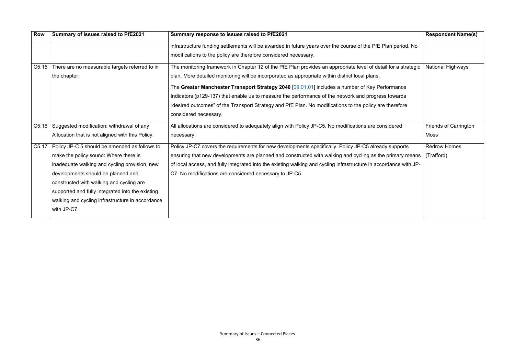| <b>Row</b> | Summary of issues raised to PfE2021                   | Summary response to issues raised to PfE2021                                                                      | <b>Respondent Name(s)</b> |
|------------|-------------------------------------------------------|-------------------------------------------------------------------------------------------------------------------|---------------------------|
|            |                                                       | infrastructure funding settlements will be awarded in future years over the course of the PfE Plan period. No     |                           |
|            |                                                       | modifications to the policy are therefore considered necessary.                                                   |                           |
|            | C5.15 There are no measurable targets referred to in  | The monitoring framework in Chapter 12 of the PfE Plan provides an appropriate level of detail for a strategic    | <b>National Highways</b>  |
|            | the chapter.                                          | plan. More detailed monitoring will be incorporated as appropriate within district local plans.                   |                           |
|            |                                                       | The Greater Manchester Transport Strategy 2040 [09.01.01] includes a number of Key Performance                    |                           |
|            |                                                       | Indicators (p129-137) that enable us to measure the performance of the network and progress towards               |                           |
|            |                                                       | "desired outcomes" of the Transport Strategy and PfE Plan. No modifications to the policy are therefore           |                           |
|            |                                                       | considered necessary.                                                                                             |                           |
|            | C5.16   Suggested modification: withdrawal of any     | All allocations are considered to adequately align with Policy JP-C5. No modifications are considered             | Friends of Carrington     |
|            | Allocation that is not aligned with this Policy.      | necessary.                                                                                                        | Moss                      |
|            | C5.17   Policy JP-C 5 should be amended as follows to | Policy JP-C7 covers the requirements for new developments specifically. Policy JP-C5 already supports             | <b>Redrow Homes</b>       |
|            | make the policy sound: Where there is                 | ensuring that new developments are planned and constructed with walking and cycling as the primary means          | (Trafford)                |
|            | inadequate walking and cycling provision, new         | of local access, and fully integrated into the existing walking and cycling infrastructure in accordance with JP- |                           |
|            | developments should be planned and                    | C7. No modifications are considered necessary to JP-C5.                                                           |                           |
|            | constructed with walking and cycling are              |                                                                                                                   |                           |
|            | supported and fully integrated into the existing      |                                                                                                                   |                           |
|            | walking and cycling infrastructure in accordance      |                                                                                                                   |                           |
|            | with JP-C7.                                           |                                                                                                                   |                           |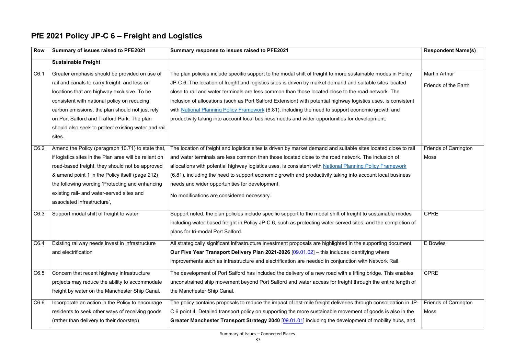#### **PfE 2021 Policy JP-C 6 – Freight and Logistics**

| <b>Row</b> | Summary of issues raised to PFE2021                    | Summary response to issues raised to PFE2021                                                                    | <b>Respondent Name(s)</b>    |
|------------|--------------------------------------------------------|-----------------------------------------------------------------------------------------------------------------|------------------------------|
|            | <b>Sustainable Freight</b>                             |                                                                                                                 |                              |
| C6.1       | Greater emphasis should be provided on use of          | The plan policies include specific support to the modal shift of freight to more sustainable modes in Policy    | <b>Martin Arthur</b>         |
|            | rail and canals to carry freight, and less on          | JP-C 6. The location of freight and logistics sites is driven by market demand and suitable sites located       | Friends of the Earth         |
|            | locations that are highway exclusive. To be            | close to rail and water terminals are less common than those located close to the road network. The             |                              |
|            | consistent with national policy on reducing            | inclusion of allocations (such as Port Salford Extension) with potential highway logistics uses, is consistent  |                              |
|            | carbon emissions, the plan should not just rely        | with National Planning Policy Framework (6.81), including the need to support economic growth and               |                              |
|            | on Port Salford and Trafford Park. The plan            | productivity taking into account local business needs and wider opportunities for development.                  |                              |
|            | should also seek to protect existing water and rail    |                                                                                                                 |                              |
|            | sites.                                                 |                                                                                                                 |                              |
| C6.2       | Amend the Policy (paragraph 10.71) to state that,      | The location of freight and logistics sites is driven by market demand and suitable sites located close to rail | <b>Friends of Carrington</b> |
|            | if logistics sites in the Plan area will be reliant on | and water terminals are less common than those located close to the road network. The inclusion of              | <b>Moss</b>                  |
|            | road-based freight, they should not be approved        | allocations with potential highway logistics uses, is consistent with National Planning Policy Framework        |                              |
|            | & amend point 1 in the Policy itself (page 212)        | (6.81), including the need to support economic growth and productivity taking into account local business       |                              |
|            | the following wording 'Protecting and enhancing        | needs and wider opportunities for development.                                                                  |                              |
|            | existing rail- and water-served sites and              | No modifications are considered necessary.                                                                      |                              |
|            | associated infrastructure',                            |                                                                                                                 |                              |
| C6.3       | Support modal shift of freight to water                | Support noted, the plan policies include specific support to the modal shift of freight to sustainable modes    | <b>CPRE</b>                  |
|            |                                                        | including water-based freight in Policy JP-C 6, such as protecting water served sites, and the completion of    |                              |
|            |                                                        | plans for tri-modal Port Salford.                                                                               |                              |
| C6.4       | Existing railway needs invest in infrastructure        | All strategically significant infrastructure investment proposals are highlighted in the supporting document    | E Bowles                     |
|            | and electrification                                    | Our Five Year Transport Delivery Plan 2021-2026 [09.01.02] - this includes identifying where                    |                              |
|            |                                                        | improvements such as infrastructure and electrification are needed in conjunction with Network Rail.            |                              |
| C6.5       | Concern that recent highway infrastructure             | The development of Port Salford has included the delivery of a new road with a lifting bridge. This enables     | <b>CPRE</b>                  |
|            | projects may reduce the ability to accommodate         | unconstrained ship movement beyond Port Salford and water access for freight through the entire length of       |                              |
|            | freight by water on the Manchester Ship Canal.         | the Manchester Ship Canal.                                                                                      |                              |
| C6.6       | Incorporate an action in the Policy to encourage       | The policy contains proposals to reduce the impact of last-mile freight deliveries through consolidation in JP- | <b>Friends of Carrington</b> |
|            | residents to seek other ways of receiving goods        | C 6 point 4. Detailed transport policy on supporting the more sustainable movement of goods is also in the      | <b>Moss</b>                  |
|            | (rather than delivery to their doorstep)               | Greater Manchester Transport Strategy 2040 [09.01.01] including the development of mobility hubs, and           |                              |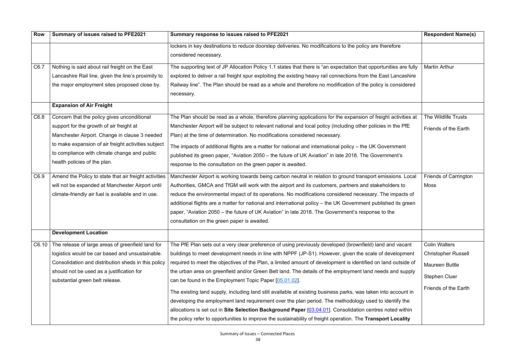| <b>Row</b> | Summary of issues raised to PFE2021                   | Summary response to issues raised to PFE2021                                                                              | <b>Respondent Name(s)</b>    |
|------------|-------------------------------------------------------|---------------------------------------------------------------------------------------------------------------------------|------------------------------|
|            |                                                       | lockers in key destinations to reduce doorstep deliveries. No modifications to the policy are therefore                   |                              |
|            |                                                       | considered necessary.                                                                                                     |                              |
| C6.7       | Nothing is said about rail freight on the East        | The supporting text of JP Allocation Policy 1.1 states that there is "an expectation that opportunities are fully         | <b>Martin Arthur</b>         |
|            | Lancashire Rail line, given the line's proximity to   | explored to deliver a rail freight spur exploiting the existing heavy rail connections from the East Lancashire           |                              |
|            | the major employment sites proposed close by.         | Railway line". The Plan should be read as a whole and therefore no modification of the policy is considered<br>necessary. |                              |
|            | <b>Expansion of Air Freight</b>                       |                                                                                                                           |                              |
| C6.8       | Concern that the policy gives unconditional           | The Plan should be read as a whole, therefore planning applications for the expansion of freight activities at            | The Wildlife Trusts          |
|            | support for the growth of air freight at              | Manchester Airport will be subject to relevant national and local policy (including other policies in the PfE             | Friends of the Earth         |
|            | Manchester Airport. Change in clause 3 needed         | Plan) at the time of determination. No modifications considered necessary.                                                |                              |
|            | to make expansion of air freight activities subject   | The impacts of additional flights are a matter for national and international policy – the UK Government                  |                              |
|            | to compliance with climate change and public          | published its green paper, "Aviation 2050 – the future of UK Aviation" in late 2018. The Government's                     |                              |
|            | health policies of the plan.                          | response to the consultation on the green paper is awaited.                                                               |                              |
| C6.9       | Amend the Policy to state that air freight activities | Manchester Airport is working towards being carbon neutral in relation to ground transport emissions. Local               | <b>Friends of Carrington</b> |
|            | will not be expanded at Manchester Airport until      | Authorities, GMCA and TfGM will work with the airport and its customers, partners and stakeholders to                     | Moss                         |
|            | climate-friendly air fuel is available and in use.    | reduce the environmental impact of its operations. No modifications considered necessary. The impacts of                  |                              |
|            |                                                       | additional flights are a matter for national and international policy - the UK Government published its green             |                              |
|            |                                                       | paper, "Aviation 2050 – the future of UK Aviation" in late 2018. The Government's response to the                         |                              |
|            |                                                       | consultation on the green paper is awaited.                                                                               |                              |
|            | <b>Development Location</b>                           |                                                                                                                           |                              |
| C6.10      | The release of large areas of greenfield land for     | The PfE Plan sets out a very clear preference of using previously developed (brownfield) land and vacant                  | <b>Colin Walters</b>         |
|            | logistics would be car based and unsustainable.       | buildings to meet development needs in line with NPPF (JP-S1). However, given the scale of development                    | <b>Christopher Russell</b>   |
|            | Consolidation and distribution sheds in this policy   | required to meet the objectives of the Plan, a limited amount of development is identified on land outside of             | <b>Maureen Buttle</b>        |
|            | should not be used as a justification for             | the urban area on greenfield and/or Green Belt land. The details of the employment land needs and supply                  | <b>Stephen Cluer</b>         |
|            | substantial green belt release.                       | can be found in the Employment Topic Paper [05.01.02].                                                                    |                              |
|            |                                                       | The existing land supply, including land still available at existing business parks, was taken into account in            | Friends of the Earth         |
|            |                                                       | developing the employment land requirement over the plan period. The methodology used to identify the                     |                              |
|            |                                                       | allocations is set out in Site Selection Background Paper [03.04.01]. Consolidation centres noted within                  |                              |
|            |                                                       | the policy refer to opportunities to improve the sustainability of freight operation. The Transport Locality              |                              |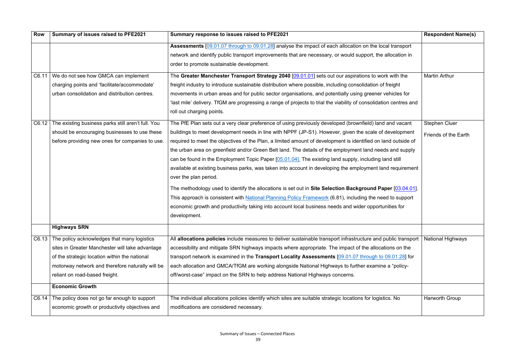| <b>Row</b> | Summary of issues raised to PFE2021                      | Summary response to issues raised to PFE2021                                                                       | <b>Respondent Name(s)</b> |
|------------|----------------------------------------------------------|--------------------------------------------------------------------------------------------------------------------|---------------------------|
|            |                                                          | Assessments [09.01.07 through to 09.01.28] analyse the impact of each allocation on the local transport            |                           |
|            |                                                          | network and identify public transport improvements that are necessary, or would support, the allocation in         |                           |
|            |                                                          | order to promote sustainable development.                                                                          |                           |
|            | C6.11   We do not see how GMCA can implement             | The Greater Manchester Transport Strategy 2040 [09.01.01] sets out our aspirations to work with the                | <b>Martin Arthur</b>      |
|            | charging points and 'facilitate/accommodate'             | freight industry to introduce sustainable distribution where possible, including consolidation of freight          |                           |
|            | urban consolidation and distribution centres.            | movements in urban areas and for public sector organisations, and potentially using greener vehicles for           |                           |
|            |                                                          | 'last mile' delivery. TfGM are progressing a range of projects to trial the viability of consolidation centres and |                           |
|            |                                                          | roll out charging points.                                                                                          |                           |
|            | C6.12 The existing business parks still aren't full. You | The PfE Plan sets out a very clear preference of using previously developed (brownfield) land and vacant           | <b>Stephen Cluer</b>      |
|            | should be encouraging businesses to use these            | buildings to meet development needs in line with NPPF (JP-S1). However, given the scale of development             | Friends of the Earth      |
|            | before providing new ones for companies to use.          | required to meet the objectives of the Plan, a limited amount of development is identified on land outside of      |                           |
|            |                                                          | the urban area on greenfield and/or Green Belt land. The details of the employment land needs and supply           |                           |
|            |                                                          | can be found in the Employment Topic Paper [05.01.04]. The existing land supply, including land still              |                           |
|            |                                                          | available at existing business parks, was taken into account in developing the employment land requirement         |                           |
|            |                                                          | over the plan period.                                                                                              |                           |
|            |                                                          | The methodology used to identify the allocations is set out in Site Selection Background Paper [03.04.01].         |                           |
|            |                                                          | This approach is consistent with National Planning Policy Framework (6.81), including the need to support          |                           |
|            |                                                          | economic growth and productivity taking into account local business needs and wider opportunities for              |                           |
|            |                                                          | development.                                                                                                       |                           |
|            | <b>Highways SRN</b>                                      |                                                                                                                    |                           |
|            | C6.13 The policy acknowledges that many logistics        | All allocations policies include measures to deliver sustainable transport infrastructure and public transport     | <b>National Highways</b>  |
|            | sites in Greater Manchester will take advantage          | accessibility and mitigate SRN highways impacts where appropriate. The impact of the allocations on the            |                           |
|            | of the strategic location within the national            | transport network is examined in the Transport Locality Assessments [09.01.07 through to 09.01.28] for             |                           |
|            | motorway network and therefore naturally will be         | each allocation and GMCA/TfGM are working alongside National Highways to further examine a "policy-                |                           |
|            | reliant on road-based freight.                           | off/worst-case" impact on the SRN to help address National Highways concerns.                                      |                           |
|            | <b>Economic Growth</b>                                   |                                                                                                                    |                           |
| C6.14      | The policy does not go far enough to support             | The individual allocations policies identify which sites are suitable strategic locations for logistics. No        | <b>Harworth Group</b>     |
|            | economic growth or productivity objectives and           | modifications are considered necessary.                                                                            |                           |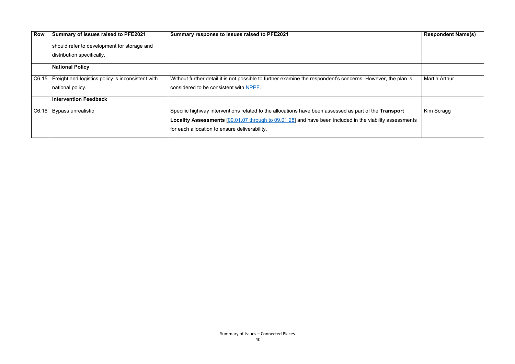| <b>Row</b> | Summary of issues raised to PFE2021                       | Summary response to issues raised to PFE2021                                                                 | <b>Respondent Name(s)</b> |
|------------|-----------------------------------------------------------|--------------------------------------------------------------------------------------------------------------|---------------------------|
|            | should refer to development for storage and               |                                                                                                              |                           |
|            | distribution specifically.                                |                                                                                                              |                           |
|            | <b>National Policy</b>                                    |                                                                                                              |                           |
|            | C6.15   Freight and logistics policy is inconsistent with | Without further detail it is not possible to further examine the respondent's concerns. However, the plan is | <b>Martin Arthur</b>      |
|            | national policy.                                          | considered to be consistent with NPPF.                                                                       |                           |
|            | <b>Intervention Feedback</b>                              |                                                                                                              |                           |
| C6.16      | <b>Bypass unrealistic</b>                                 | Specific highway interventions related to the allocations have been assessed as part of the Transport        | Kim Scragg                |
|            |                                                           | Locality Assessments [09.01.07 through to 09.01.28] and have been included in the viability assessments      |                           |
|            |                                                           | for each allocation to ensure deliverability.                                                                |                           |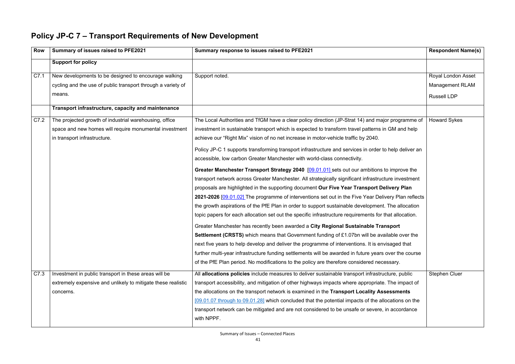### **Policy JP-C 7 – Transport Requirements of New Development**

| <b>Row</b> | Summary of issues raised to PFE2021                                                                                            | Summary response to issues raised to PFE2021                                                           | <b>Respondent Name(s)</b>                    |
|------------|--------------------------------------------------------------------------------------------------------------------------------|--------------------------------------------------------------------------------------------------------|----------------------------------------------|
|            | <b>Support for policy</b>                                                                                                      |                                                                                                        |                                              |
| C7.1       | New developments to be designed to encourage walking<br>cycling and the use of public transport through a variety of<br>means. | Support noted.                                                                                         | Royal London Asset<br><b>Management RLAM</b> |
|            |                                                                                                                                |                                                                                                        | <b>Russell LDP</b>                           |
|            | Transport infrastructure, capacity and maintenance                                                                             |                                                                                                        |                                              |
| C7.2       | The projected growth of industrial warehousing, office                                                                         | The Local Authorities and TfGM have a clear policy direction (JP-Strat 14) and major programme of      | <b>Howard Sykes</b>                          |
|            | space and new homes will require monumental investment                                                                         | investment in sustainable transport which is expected to transform travel patterns in GM and help      |                                              |
|            | in transport infrastructure.                                                                                                   | achieve our "Right Mix" vision of no net increase in motor-vehicle traffic by 2040.                    |                                              |
|            |                                                                                                                                | Policy JP-C 1 supports transforming transport infrastructure and services in order to help deliver an  |                                              |
|            |                                                                                                                                | accessible, low carbon Greater Manchester with world-class connectivity.                               |                                              |
|            |                                                                                                                                | Greater Manchester Transport Strategy 2040 [09.01.01] sets out our ambitions to improve the            |                                              |
|            |                                                                                                                                | transport network across Greater Manchester. All strategically significant infrastructure investment   |                                              |
|            |                                                                                                                                | proposals are highlighted in the supporting document Our Five Year Transport Delivery Plan             |                                              |
|            |                                                                                                                                | 2021-2026 [09.01.02] The programme of interventions set out in the Five Year Delivery Plan reflects    |                                              |
|            |                                                                                                                                | the growth aspirations of the PfE Plan in order to support sustainable development. The allocation     |                                              |
|            |                                                                                                                                | topic papers for each allocation set out the specific infrastructure requirements for that allocation. |                                              |
|            |                                                                                                                                | Greater Manchester has recently been awarded a City Regional Sustainable Transport                     |                                              |
|            |                                                                                                                                | Settlement (CRSTS) which means that Government funding of £1.07bn will be available over the           |                                              |
|            |                                                                                                                                | next five years to help develop and deliver the programme of interventions. It is envisaged that       |                                              |
|            |                                                                                                                                | further multi-year infrastructure funding settlements will be awarded in future years over the course  |                                              |
|            |                                                                                                                                | of the PfE Plan period. No modifications to the policy are therefore considered necessary.             |                                              |
| C7.3       | Investment in public transport in these areas will be                                                                          | All allocations policies include measures to deliver sustainable transport infrastructure, public      | <b>Stephen Cluer</b>                         |
|            | extremely expensive and unlikely to mitigate these realistic                                                                   | transport accessibility, and mitigation of other highways impacts where appropriate. The impact of     |                                              |
|            | concerns.                                                                                                                      | the allocations on the transport network is examined in the Transport Locality Assessments             |                                              |
|            |                                                                                                                                | [09.01.07 through to 09.01.28] which concluded that the potential impacts of the allocations on the    |                                              |
|            |                                                                                                                                | transport network can be mitigated and are not considered to be unsafe or severe, in accordance        |                                              |
|            |                                                                                                                                | with NPPF.                                                                                             |                                              |
|            |                                                                                                                                |                                                                                                        |                                              |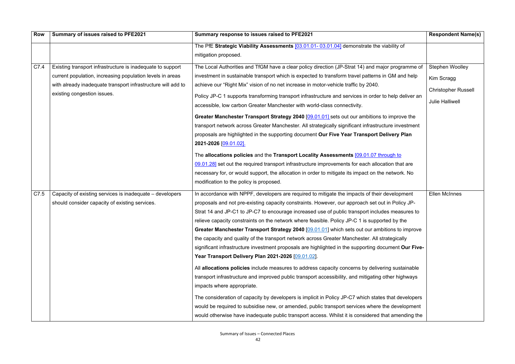| <b>Row</b> | Summary of issues raised to PFE2021                                                                                                                                                                                    | Summary response to issues raised to PFE2021                                                                                                                                                                                                                                                                                                                                                                                                                                                                                                                                                                                                                                                                                                                                                                                                                                                                                                                                                                                                                                                                                                                                                                                                                                                                                     | <b>Respondent Name(s)</b>                                                                    |
|------------|------------------------------------------------------------------------------------------------------------------------------------------------------------------------------------------------------------------------|----------------------------------------------------------------------------------------------------------------------------------------------------------------------------------------------------------------------------------------------------------------------------------------------------------------------------------------------------------------------------------------------------------------------------------------------------------------------------------------------------------------------------------------------------------------------------------------------------------------------------------------------------------------------------------------------------------------------------------------------------------------------------------------------------------------------------------------------------------------------------------------------------------------------------------------------------------------------------------------------------------------------------------------------------------------------------------------------------------------------------------------------------------------------------------------------------------------------------------------------------------------------------------------------------------------------------------|----------------------------------------------------------------------------------------------|
|            |                                                                                                                                                                                                                        | The PfE Strategic Viability Assessments [03.01.01-03.01.04] demonstrate the viability of<br>mitigation proposed.                                                                                                                                                                                                                                                                                                                                                                                                                                                                                                                                                                                                                                                                                                                                                                                                                                                                                                                                                                                                                                                                                                                                                                                                                 |                                                                                              |
| C7.4       | Existing transport infrastructure is inadequate to support<br>current population, increasing population levels in areas<br>with already inadequate transport infrastructure will add to<br>existing congestion issues. | The Local Authorities and TfGM have a clear policy direction (JP-Strat 14) and major programme of<br>investment in sustainable transport which is expected to transform travel patterns in GM and help<br>achieve our "Right Mix" vision of no net increase in motor-vehicle traffic by 2040.<br>Policy JP-C 1 supports transforming transport infrastructure and services in order to help deliver an<br>accessible, low carbon Greater Manchester with world-class connectivity.<br>Greater Manchester Transport Strategy 2040 [09.01.01] sets out our ambitions to improve the<br>transport network across Greater Manchester. All strategically significant infrastructure investment<br>proposals are highlighted in the supporting document Our Five Year Transport Delivery Plan<br>2021-2026 [09.01.02].<br>The allocations policies and the Transport Locality Assessments [09.01.07 through to<br>09.01.28] set out the required transport infrastructure improvements for each allocation that are<br>necessary for, or would support, the allocation in order to mitigate its impact on the network. No<br>modification to the policy is proposed.                                                                                                                                                                   | <b>Stephen Woolley</b><br>Kim Scragg<br><b>Christopher Russell</b><br><b>Julie Halliwell</b> |
| C7.5       | Capacity of existing services is inadequate – developers<br>should consider capacity of existing services.                                                                                                             | In accordance with NPPF, developers are required to mitigate the impacts of their development<br>proposals and not pre-existing capacity constraints. However, our approach set out in Policy JP-<br>Strat 14 and JP-C1 to JP-C7 to encourage increased use of public transport includes measures to<br>relieve capacity constraints on the network where feasible. Policy JP-C 1 is supported by the<br>Greater Manchester Transport Strategy 2040 [09.01.01] which sets out our ambitions to improve<br>the capacity and quality of the transport network across Greater Manchester. All strategically<br>significant infrastructure investment proposals are highlighted in the supporting document Our Five-<br>Year Transport Delivery Plan 2021-2026 [09.01.02].<br>All allocations policies include measures to address capacity concerns by delivering sustainable<br>transport infrastructure and improved public transport accessibility, and mitigating other highways<br>impacts where appropriate.<br>The consideration of capacity by developers is implicit in Policy JP-C7 which states that developers<br>would be required to subsidise new, or amended, public transport services where the development<br>would otherwise have inadequate public transport access. Whilst it is considered that amending the | <b>Ellen McInnes</b>                                                                         |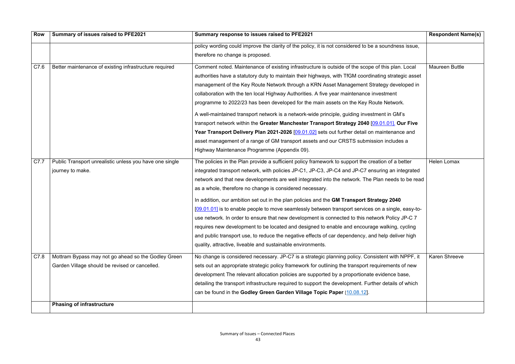| <b>Row</b> | Summary of issues raised to PFE2021                     | Summary response to issues raised to PFE2021                                                          | <b>Respondent Name(s)</b> |
|------------|---------------------------------------------------------|-------------------------------------------------------------------------------------------------------|---------------------------|
|            |                                                         | policy wording could improve the clarity of the policy, it is not considered to be a soundness issue, |                           |
|            |                                                         | therefore no change is proposed.                                                                      |                           |
| C7.6       | Better maintenance of existing infrastructure required  | Comment noted. Maintenance of existing infrastructure is outside of the scope of this plan. Local     | <b>Maureen Buttle</b>     |
|            |                                                         | authorities have a statutory duty to maintain their highways, with TfGM coordinating strategic asset  |                           |
|            |                                                         | management of the Key Route Network through a KRN Asset Management Strategy developed in              |                           |
|            |                                                         | collaboration with the ten local Highway Authorities. A five year maintenance investment              |                           |
|            |                                                         | programme to 2022/23 has been developed for the main assets on the Key Route Network.                 |                           |
|            |                                                         | A well-maintained transport network is a network-wide principle, guiding investment in GM's           |                           |
|            |                                                         | transport network within the Greater Manchester Transport Strategy 2040 [09.01.01]. Our Five          |                           |
|            |                                                         | Year Transport Delivery Plan 2021-2026 [09.01.02] sets out further detail on maintenance and          |                           |
|            |                                                         | asset management of a range of GM transport assets and our CRSTS submission includes a                |                           |
|            |                                                         | Highway Maintenance Programme (Appendix 09).                                                          |                           |
| C7.7       | Public Transport unrealistic unless you have one single | The policies in the Plan provide a sufficient policy framework to support the creation of a better    | <b>Helen Lomax</b>        |
|            | journey to make.                                        | integrated transport network, with policies JP-C1, JP-C3, JP-C4 and JP-C7 ensuring an integrated      |                           |
|            |                                                         | network and that new developments are well integrated into the network. The Plan needs to be read     |                           |
|            |                                                         | as a whole, therefore no change is considered necessary.                                              |                           |
|            |                                                         | In addition, our ambition set out in the plan policies and the GM Transport Strategy 2040             |                           |
|            |                                                         | [09.01.01] is to enable people to move seamlessly between transport services on a single, easy-to-    |                           |
|            |                                                         | use network. In order to ensure that new development is connected to this network Policy JP-C 7       |                           |
|            |                                                         | requires new development to be located and designed to enable and encourage walking, cycling          |                           |
|            |                                                         | and public transport use, to reduce the negative effects of car dependency, and help deliver high     |                           |
|            |                                                         | quality, attractive, liveable and sustainable environments.                                           |                           |
| C7.8       | Mottram Bypass may not go ahead so the Godley Green     | No change is considered necessary. JP-C7 is a strategic planning policy. Consistent with NPPF, it     | <b>Karen Shreeve</b>      |
|            | Garden Village should be revised or cancelled.          | sets out an appropriate strategic policy framework for outlining the transport requirements of new    |                           |
|            |                                                         | development. The relevant allocation policies are supported by a proportionate evidence base,         |                           |
|            |                                                         | detailing the transport infrastructure required to support the development. Further details of which  |                           |
|            |                                                         | can be found in the Godley Green Garden Village Topic Paper [10.08.12].                               |                           |
|            | <b>Phasing of infrastructure</b>                        |                                                                                                       |                           |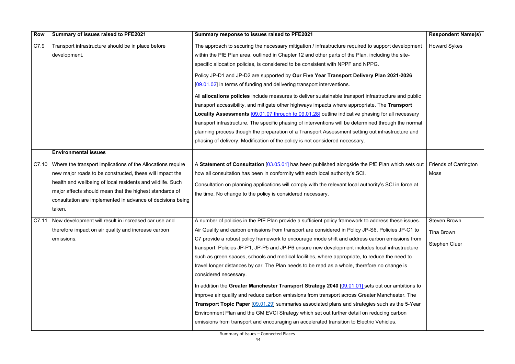| <b>Row</b> | Summary of issues raised to PFE2021                                                                                                                                                                                                                                                                                      | Summary response to issues raised to PFE2021                                                                                                                                                                                                                                                                                                                                                                                                                                                                                                                                                                                                                                                                                                                                                                                                                                                                                                                                                                                                                               | <b>Respondent Name(s)</b>                                        |
|------------|--------------------------------------------------------------------------------------------------------------------------------------------------------------------------------------------------------------------------------------------------------------------------------------------------------------------------|----------------------------------------------------------------------------------------------------------------------------------------------------------------------------------------------------------------------------------------------------------------------------------------------------------------------------------------------------------------------------------------------------------------------------------------------------------------------------------------------------------------------------------------------------------------------------------------------------------------------------------------------------------------------------------------------------------------------------------------------------------------------------------------------------------------------------------------------------------------------------------------------------------------------------------------------------------------------------------------------------------------------------------------------------------------------------|------------------------------------------------------------------|
| C7.9       | Transport infrastructure should be in place before<br>development.                                                                                                                                                                                                                                                       | The approach to securing the necessary mitigation / infrastructure required to support development<br>within the PfE Plan area, outlined in Chapter 12 and other parts of the Plan, including the site-<br>specific allocation policies, is considered to be consistent with NPPF and NPPG.<br>Policy JP-D1 and JP-D2 are supported by Our Five Year Transport Delivery Plan 2021-2026<br>[09.01.02] in terms of funding and delivering transport interventions.<br>All allocations policies include measures to deliver sustainable transport infrastructure and public<br>transport accessibility, and mitigate other highways impacts where appropriate. The Transport<br>Locality Assessments [09.01.07 through to 09.01.28] outline indicative phasing for all necessary<br>transport infrastructure. The specific phasing of interventions will be determined through the normal<br>planning process though the preparation of a Transport Assessment setting out infrastructure and<br>phasing of delivery. Modification of the policy is not considered necessary. | <b>Howard Sykes</b>                                              |
|            | <b>Environmental issues</b>                                                                                                                                                                                                                                                                                              |                                                                                                                                                                                                                                                                                                                                                                                                                                                                                                                                                                                                                                                                                                                                                                                                                                                                                                                                                                                                                                                                            |                                                                  |
| C7.10      | Where the transport implications of the Allocations require<br>new major roads to be constructed, these will impact the<br>health and wellbeing of local residents and wildlife. Such<br>major affects should mean that the highest standards of<br>consultation are implemented in advance of decisions being<br>taken. | A Statement of Consultation [03.05.01] has been published alongside the PfE Plan which sets out<br>how all consultation has been in conformity with each local authority's SCI.<br>Consultation on planning applications will comply with the relevant local authority's SCI in force at<br>the time. No change to the policy is considered necessary.                                                                                                                                                                                                                                                                                                                                                                                                                                                                                                                                                                                                                                                                                                                     | <b>Friends of Carrington</b><br><b>Moss</b>                      |
|            | C7.11   New development will result in increased car use and<br>therefore impact on air quality and increase carbon<br>emissions.                                                                                                                                                                                        | A number of policies in the PfE Plan provide a sufficient policy framework to address these issues.<br>Air Quality and carbon emissions from transport are considered in Policy JP-S6. Policies JP-C1 to<br>C7 provide a robust policy framework to encourage mode shift and address carbon emissions from<br>transport. Policies JP-P1, JP-P5 and JP-P6 ensure new development includes local infrastructure<br>such as green spaces, schools and medical facilities, where appropriate, to reduce the need to<br>travel longer distances by car. The Plan needs to be read as a whole, therefore no change is<br>considered necessary.<br>In addition the Greater Manchester Transport Strategy 2040 [09.01.01] sets out our ambitions to<br>improve air quality and reduce carbon emissions from transport across Greater Manchester. The<br>Transport Topic Paper [09.01.29] summaries associated plans and strategies such as the 5-Year                                                                                                                              | <b>Steven Brown</b><br><b>Tina Brown</b><br><b>Stephen Cluer</b> |
|            |                                                                                                                                                                                                                                                                                                                          | Environment Plan and the GM EVCI Strategy which set out further detail on reducing carbon<br>emissions from transport and encouraging an accelerated transition to Electric Vehicles.                                                                                                                                                                                                                                                                                                                                                                                                                                                                                                                                                                                                                                                                                                                                                                                                                                                                                      |                                                                  |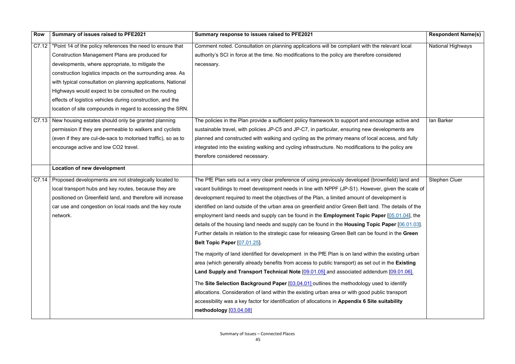| Row   | Summary of issues raised to PFE2021                           | Summary response to issues raised to PFE2021                                                          | <b>Respondent Name(s)</b> |
|-------|---------------------------------------------------------------|-------------------------------------------------------------------------------------------------------|---------------------------|
| C7.12 | "Point 14 of the policy references the need to ensure that    | Comment noted. Consultation on planning applications will be compliant with the relevant local        | <b>National Highways</b>  |
|       | Construction Management Plans are produced for                | authority's SCI in force at the time. No modifications to the policy are therefore considered         |                           |
|       | developments, where appropriate, to mitigate the              | necessary.                                                                                            |                           |
|       | construction logistics impacts on the surrounding area. As    |                                                                                                       |                           |
|       | with typical consultation on planning applications, National  |                                                                                                       |                           |
|       | Highways would expect to be consulted on the routing          |                                                                                                       |                           |
|       | effects of logistics vehicles during construction, and the    |                                                                                                       |                           |
|       | location of site compounds in regard to accessing the SRN.    |                                                                                                       |                           |
| C7.13 | New housing estates should only be granted planning           | The policies in the Plan provide a sufficient policy framework to support and encourage active and    | lan Barker                |
|       | permission if they are permeable to walkers and cyclists      | sustainable travel, with policies JP-C5 and JP-C7, in particular, ensuring new developments are       |                           |
|       | (even if they are cul-de-sacs to motorised traffic), so as to | planned and constructed with walking and cycling as the primary means of local access, and fully      |                           |
|       | encourage active and low CO2 travel.                          | integrated into the existing walking and cycling infrastructure. No modifications to the policy are   |                           |
|       |                                                               | therefore considered necessary.                                                                       |                           |
|       | <b>Location of new development</b>                            |                                                                                                       |                           |
| C7.14 | Proposed developments are not strategically located to        | The PfE Plan sets out a very clear preference of using previously developed (brownfield) land and     | <b>Stephen Cluer</b>      |
|       | local transport hubs and key routes, because they are         | vacant buildings to meet development needs in line with NPPF (JP-S1). However, given the scale of     |                           |
|       | positioned on Greenfield land, and therefore will increase    | development required to meet the objectives of the Plan, a limited amount of development is           |                           |
|       | car use and congestion on local roads and the key route       | identified on land outside of the urban area on greenfield and/or Green Belt land. The details of the |                           |
|       | network.                                                      | employment land needs and supply can be found in the <b>Employment Topic Paper</b> [05.01.04], the    |                           |
|       |                                                               | details of the housing land needs and supply can be found in the Housing Topic Paper [06.01.03].      |                           |
|       |                                                               | Further details in relation to the strategic case for releasing Green Belt can be found in the Green  |                           |
|       |                                                               | Belt Topic Paper [07.01.25].                                                                          |                           |
|       |                                                               | The majority of land identified for development in the PfE Plan is on land within the existing urban  |                           |
|       |                                                               | area (which generally already benefits from access to public transport) as set out in the Existing    |                           |
|       |                                                               | Land Supply and Transport Technical Note [09.01.05] and associated addendum [09.01.06].               |                           |
|       |                                                               | The Site Selection Background Paper [03.04.01] outlines the methodology used to identify              |                           |
|       |                                                               | allocations. Consideration of land within the existing urban area or with good public transport       |                           |
|       |                                                               | accessibility was a key factor for identification of allocations in Appendix 6 Site suitability       |                           |
|       |                                                               | methodology [03.04.08]                                                                                |                           |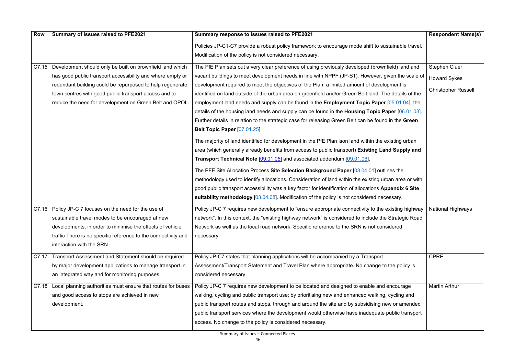| <b>Row</b> | Summary of issues raised to PFE2021                            | Summary response to issues raised to PFE2021                                                               | <b>Respondent Name(s)</b>  |
|------------|----------------------------------------------------------------|------------------------------------------------------------------------------------------------------------|----------------------------|
|            |                                                                | Policies JP-C1-C7 provide a robust policy framework to encourage mode shift to sustainable travel.         |                            |
|            |                                                                | Modification of the policy is not considered necessary.                                                    |                            |
| C7.15      | Development should only be built on brownfield land which      | The PfE Plan sets out a very clear preference of using previously developed (brownfield) land and          | <b>Stephen Cluer</b>       |
|            | has good public transport accessibility and where empty or     | vacant buildings to meet development needs in line with NPPF (JP-S1). However, given the scale of          | <b>Howard Sykes</b>        |
|            | redundant building could be repurposed to help regenerate      | development required to meet the objectives of the Plan, a limited amount of development is                |                            |
|            | town centres with good public transport access and to          | identified on land outside of the urban area on greenfield and/or Green Belt land. The details of the      | <b>Christopher Russell</b> |
|            | reduce the need for development on Green Belt and OPOL.        | employment land needs and supply can be found in the <b>Employment Topic Paper</b> [05.01.04], the         |                            |
|            |                                                                | details of the housing land needs and supply can be found in the <b>Housing Topic Paper</b> $[06.01.03]$ . |                            |
|            |                                                                | Further details in relation to the strategic case for releasing Green Belt can be found in the Green       |                            |
|            |                                                                | <b>Belt Topic Paper [07.01.25].</b>                                                                        |                            |
|            |                                                                | The majority of land identified for development in the PfE Plan ison land within the existing urban        |                            |
|            |                                                                | area (which generally already benefits from access to public transport) Existing Land Supply and           |                            |
|            |                                                                | Transport Technical Note [09.01.05] and associated addendum [09.01.06].                                    |                            |
|            |                                                                | The PFE Site Allocation Process Site Selection Background Paper [03.04.01] outlines the                    |                            |
|            |                                                                | methodology used to identify allocations. Consideration of land within the existing urban area or with     |                            |
|            |                                                                | good public transport accessibility was a key factor for identification of allocations Appendix 6 Site     |                            |
|            |                                                                | suitability methodology [03.04.08]. Modification of the policy is not considered necessary.                |                            |
|            | C7.16   Policy JP-C 7 focuses on the need for the use of       | Policy JP-C 7 requires new development to "ensure appropriate connectivity to the existing highway         | National Highways          |
|            | sustainable travel modes to be encouraged at new               | network". In this context, the "existing highway network" is considered to include the Strategic Road      |                            |
|            | developments, in order to minimise the effects of vehicle      | Network as well as the local road network. Specific reference to the SRN is not considered                 |                            |
|            | traffic There is no specific reference to the connectivity and | necessary.                                                                                                 |                            |
|            | interaction with the SRN.                                      |                                                                                                            |                            |
| C7.17      | Transport Assessment and Statement should be required          | Policy JP-C7 states that planning applications will be accompanied by a Transport                          | <b>CPRE</b>                |
|            | by major development applications to manage transport in       | Assessment/Transport Statement and Travel Plan where appropriate. No change to the policy is               |                            |
|            | an integrated way and for monitoring purposes.                 | considered necessary.                                                                                      |                            |
| C7.18      | Local planning authorities must ensure that routes for buses   | Policy JP-C 7 requires new development to be located and designed to enable and encourage                  | <b>Martin Arthur</b>       |
|            | and good access to stops are achieved in new                   | walking, cycling and public transport use; by prioritising new and enhanced walking, cycling and           |                            |
|            | development.                                                   | public transport routes and stops, through and around the site and by subsidising new or amended           |                            |
|            |                                                                | public transport services where the development would otherwise have inadequate public transport           |                            |
|            |                                                                | access. No change to the policy is considered necessary.                                                   |                            |
|            |                                                                |                                                                                                            |                            |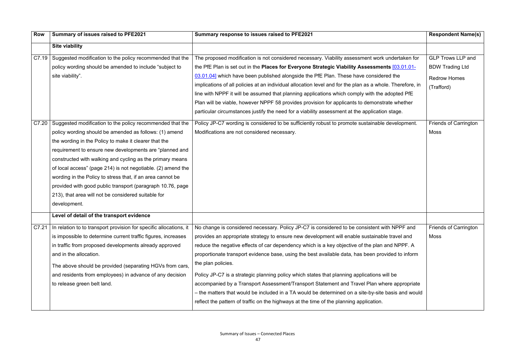| <b>Row</b> | Summary of issues raised to PFE2021                                | Summary response to issues raised to PFE2021                                                              | <b>Respondent Name(s)</b>    |
|------------|--------------------------------------------------------------------|-----------------------------------------------------------------------------------------------------------|------------------------------|
|            | <b>Site viability</b>                                              |                                                                                                           |                              |
|            | C7.19 Suggested modification to the policy recommended that the    | The proposed modification is not considered necessary. Viability assessment work undertaken for           | <b>GLP Trows LLP and</b>     |
|            | policy wording should be amended to include "subject to            | the PfE Plan is set out in the Places for Everyone Strategic Viability Assessments [03.01.01-             | <b>BDW Trading Ltd</b>       |
|            | site viability".                                                   | 03.01.04] which have been published alongside the PfE Plan. These have considered the                     | <b>Redrow Homes</b>          |
|            |                                                                    | implications of all policies at an individual allocation level and for the plan as a whole. Therefore, in | (Trafford)                   |
|            |                                                                    | line with NPPF it will be assumed that planning applications which comply with the adopted PfE            |                              |
|            |                                                                    | Plan will be viable, however NPPF 58 provides provision for applicants to demonstrate whether             |                              |
|            |                                                                    | particular circumstances justify the need for a viability assessment at the application stage.            |                              |
| C7.20      | Suggested modification to the policy recommended that the          | Policy JP-C7 wording is considered to be sufficiently robust to promote sustainable development.          | <b>Friends of Carrington</b> |
|            | policy wording should be amended as follows: (1) amend             | Modifications are not considered necessary.                                                               | <b>Moss</b>                  |
|            | the wording in the Policy to make it clearer that the              |                                                                                                           |                              |
|            | requirement to ensure new developments are "planned and            |                                                                                                           |                              |
|            | constructed with walking and cycling as the primary means          |                                                                                                           |                              |
|            | of local access" (page 214) is not negotiable. (2) amend the       |                                                                                                           |                              |
|            | wording in the Policy to stress that, if an area cannot be         |                                                                                                           |                              |
|            | provided with good public transport (paragraph 10.76, page         |                                                                                                           |                              |
|            | 213), that area will not be considered suitable for                |                                                                                                           |                              |
|            | development.                                                       |                                                                                                           |                              |
|            | Level of detail of the transport evidence                          |                                                                                                           |                              |
| C7.21      | In relation to to transport provision for specific allocations, it | No change is considered necessary. Policy JP-C7 is considered to be consistent with NPPF and              | <b>Friends of Carrington</b> |
|            | is impossible to determine current traffic figures, increases      | provides an appropriate strategy to ensure new development will enable sustainable travel and             | Moss                         |
|            | in traffic from proposed developments already approved             | reduce the negative effects of car dependency which is a key objective of the plan and NPPF. A            |                              |
|            | and in the allocation.                                             | proportionate transport evidence base, using the best available data, has been provided to inform         |                              |
|            | The above should be provided (separating HGVs from cars,           | the plan policies.                                                                                        |                              |
|            | and residents from employees) in advance of any decision           | Policy JP-C7 is a strategic planning policy which states that planning applications will be               |                              |
|            | to release green belt land.                                        | accompanied by a Transport Assessment/Transport Statement and Travel Plan where appropriate               |                              |
|            |                                                                    | - the matters that would be included in a TA would be determined on a site-by-site basis and would        |                              |
|            |                                                                    | reflect the pattern of traffic on the highways at the time of the planning application.                   |                              |
|            |                                                                    |                                                                                                           |                              |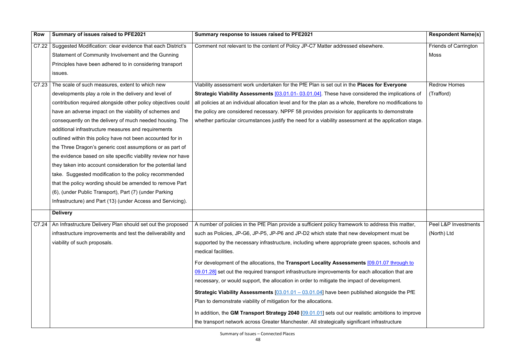| <b>Row</b> | Summary of issues raised to PFE2021                                 | Summary response to issues raised to PFE2021                                                              | <b>Respondent Name(s)</b>    |
|------------|---------------------------------------------------------------------|-----------------------------------------------------------------------------------------------------------|------------------------------|
| C7.22      | Suggested Modification: clear evidence that each District's         | Comment not relevant to the content of Policy JP-C7 Matter addressed elsewhere.                           | <b>Friends of Carrington</b> |
|            | Statement of Community Involvement and the Gunning                  |                                                                                                           | Moss                         |
|            | Principles have been adhered to in considering transport            |                                                                                                           |                              |
|            | issues.                                                             |                                                                                                           |                              |
| C7.23      | The scale of such measures, extent to which new                     | Viability assessment work undertaken for the PfE Plan is set out in the Places for Everyone               | <b>Redrow Homes</b>          |
|            | developments play a role in the delivery and level of               | <b>Strategic Viability Assessments [03.01.01-03.01.04]</b> . These have considered the implications of    | (Trafford)                   |
|            | contribution required alongside other policy objectives could       | all policies at an individual allocation level and for the plan as a whole, therefore no modifications to |                              |
|            | have an adverse impact on the viability of schemes and              | the policy are considered necessary. NPPF 58 provides provision for applicants to demonstrate             |                              |
|            | consequently on the delivery of much needed housing. The            | whether particular circumstances justify the need for a viability assessment at the application stage.    |                              |
|            | additional infrastructure measures and requirements                 |                                                                                                           |                              |
|            | outlined within this policy have not been accounted for in          |                                                                                                           |                              |
|            | the Three Dragon's generic cost assumptions or as part of           |                                                                                                           |                              |
|            | the evidence based on site specific viability review nor have       |                                                                                                           |                              |
|            | they taken into account consideration for the potential land        |                                                                                                           |                              |
|            | take. Suggested modification to the policy recommended              |                                                                                                           |                              |
|            | that the policy wording should be amended to remove Part            |                                                                                                           |                              |
|            | (6), (under Public Transport), Part (7) (under Parking              |                                                                                                           |                              |
|            | Infrastructure) and Part (13) (under Access and Servicing).         |                                                                                                           |                              |
|            | <b>Delivery</b>                                                     |                                                                                                           |                              |
|            | C7.24   An Infrastructure Delivery Plan should set out the proposed | A number of policies in the PfE Plan provide a sufficient policy framework to address this matter,        | Peel L&P Investments         |
|            | infrastructure improvements and test the deliverability and         | such as Policies, JP-G6, JP-P5, JP-P6 and JP-D2 which state that new development must be                  | (North) Ltd                  |
|            | viability of such proposals.                                        | supported by the necessary infrastructure, including where appropriate green spaces, schools and          |                              |
|            |                                                                     | medical facilities.                                                                                       |                              |
|            |                                                                     | For development of the allocations, the Transport Locality Assessments [09.01.07 through to               |                              |
|            |                                                                     | 09.01.28] set out the required transport infrastructure improvements for each allocation that are         |                              |
|            |                                                                     | necessary, or would support, the allocation in order to mitigate the impact of development.               |                              |
|            |                                                                     | <b>Strategic Viability Assessments</b> $[03.01.01 - 03.01.04]$ have been published alongside the PfE      |                              |
|            |                                                                     | Plan to demonstrate viability of mitigation for the allocations.                                          |                              |
|            |                                                                     | In addition, the GM Transport Strategy 2040 [09.01.01] sets out our realistic ambitions to improve        |                              |
|            |                                                                     | the transport network across Greater Manchester. All strategically significant infrastructure             |                              |